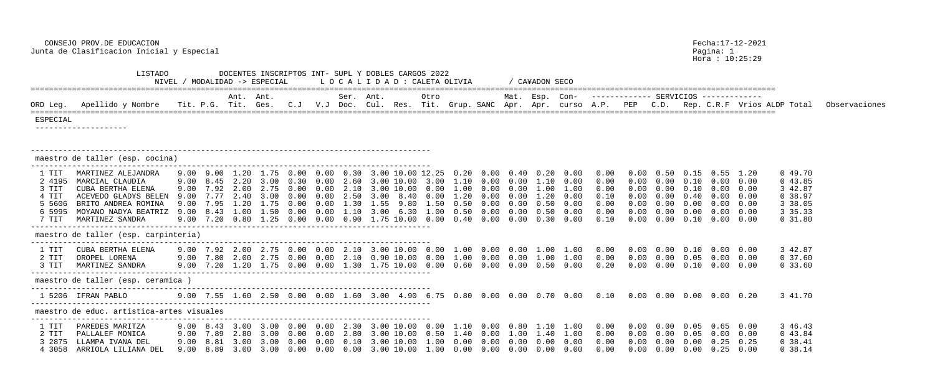Hora : 10:25:29

|                                                                |                                                                                                                                                                                        |      |                |           | NIVEL / MODALIDAD -> ESPECIAL                                                                                                                                                                                                         |                     |                   |             | L O C A L I D A D : CALETA OLIVIA                                                                                                           |             |      |                                                                                   |                              | / CA¥ADON SECO                               |                                                                             |                                                                                               |                                           |                                                      |        |                                                                                                                                                                                   |                                                                            |               |
|----------------------------------------------------------------|----------------------------------------------------------------------------------------------------------------------------------------------------------------------------------------|------|----------------|-----------|---------------------------------------------------------------------------------------------------------------------------------------------------------------------------------------------------------------------------------------|---------------------|-------------------|-------------|---------------------------------------------------------------------------------------------------------------------------------------------|-------------|------|-----------------------------------------------------------------------------------|------------------------------|----------------------------------------------|-----------------------------------------------------------------------------|-----------------------------------------------------------------------------------------------|-------------------------------------------|------------------------------------------------------|--------|-----------------------------------------------------------------------------------------------------------------------------------------------------------------------------------|----------------------------------------------------------------------------|---------------|
| ORD Leg.                                                       | Apellido y Nombre - Tit. P.G. Tit. Ges. C.J - V.J Doc. Cul. Res. Tit. Grup. SANC Apr. Apr. curso A.P. PEP - C.D. Rep. C.R.F Vrios ALDP Total                                           |      |                | Ant. Ant. |                                                                                                                                                                                                                                       |                     | Ser. Ant.         |             |                                                                                                                                             | Otro        |      |                                                                                   |                              |                                              |                                                                             | Mat. Esp. Con- ------------- SERVICIOS ------------                                           |                                           |                                                      |        |                                                                                                                                                                                   |                                                                            | Observaciones |
| ESPECIAL                                                       |                                                                                                                                                                                        |      |                |           |                                                                                                                                                                                                                                       |                     |                   |             |                                                                                                                                             |             |      |                                                                                   |                              |                                              |                                                                             |                                                                                               |                                           |                                                      |        |                                                                                                                                                                                   |                                                                            |               |
|                                                                | maestro de taller (esp. cocina)                                                                                                                                                        |      |                |           |                                                                                                                                                                                                                                       |                     |                   |             |                                                                                                                                             |             |      |                                                                                   |                              |                                              |                                                                             |                                                                                               |                                           |                                                      |        |                                                                                                                                                                                   |                                                                            |               |
| 1 TIT<br>2 4195<br>3 TIT<br>4 TIT<br>5 5606<br>6 5995<br>7 TIT | MARTINEZ ALEJANDRA<br>MARCIAL CLAUDIA<br>CUBA BERTHA ELENA<br>ACEVEDO GLADYS BELEN<br>BRITO ANDREA ROMINA<br>MOYANO NADYA BEATRIZ<br>MARTINEZ SANDRA                                   | 9.00 | 9.00 7.95 1.20 |           | 9.00 9.00 1.20 1.75 0.00 0.00 0.30 3.00 10.00 12.25 0.20 0.00 0.40 0.20<br>9.00 8.45 2.20 3.00 0.30 0.00 2.60<br>7.92 2.00 2.75 0.00<br>9.00 7.77 2.40 3.00 0.00<br>1.75 0.00<br>9.00 8.43 1.00 1.50 0.00<br>9.00 7.20 0.80 1.25 0.00 | $0.00$ 2.10<br>0.00 | $0.00 \quad 1.10$ | 3.00<br>155 | $3.00$ 10.00 3.00 1.10 0.00 0.00<br>3.00 10.00 0.00<br>8.40<br>980<br>3.00 6.30 1.00<br>$0.00 \quad 0.90 \quad 1.75 \quad 10.00 \quad 0.00$ | 0.00<br>150 | 0.50 | $1.00$ 0.00 0.00<br>1.20 0.00<br>(1.00)<br>$0.50 \quad 0.00$<br>$0.40 \quad 0.00$ | 0.00<br>0.00<br>0.00<br>0.00 | 1.10<br>1.00<br>1.20<br>0.50<br>0.50<br>0.30 | 0.00<br>0.00<br>1.00<br>0.00<br>0.00<br>0.00<br>0.00                        | 0.00<br>0.00<br>0.00<br>0.10<br>0.00<br>0.00<br>0.10                                          | 0.00<br>0.00<br>0.00                      | 0.50<br>0.00<br>0.00<br>0.00<br>0.00<br>0.00<br>0.00 | (0.00) | $0.15$ 0.55 1.20<br>$0.10\quad 0.00\quad 0.00$<br>$0.10\quad 0.00\quad 0.00$<br>$0.40$ $0.00$ $0.00$<br>$0.00 \quad 0.00$<br>$0.00 \t 0.00 \t 0.00$<br>$0.10\quad 0.00\quad 0.00$ | 049.70<br>043.85<br>3 42.87<br>0.38.97<br>3 38.05<br>3 35.33<br>$0\,31.80$ |               |
|                                                                | maestro de taller (esp. carpinteria)                                                                                                                                                   |      |                |           |                                                                                                                                                                                                                                       |                     |                   |             |                                                                                                                                             |             |      |                                                                                   |                              |                                              |                                                                             |                                                                                               |                                           |                                                      |        |                                                                                                                                                                                   |                                                                            |               |
| 1 TIT<br>2 TIT<br>3 TIT                                        | CUBA BERTHA ELENA<br>OROPEL LORENA<br>MARTINEZ SANDRA                                                                                                                                  | 9.00 |                |           | 7.20 1.20 1.75 0.00                                                                                                                                                                                                                   |                     |                   |             | $0.00 \quad 1.30 \quad 1.75 \quad 10.00 \quad 0.00$                                                                                         |             | 0.60 | 0.00                                                                              | 0.00                         |                                              | $0.50 \quad 0.00$                                                           | 0.00<br>0.20                                                                                  | 0.00                                      | 0.00                                                 |        | $0.00$ $0.00$ $0.05$ $0.00$ $0.00$<br>$0.10\quad 0.00\quad 0.00$                                                                                                                  | 3 42.87<br>0 37.60<br>0 33.60                                              |               |
|                                                                | maestro de taller (esp. ceramica )                                                                                                                                                     |      |                |           |                                                                                                                                                                                                                                       |                     |                   |             |                                                                                                                                             |             |      |                                                                                   |                              |                                              |                                                                             |                                                                                               |                                           |                                                      |        |                                                                                                                                                                                   |                                                                            |               |
|                                                                | 1 5206 IFRAN PABLO                                                                                                                                                                     |      |                |           |                                                                                                                                                                                                                                       |                     |                   |             |                                                                                                                                             |             |      |                                                                                   |                              |                                              |                                                                             |                                                                                               |                                           |                                                      |        |                                                                                                                                                                                   | 3 41.70                                                                    |               |
|                                                                | maestro de educ. artistica-artes visuales                                                                                                                                              |      |                |           |                                                                                                                                                                                                                                       |                     |                   |             |                                                                                                                                             |             |      |                                                                                   |                              |                                              |                                                                             |                                                                                               |                                           |                                                      |        |                                                                                                                                                                                   |                                                                            |               |
| 1 TIT<br>2 TIT                                                 | PAREDES MARITZA<br>PALLALEF MONICA<br>3 2875 LLAMPA IVANA DEL<br>4 3058 ARRIOLA LILIANA DEL   9.00  8.89  3.00  3.00  0.00  0.00  0.00  3.00 10.00  1.00  0.00  0.00  0.00  0.00  0.00 |      |                |           |                                                                                                                                                                                                                                       |                     |                   |             |                                                                                                                                             |             |      |                                                                                   |                              |                                              | 9.00 7.89 2.80 3.00 0.00 0.00 2.80 3.00 10.00 0.50 1.40 0.00 1.00 1.40 1.00 | $0.00$ $0.00$ $0.00$ $0.00$ $0.25$ $0.25$<br>$0.00$ $0.00$ $0.00$ $0.00$ $0.00$ $0.25$ $0.00$ | $0.00$ $0.00$ $0.00$ $0.05$ $0.00$ $0.00$ |                                                      |        |                                                                                                                                                                                   | 3 46.43<br>0 43.84<br>$0\,38.41$<br>0 38.14                                |               |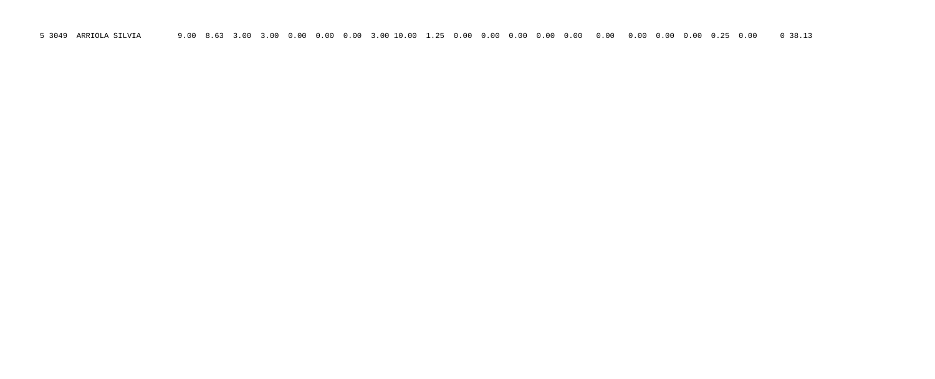5 3049 ARRIOLA SILVIA 9.00 8.63 3.00 3.00 0.00 0.00 0.00 3.00 10.00 1.25 0.00 0.00 0.00 0.00 0.00 0.00 0.00 0.00 0.00 0.25 0.00 0 38.13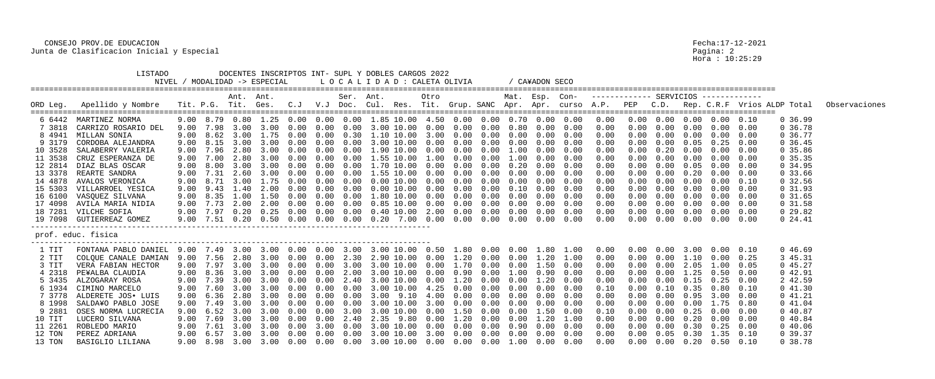|                                                                                                                                          | <b>LISTADO</b><br>NIVEL                                                                                                                                                                                                                                                                                                                            |                                                                                                      |                                                                              |                                                                           | MODALIDAD -> ESPECIAL                                                                                              |                                                                                              |                                                                                                          |                                                                                      | DOCENTES INSCRIPTOS INT- SUPL Y DOBLES CARGOS 2022<br>L O C A L I D A D : CALETA OLIVIA                                                                                                                                                                                                                                  |                                                              |                                                                                      |                                                                                                      |                                                                                                      | CA¥ADON SECO                                                                                         |                                                                                                      |                                                                                                              |                                                                    |                                                                                |                                                                                                   |                                                                                                                                                                                                                                                |                                                                              |                                                                                                                                                                      |               |
|------------------------------------------------------------------------------------------------------------------------------------------|----------------------------------------------------------------------------------------------------------------------------------------------------------------------------------------------------------------------------------------------------------------------------------------------------------------------------------------------------|------------------------------------------------------------------------------------------------------|------------------------------------------------------------------------------|---------------------------------------------------------------------------|--------------------------------------------------------------------------------------------------------------------|----------------------------------------------------------------------------------------------|----------------------------------------------------------------------------------------------------------|--------------------------------------------------------------------------------------|--------------------------------------------------------------------------------------------------------------------------------------------------------------------------------------------------------------------------------------------------------------------------------------------------------------------------|--------------------------------------------------------------|--------------------------------------------------------------------------------------|------------------------------------------------------------------------------------------------------|------------------------------------------------------------------------------------------------------|------------------------------------------------------------------------------------------------------|------------------------------------------------------------------------------------------------------|--------------------------------------------------------------------------------------------------------------|--------------------------------------------------------------------|--------------------------------------------------------------------------------|---------------------------------------------------------------------------------------------------|------------------------------------------------------------------------------------------------------------------------------------------------------------------------------------------------------------------------------------------------|------------------------------------------------------------------------------|----------------------------------------------------------------------------------------------------------------------------------------------------------------------|---------------|
| ORD Leg.                                                                                                                                 | Apellido y Nombre                                                                                                                                                                                                                                                                                                                                  |                                                                                                      | Tit. P.G. Tit. Ges.                                                          | Ant. Ant.                                                                 |                                                                                                                    | $C \cdot J$                                                                                  |                                                                                                          | Ser. Ant.                                                                            | V.J Doc. Cul. Res. Tit. Grup. SANC Apr. Apr. curso A.P.                                                                                                                                                                                                                                                                  | Otro                                                         |                                                                                      |                                                                                                      |                                                                                                      | Mat. Esp. Con-                                                                                       |                                                                                                      | ------------- SERVICIOS -------------                                                                        | PEP                                                                | C.D.                                                                           |                                                                                                   |                                                                                                                                                                                                                                                |                                                                              | Rep. C.R.F Vrios ALDP Total                                                                                                                                          | Observaciones |
| 7 3818<br>8 4941<br>9 3179<br>10 3528<br>11 3538<br>12 2814<br>13 3378<br>14 4878<br>15 5303<br>16 6100<br>17 4098<br>18 7281<br>19 7098 | 6 6442 MARTINEZ NORMA<br>CARRIZO ROSARIO DEL<br>MILLAN SONIA<br>CORDOBA ALEJANDRA<br>SALABERRY VALERIA<br>CRUZ ESPERANZA DE<br>DIAZ BLAS OSCAR<br>REARTE SANDRA<br>AVALOS VERONICA<br>VILLARROEL YESICA<br>VASQUEZ SILVANA<br>AVILA MARIA NIDIA<br>VILCHE SOFIA<br>GUTIERREAZ GOMEZ                                                                | 9.00<br>9.00<br>9.00<br>9.00<br>9.00<br>9.00<br>9.00<br>9.00<br>9.00<br>9.00<br>9.00<br>9.00<br>9.00 | 7.98<br>8.15<br>7.96<br>7.00<br>8.00<br>7.31<br>8.71<br>8.35<br>7.73<br>7.51 | 3.00<br>2.80<br>2.80<br>2.60<br>3.00<br>9.43 1.40<br>1.00<br>2.00<br>0.20 | 3.00<br>8.62 3.00 1.75<br>3.00 3.00<br>3.00<br>3.00<br>$3.00$ 3.00<br>3.00<br>1.75<br>2.00<br>1.50<br>2.00<br>0.50 | 0.00<br>0.00<br>0.00<br>(1.00)<br>0.00<br>(0.00)<br>0.00<br>(1.00)<br>(0.00)<br>0.00<br>0.00 | 0.00<br>0.00<br>0.00<br>0.00<br>(1.00)<br>0.00<br>(10)<br>(1.00)<br>0.00<br>0.00<br>0.00<br>0.00<br>0.00 | 0.00<br>0.30<br>0.00<br>0.00<br>0.00<br>0.00<br>0.00<br>0.00<br>0.00<br>0.00<br>0.00 | 9.00 8.79 0.80 1.25 0.00 0.00 0.00 1.85 10.00 4.50 0.00 0.00 0.70 0.00 0.00<br>3.00 10.00<br>1.10 10.00 3.00<br>3.00 10.00 0.00 0.00<br>.90 10.00<br>1.55 10.00<br>1.70 10.00 0.00<br>$.55$ $10.00$<br>$0.00$ $10.00$<br>$0.00\;10.00\;0.00$<br>1.80 10.00<br>0.85 10.00<br>$0.40$ 10.00 2.00 0.00<br>$0\,.\,20$<br>7.00 | 0.00<br>0.00<br>1.00<br>0.00<br>0.00<br>0.00<br>0.00<br>0.00 | 0.00<br>0.00<br>0.00<br>0.00<br>0.00<br>0.00<br>0.00<br>0.00<br>0.00<br>0.00<br>0.00 | 0.00<br>0.00<br>0.00<br>0.00<br>0.00<br>0.00<br>0.00<br>0.00<br>0.00<br>0.00<br>0.00<br>0.00<br>0.00 | 0.80<br>0.00<br>0.00<br>1.00<br>1.00<br>0.20<br>0.00<br>0.00<br>0.10<br>0.00<br>0.00<br>0.00<br>0.00 | 0.00<br>0.00<br>0.00<br>0.00<br>0.00<br>0.00<br>0.00<br>0.00<br>0.00<br>0.00<br>0.00<br>0.00<br>0.00 | 0.00<br>0.00<br>0.00<br>0.00<br>0.00<br>0.00<br>0.00<br>0.00<br>0.00<br>0.00<br>0.00<br>0.00<br>0.00 | 0.00<br>0.00<br>0.00<br>0.00<br>0.00<br>0.00<br>0.00<br>0.00<br>0.00<br>0.00<br>0.00<br>0.00<br>0.00<br>0.00 | 0.00<br>0.00<br>0.00                                               | (1.00)<br>0.00<br>0.20<br>0.00<br>0.00<br>0.00<br>0.00<br>0.00<br>0.00<br>0.00 | 0.00<br>0.00<br>0.00<br>0.05<br>. 20<br>0.00<br>0.00<br>0.00<br>0.00<br>$0.00 \quad 0.00$<br>0.00 | $0.00$ $0.00$ $0.00$ $0.00$ $0.00$ $0.10$<br>0.00<br>0.00<br>$0.00 \t 0.05 \t 0.25 \t 0.00$<br>0.00<br>0.00<br>$0.00 \quad 0.00$<br>0.00<br>0.00<br>0.00<br>0.00<br>0.00<br>$0.00 \quad 0.00$<br>0.00                                          | 0.00<br>0.00<br>0.00<br>0.00<br>0.00<br>0.10<br>0.00<br>0.00<br>0.00<br>0.00 | 0, 36.99<br>0 36.78<br>0.36.77<br>0, 36.45<br>0, 35.86<br>0, 35.35<br>0, 34.95<br>0 33.66<br>0.32.56<br>0, 31.93<br>$0\,31.65$<br>$0\,31.58$<br>029.82<br>$0\,24.41$ |               |
|                                                                                                                                          | prof. educ. fisica                                                                                                                                                                                                                                                                                                                                 |                                                                                                      |                                                                              |                                                                           |                                                                                                                    |                                                                                              |                                                                                                          |                                                                                      |                                                                                                                                                                                                                                                                                                                          |                                                              |                                                                                      |                                                                                                      |                                                                                                      |                                                                                                      |                                                                                                      |                                                                                                              |                                                                    |                                                                                |                                                                                                   |                                                                                                                                                                                                                                                |                                                                              |                                                                                                                                                                      |               |
| 1 TIT<br>2 TIT<br>3 TIT<br>4 2318<br>6 1934<br>73778<br>8 1998<br>9 2881<br>10 TIT<br>11 2261<br>12 TON                                  | FONTANA PABLO DANIEL  9.00  7.49  3.00  3.00  0.00  0.00  3.00  3.00  10.00  0.50  1.80  0.00  0.00  1.80  1.00<br>COLQUE CANALE DAMIAN<br>VERA FABIAN HECTOR<br>PE¥ALBA CLAUDIA<br>5 3435 ALZOGARAY ROSA<br>CIMINO MARCELO<br>ALDERETE JOS• LUIS<br>SALDA¥O PABLO JOSE<br>OSES NORMA LUCRECIA<br>LUCERO SILVANA<br>ROBLEDO MARIO<br>PEREZ ADRIANA | 9.00<br>9.00<br>9.00<br>9.00                                                                         | 7.56<br>7.97<br>8.36                                                         | 3.00                                                                      | 2.80 3.00<br>3.00<br>3.00 3.00<br>7.39 3.00 3.00 0.00                                                              | 0.00<br>0.00<br>(1.00)                                                                       | 0.00<br>0.00<br>0.00<br>0.00                                                                             | 2.30<br>3.00<br>2.00<br>2.40                                                         | 2.90 10.00 0.00<br>3.00 10.00<br>3.00 10.00<br>3.00 10.00 0.00 1.20<br>9.00 7.60 3.00 3.00 0.00 0.00 0.00 3.00 10.00 4.25 0.00 0.00<br>9.00 6.36 2.80 3.00 0.00 0.00 0.00 3.00 9.10 4.00 0.00 0.00 0.00 0.00<br>9.00 7.69 3.00 3.00 0.00 0.00 2.40 2.35 9.80 0.00 1.20 0.00 0.00 1.20                                    | 0.00<br>0.00                                                 | 1.20<br>1.70<br>0.90                                                                 | 0.00<br>0.00<br>$0\,.\,00$                                                                           | 0.00<br>1.00<br>0.00                                                                                 | $0.00$ $0.00$ $1.20$<br>1.50<br>0.90<br>1.20<br>$0.00\quad 0.00$                                     | 1.00<br>0.00<br>0.00<br>0.00<br>0.00<br>0.00<br>0.00<br>1.00                                         | 0.00<br>0.00<br>0.00<br>0.00<br>0.00<br>0.00<br>0.00<br>0.10<br>0.00<br>0.00<br>0.00                         | 0.00<br>0.00<br>0.00<br>0.00<br>0.00<br>0.00<br>0.00<br>$0\,.\,00$ | 0.00<br>0.00<br>0.00<br>0.00                                                   | 3.00<br>1.10<br>2.05<br>. . 25<br>$0.00 \quad 0.15$<br>$0.10 \quad 0.35$                          | 0.00<br>0.00<br>1.00<br>0.50<br>0.25<br>0.80<br>$0.00 \quad 0.95 \quad 3.00$<br>$0.00$ $0.00$ $1.75$ $0.80$<br>$0.00 \t 0.25 \t 0.00 \t 0.00$<br>$0.00 \quad 0.20 \quad 0.00$<br>$0.00 \t 0.30 \t 0.25 \t 0.00$<br>$0.05$ $0.30$ $1.35$ $0.10$ | 0.10<br>0.25<br>0.05<br>0.00<br>0.00<br>0.00<br>0.00                         | 046.69<br>3 45.31<br>045.27<br>$0\,42.91$<br>2 42.59<br>041.30<br>041.21<br>041.04<br>040.87<br>040.84<br>040.06<br>0.39.37                                          |               |
| 13 TON                                                                                                                                   | BASIGLIO LILIANA                                                                                                                                                                                                                                                                                                                                   |                                                                                                      |                                                                              |                                                                           |                                                                                                                    |                                                                                              |                                                                                                          |                                                                                      |                                                                                                                                                                                                                                                                                                                          |                                                              |                                                                                      |                                                                                                      |                                                                                                      |                                                                                                      |                                                                                                      | 0.00                                                                                                         |                                                                    |                                                                                |                                                                                                   | $0.00$ $0.00$ $0.20$ $0.50$ $0.10$                                                                                                                                                                                                             |                                                                              | 0.38.78                                                                                                                                                              |               |

Pagina: 2<br>Bagina: 2<br>Hora : 10:25:29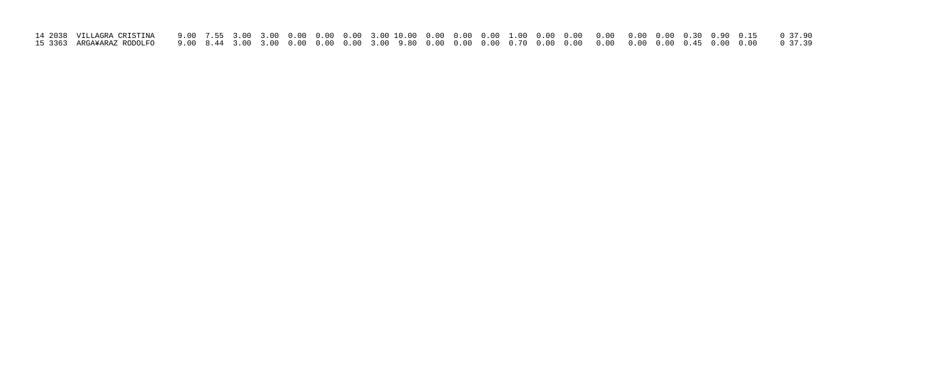| 15 3363 ARGA¥ARAZ RODOLFO    9.00  8.44  3.00  3.00  0.00  0.00  0.00  9.80  0.00  0.00  0.00  0.00  0.00  0.00  0.00  0.00  0.00  0.00  0.00  0.00  0.00  0.00  0.00  0.00  0.00  0.00  0.00  0.00  0.00  0.00  0.00  0.00  0 |  |  |  |  |  |  |  |  |  |  |
|--------------------------------------------------------------------------------------------------------------------------------------------------------------------------------------------------------------------------------|--|--|--|--|--|--|--|--|--|--|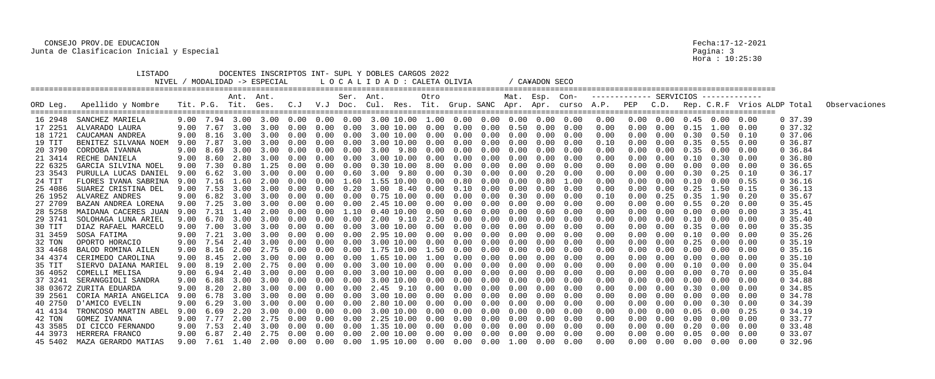|          | LISTADO<br>NIVEL /           |      | MODALIDAD -> ESPECIAL              |                |                  |                   |            |           | DOCENTES INSCRIPTOS INT- SUPL Y DOBLES CARGOS 2022<br>LOCALIDAD: CALETA OLIVIA                            |              |      |                             |            | / CA¥ADON SECO |      |                                       |      |      |                   |                                         |      |            |                                                                                                                                    |
|----------|------------------------------|------|------------------------------------|----------------|------------------|-------------------|------------|-----------|-----------------------------------------------------------------------------------------------------------|--------------|------|-----------------------------|------------|----------------|------|---------------------------------------|------|------|-------------------|-----------------------------------------|------|------------|------------------------------------------------------------------------------------------------------------------------------------|
| ORD Leg. | Apellido y Nombre            |      |                                    | Ant. Ant.      |                  |                   |            | Ser. Ant. |                                                                                                           | Otro         |      |                             |            | Mat. Esp. Con- |      | ------------- SERVICIOS ------------- |      |      |                   |                                         |      |            | Tit. P.G. Tit. Ges. C.J V.J Doc. Cul. Res. Tit. Grup. SANC Apr. Apr. curso A.P. PEP C.D. Rep. C.R.F Vrios ALDP Total Observaciones |
|          | 16 2948 SANCHEZ MARIELA      |      |                                    |                |                  |                   |            |           | $9.00$ $7.94$ $3.00$ $3.00$ $0.00$ $0.00$ $0.00$ $3.00$ $10.00$ $1.00$ $0.00$ $0.00$ $0.00$ $0.00$ $0.00$ |              |      |                             |            |                |      | 0.00                                  |      |      |                   | 0.00 0.00 0.45 0.00 0.00                |      | 0, 37.39   |                                                                                                                                    |
| 17 2251  | ALVARADO LAURA               | 9.00 | 7.67                               | 3.00 3.00      |                  | 0.00              | 0.00       | 0.00      | 3.00 10.00 0.00                                                                                           |              | 0.00 | 0.00                        | 0.50       | 0.00           | 0.00 | 0.00                                  | 0.00 |      | $0.00 \quad 0.15$ | 1.00                                    | 0.00 | $0\,37.32$ |                                                                                                                                    |
| 18 1721  | CAUCAMAN ANDREA              | 9.00 | 8.16                               |                | 3.00 3.00        | 0.00              | 0.00       | 0.00      | 3.00 10.00 0.00                                                                                           |              | 0.00 | $0\,.\,00$                  | $0\,.\,00$ | 0.00           | 0.00 | 0.00                                  | 0.00 |      | $0.00 \quad 0.30$ | 0.50                                    | 0.10 | 0, 37.06   |                                                                                                                                    |
| 19 TIT   | BENITEZ SILVANA NOEM         | 9.00 |                                    | 7.87 3.00 3.00 |                  | 0.00              | 0.00       | 0.00      | 3.00 10.00 0.00                                                                                           |              | 0.00 | 0.00                        | 0.00       | 0.00           | 0.00 | 0.10                                  | 0.00 |      |                   | $0.00 \quad 0.35 \quad 0.55 \quad 0.00$ |      | 0.36.87    |                                                                                                                                    |
| 20 3790  | CORDOBA IVANNA               | 9.00 | 8.69                               | 3.00           | 3.00             | 0.00              | 0.00       | 0.00      | 3.00 9.80                                                                                                 | 0.00         | 0.00 | 0.00                        | 0.00       | 0.00           | 0.00 | 0.00                                  |      | 0.00 | 0.35              | 0.00                                    | 0.00 | 0.36.84    |                                                                                                                                    |
| 21 3414  | RECHE DANIELA                | 9.00 | 8.60                               | 2.80 3.00      |                  | (0.00)            | 0.00       | 0.00      | 3.00 10.00 0.00                                                                                           |              | 0.00 | 0.00                        | 0.00       | 0.00           | 0.00 | 0.00                                  |      | 0.00 | 0.10              | 0.30                                    | 0.00 | 0, 36.80   |                                                                                                                                    |
| 22 6325  | GARCIA SILVINA NOEL          | 9.00 |                                    | 7.30 0.80      | 1.25             | 0.00              | 0.00       | 0.00      | $0.30$ $10.00$ $8.00$                                                                                     |              | 0.00 | 0.00                        | 0.00       | 0.00           | 0.00 | 0.00                                  |      |      | $0.00 \quad 0.00$ | $0.00$ $0.00$                           |      | 0, 36.65   |                                                                                                                                    |
| 23 3543  | PURULLA LUCAS DANIEL         | 9.00 |                                    | 3.00           | 3.00             |                   | 0.00       | 0.60      | 3.00                                                                                                      | 9.80<br>0.00 | 0.30 | 0.00                        | 0.00       | 0.20           | 0.00 | 0.00                                  |      | 0.00 | 0.30              | 0.25                                    | 0.10 | 0.36.17    |                                                                                                                                    |
| 24 TIT   | FLORES IVANA SABRINA         | 9.00 | 7.16                               | 1.60           | 2.00             | 0.00              | 0.00       | 1.60      | 1.55 10.00 0.00                                                                                           |              | 0.80 | 0.00                        | 0.00       | 0.80           | 1.00 | 0.00                                  |      | 0.00 | 0.10              | 0.00                                    | 0.55 | 0.36.16    |                                                                                                                                    |
| 25 4086  | SUAREZ CRISTINA DEL          | 9.00 |                                    | 7.53 3.00      | 3.00             | 0.00              | 0.00       | 0.20      | 3.00 8.40                                                                                                 | 0.00         | 0.10 | 0.00                        | 0.00       | 0.00           | 0.00 | 0.00                                  |      |      | $0.00 \quad 0.25$ | $1.50$ 0.15                             |      | 0.36.13    |                                                                                                                                    |
| 26 1952  | ALVAREZ ANDRES               |      | 6.82                               | 3.00           | 3.00             | 0.00              | 0.00       | 0.00      | 0.75 10.00                                                                                                | 0.00         | 0.00 | 0.00                        | 0.30       | 0.00           | 0.00 | 0.10                                  |      | 0.25 | 0.35              | 1.90                                    | 0.20 | 0.35.67    |                                                                                                                                    |
| 27 2709  | BAZAN ANDREA LORENA          | 9.00 | 7.25                               | 3.00           | 3.00             | (0.00)            | 0.00       | 0.00      | 2.45 10.00 0.00                                                                                           |              | 0.00 | 0.00                        | 0.00       | 0.00           | 0.00 | 0.00                                  |      | 0.00 | 0.55              | $0\,.20$                                | 0.00 | 0, 35.45   |                                                                                                                                    |
| 28 5258  | MAIDANA CACERES JUAN         | 9.00 | 7.31                               | $1.40$ $2.00$  |                  | 0.00              | 0.00       | 1.10      | $0.40$ $10.00$ $0.00$                                                                                     |              | 0.60 | 0.00                        | 0.00       | 0.60           | 0.00 | 0.00                                  |      |      | $0.00 \quad 0.00$ | $0.00 \quad 0.00$                       |      | 3 35.41    |                                                                                                                                    |
| 29 3741  | SOLOHAGA LUNA ARIEL          | 9.00 | 6.70                               | 3.00           | 3.00             | 0.00              | 0.00       | 0.00      | 2.00 9.10                                                                                                 | 2.50         | 0.00 | 0.00                        | 0.00       | 0.00           | 0.00 | 0.00                                  |      | 0.00 | 0.10              | 0.00                                    | 0.00 | 0, 35.40   |                                                                                                                                    |
| 30 TIT   | DIAZ RAFAEL MARCELO          | 9.00 | 7.00                               | 3.00           | 3.00             | 0.00              | 0.00       | 0.00      | 3.00 10.00 0.00                                                                                           |              | 0.00 | 0.00                        | 0.00       | 0.00           | 0.00 | 0.00                                  |      | 0.00 | 0.35              | 0.00                                    | 0.00 | 0, 35.35   |                                                                                                                                    |
| 31 3459  | SOSA FATIMA                  | 9.00 | 7.21                               | 3.00 3.00      |                  | 0.00              | 0.00       | 0.00      | 2.95 10.00 0.00                                                                                           |              | 0.00 | 0.00                        | 0.00       | 0.00           | 0.00 | 0.00                                  |      |      | $0.00 \quad 0.10$ | 0.00                                    | 0.00 | 0, 35.26   |                                                                                                                                    |
| 32 TON   | OPORTO HORACIO               | 9.00 | 7.54                               | 2.40           | 3.00             | (0.00)            | 0.00       | 0.00      | 3.00 10.00                                                                                                | 0.00         | 0.00 | 0.00                        | 0.00       | 0.00           | 0.00 | 0.00                                  |      | 0.00 | 0.25              | 0.00                                    | 0.00 | 0, 35.19   |                                                                                                                                    |
| 33 4468  | BALOD ROMINA AILEN           | 9.00 | 8.16                               | 2.00           | 2.75             | $(1 \tcdot 1)(1)$ | 0.00       | 0.00      | 1.75 10.00 1.50                                                                                           |              | 0.00 | 0.00                        | 0.00       | 0.00           | 0.00 | 0.00                                  |      | 0.00 | 0.00              | 0.00                                    | 0.00 | 0.35.16    |                                                                                                                                    |
| 34 4374  | CERIMEDO CAROLINA            | 9.00 | 8.45                               | 2.00           | 3.00             |                   | 0.00       | 0.00      | 1.65 10.00                                                                                                | 1.00         | 0.00 | 0.00                        | 0.00       | 0.00           | 0.00 | 0.00                                  |      | 0.00 | 0.00              | 0.00                                    | 0.00 | 0, 35.10   |                                                                                                                                    |
| 35 TIT   | SIERVO DAIANA MARIEL         | 9.00 | 8.19                               | 2.00           | 2.75             | (1.00)            | 0.00       | 0.00      | 3.00 10.00                                                                                                | 0.00         | 0.00 | 0.00                        | 0.00       | 0.00           | 0.00 | 0.00                                  |      | 0.00 | 0.10              | 0.00                                    | 0.00 | 0.35.04    |                                                                                                                                    |
| 36 4052  | COMELLI MELISA               | 9.00 | 6.94                               |                | 2.40 3.00        | 0.00              | 0.00       | 0.00      | 3.00 10.00 0.00                                                                                           |              |      | $0.00$ $0.00$               | 0.00       | 0.00           | 0.00 | 0.00                                  | 0.00 |      | $0.00 \quad 0.00$ | 0.70                                    | 0.00 | 0.35.04    |                                                                                                                                    |
| 37 3241  | SERANGGIOLI SANDRA           | 9.00 |                                    |                | $6.88$ 3.00 3.00 | 0.00              | $0\,.\,00$ | 0.00      | 3.00 10.00  0.00  0.00  0.00  0.00                                                                        |              |      |                             |            | 0.00           | 0.00 | 0.00                                  | 0.00 |      | $0.00 \quad 0.00$ | $0.00 \quad 0.00$                       |      | 0, 34.88   |                                                                                                                                    |
|          | 38 03672 ZURITA EDUARDA      |      |                                    |                |                  |                   |            |           | 9.00 8.20 2.80 3.00 0.00 0.00 0.00 2.45 9.10 0.00                                                         |              |      | $0.00$ $0.00$ $0.00$ $0.00$ |            |                | 0.00 | 0.00                                  |      |      | $0.00 \quad 0.30$ | 0.00                                    | 0.00 | 0, 34.85   |                                                                                                                                    |
|          | 39 2561 CORIA MARIA ANGELICA |      |                                    |                |                  |                   |            |           |                                                                                                           |              |      |                             |            |                |      | 0.00                                  | 0.00 |      |                   | $0.00 \quad 0.00 \quad 0.00$            | 0.00 | $0\,34.78$ |                                                                                                                                    |
|          | 40 2750 D'AMICO EVELIN       |      |                                    |                |                  |                   |            |           | $9.00$ 6.29 3.00 3.00 0.00 0.00 0.00 2.80 10.00 0.00 0.00 0.00 0.00 0.00                                  |              |      |                             |            |                | 0.00 | 0.00                                  | 0.00 |      |                   | $0.00 \t 0.00 \t 0.30 \t 0.00$          |      | 0, 34.39   |                                                                                                                                    |
|          | 41 4134 TRONCOSO MARTIN ABEL |      | 9.00 6.69 2.20 3.00 0.00 0.00 0.00 |                |                  |                   |            |           | 3.00 10.00  0.00  0.00  0.00  0.00  0.00                                                                  |              |      |                             |            |                | 0.00 | 0.00                                  | 0.00 |      |                   | $0.00 \t 0.05 \t 0.00$                  | 0.25 | 0, 34.19   |                                                                                                                                    |
| 42 TON   | GOMEZ IVANNA                 |      |                                    |                |                  |                   |            |           | $9.00$ 7.77 2.00 2.75 0.00 0.00 0.00 2.25 10.00 0.00 0.00 0.00 0.00 0.00 0.00                             |              |      |                             |            |                |      | 0.00                                  | 0.00 |      |                   | $0.00 \quad 0.00 \quad 0.00$            | 0.00 | 0 33.77    |                                                                                                                                    |
| 43 3585  | DI CICCO FERNANDO            |      |                                    |                |                  |                   |            |           | 9.00 7.53 2.40 3.00 0.00 0.00 0.00 1.35 10.00 0.00 0.00 0.00 0.00                                         |              |      |                             |            | 0.00           | 0.00 | 0.00                                  | 0.00 |      |                   | $0.00 \quad 0.20 \quad 0.00$            | 0.00 | 0, 33.48   |                                                                                                                                    |
|          | 44 3973 HERRERA FRANCO       |      |                                    |                |                  |                   |            |           |                                                                                                           |              |      |                             |            |                | 0.00 | 0.00                                  | 0.00 |      |                   | $0.00 \t 0.05 \t 0.00 \t 0.00$          |      | 0.33.07    |                                                                                                                                    |
|          | 45 5402 MAZA GERARDO MATIAS  |      |                                    |                |                  |                   |            |           | $9.00$ $7.61$ $1.40$ $2.00$ $0.00$ $0.00$ $0.00$ $1.95$ $10.00$ $0.00$ $0.00$ $0.00$ $1.00$ $0.00$ $0.00$ |              |      |                             |            |                |      | 0.00                                  |      |      |                   | $0.00$ $0.00$ $0.00$ $0.00$ $0.00$      |      | 0, 32.96   |                                                                                                                                    |

Pagina: 3<br>Hora : 10:25:30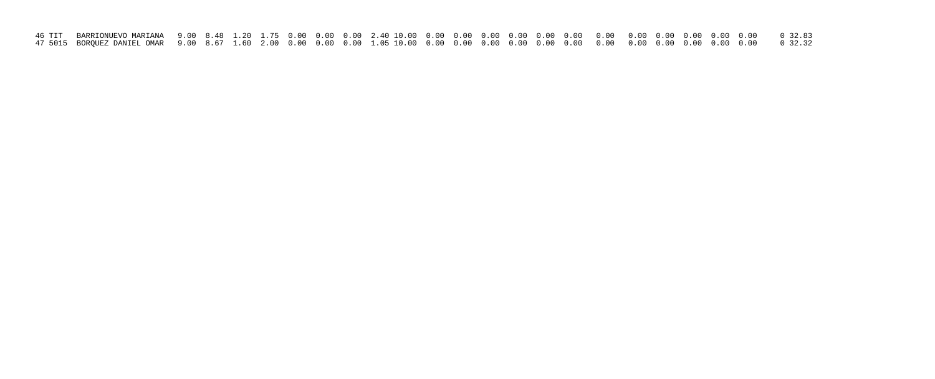| 47 5015 BORQUEZ DANIEL OMAR   9.00   8.67   1.60   2.00   0.00   0.00   0.00   0.00   0.00   0.00   0.00   0.00   0.00   0.00   0.00   0.00   0.00   0.00   0.00   0.00   0.00   0.00   0.00   0.00   0.00   0.00   0.00   0.0 |  |  |  |  |  |  |  |  |  |  |  |
|--------------------------------------------------------------------------------------------------------------------------------------------------------------------------------------------------------------------------------|--|--|--|--|--|--|--|--|--|--|--|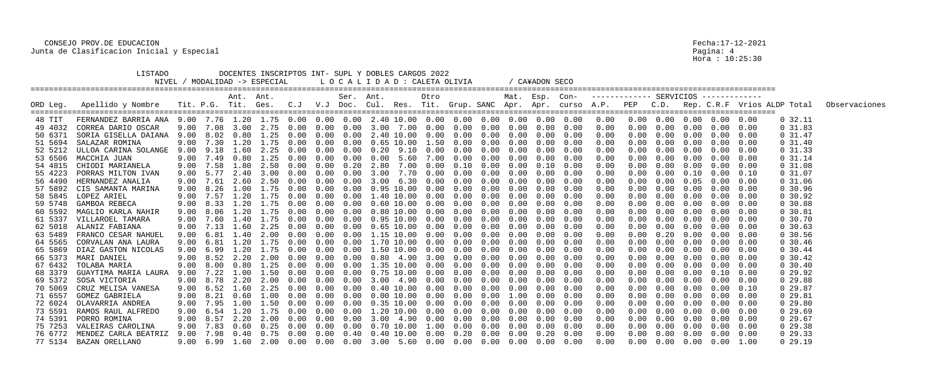|          | LISTADO<br>NIVEL /           |      |                |           | DOCENTES INSCRIPTOS INT- SUPL Y DOBLES CARGOS 2022<br>/ MODALIDAD -> ESPECIAL                             |      |               |           |      |                   | LOCALIDAD: CALETA OLIVIA |            |                                        |      | / CA¥ADON SECO |                   |                                                    |            |      |                   |                                        |      |            |                                                                                                                                    |
|----------|------------------------------|------|----------------|-----------|-----------------------------------------------------------------------------------------------------------|------|---------------|-----------|------|-------------------|--------------------------|------------|----------------------------------------|------|----------------|-------------------|----------------------------------------------------|------------|------|-------------------|----------------------------------------|------|------------|------------------------------------------------------------------------------------------------------------------------------------|
|          |                              |      |                | Ant. Ant. |                                                                                                           |      |               | Ser. Ant. |      |                   | Otro                     |            |                                        |      |                |                   | Mat. Esp. Con- ------------ SERVICIOS ------------ |            |      |                   |                                        |      |            |                                                                                                                                    |
| ORD Leg. | Apellido y Nombre            |      |                |           |                                                                                                           |      |               |           |      |                   |                          |            |                                        |      |                |                   |                                                    |            |      |                   |                                        |      |            | Tit. P.G. Tit. Ges. C.J V.J Doc. Cul. Res. Tit. Grup. SANC Apr. Apr. curso A.P. PEP C.D. Rep. C.R.F Vrios ALDP Total Observaciones |
| 48 TIT   |                              |      |                |           |                                                                                                           |      |               |           |      |                   |                          |            |                                        |      |                |                   | 0.00                                               |            |      |                   | $0.00 \t 0.00 \t 0.00 \t 0.00 \t 0.00$ |      | $0\,32.11$ |                                                                                                                                    |
| 49 4032  | CORREA DARIO OSCAR           | 9.00 | 7.08           | 3.00      | 2.75                                                                                                      | 0.00 | 0.00          | 0.00      |      | 3.00 7.00         | 0.00                     | $0\,.\,00$ | 0.00                                   | 0.00 | 0.00           | 0.00              | 0.00                                               | 0.00       | 0.00 | 0.00              | 0.00                                   | 0.00 | $0\,31.83$ |                                                                                                                                    |
| 50 6371  | SORIA GISELLA DAIANA         |      | 9.00 8.02 0.80 |           | 1.25                                                                                                      | 0.00 | 0.00          | 0.00      |      | 2.40 10.00        | 0.00                     |            | $0.00 \quad 0.00$                      | 0.00 | 0.00           | 0.00              | 0.00                                               | 0.00       | 0.00 | 0.00              | 0.00                                   | 0.00 | $0\,31.47$ |                                                                                                                                    |
| 51 5694  | SALAZAR ROMINA               | 9.00 |                |           | 7.30 1.20 1.75                                                                                            | 0.00 | 0.00          | 0.00      |      |                   | $0.65$ 10.00 1.50        |            | $0.00 \quad 0.00$                      | 0.00 | 0.00           | 0.00              | 0.00                                               | 0.00       | 0.00 | 0.00              | 0.00                                   | 0.00 | $0\,31.40$ |                                                                                                                                    |
| 52 5212  | ULLOA CARINA SOLANGE         | 9.00 | 9.18           | 1.60      | 2.25                                                                                                      |      | 0.00          |           | 0.20 | 9.10              | 0.00                     | 0.00       | 0.00                                   | 0.00 | 0.00           | 0.00              | 0.00                                               |            | 0.00 | 0.00              | 0.00                                   | 0.00 | $0\,31.33$ |                                                                                                                                    |
| 53 6506  | MACCHIA JUAN                 | 9.00 | 7.49           | 0.80      | 1.25                                                                                                      | 0.00 | 0.00          |           |      | $0.00 \quad 5.60$ | 7.00                     | 0.00       | 0.00                                   | 0.00 | 0.00           | 0.00              | 0.00                                               |            | 0.00 | 0.00              | 0.00                                   | 0.00 | $0\,31.14$ |                                                                                                                                    |
| 54 4815  | CHIODI MARIANELA             | 9.00 | 7.58           | 1.80      | 2.50                                                                                                      | 0.00 | (0.00)        | 0.20      |      | 2.80 7.00         | 0.00                     | 0.10       | 0.00                                   | 0.00 | 0.10           | 0.00              | 0.00                                               |            | 0.00 | 0.00              | 0.00                                   | 0.00 | $0\,31.08$ |                                                                                                                                    |
| 55 4223  | PORRAS MILTON IVAN           | 9.00 |                | 2.40      | $-3.00$                                                                                                   |      | (0.00)        |           | 3.00 | 7.70              | 0.00                     | 0.00       | 0.00                                   | 0.00 | 0.00           | 0.00              | 0.00                                               |            | 0.00 | 0.10              | 0.00                                   | 0.10 | $0\,31.07$ |                                                                                                                                    |
| 56 4490  | HERNANDEZ ANALIA             | 9.00 | 7.61           | 2.60      | 2.50                                                                                                      | 0.00 | 0.00          |           |      | 3.00 6.30         | 0.00                     | 0.00       | 0.00                                   | 0.00 | 0.00           | 0.00              | 0.00                                               |            | 0.00 | 0.05              | 0.00                                   | 0.00 | 0, 31.06   |                                                                                                                                    |
| 57 5892  | CIS SAMANTA MARINA           |      | 9.00 8.26 1.00 |           | 1.75                                                                                                      | 0.00 | (0.00)        | 0.00      |      | 0.95 10.00        | 0.00                     |            | $0.00 \quad 0.00$                      | 0.00 | 0.00           | 0.00              | 0.00                                               |            | 0.00 | 0.00              | 0.00                                   | 0.00 | 0, 30.96   |                                                                                                                                    |
| 58 5845  | LOPEZ ARIEL                  | 9.00 | 7.57           | 1.20      |                                                                                                           |      | (0.00)        |           |      | 1.40 10.00        | 0.00                     | 0.00       | 0.00                                   | 0.00 | 0.00           | 0.00              | 0.00                                               |            | 0.00 | 0.00              | 0.00                                   | 0.00 | 0, 30.92   |                                                                                                                                    |
| 59 5748  | GAMBOA REBECA                | 9.00 | 8.33           | 1.20      | 1.75                                                                                                      | 0.00 | (1.00)        | (1.00)    |      | $0.60$ 10.00      | 0.00                     | 0.00       | 0.00                                   | 0.00 | 0.00           | 0.00              | 0.00                                               |            | 0.00 | 0.00              | 0.00                                   | 0.00 | 0, 30.88   |                                                                                                                                    |
| 60 5592  | MAGLIO KARLA NAHIR           |      |                |           | $9.00$ $8.06$ $1.20$ $1.75$                                                                               | 0.00 | 0.00          | 0.00      |      | 0.80 10.00        | 0.00                     |            | $0.00 \quad 0.00$                      | 0.00 | 0.00           | 0.00              | 0.00                                               |            | 0.00 | 0.00              | 0.00                                   | 0.00 | $0\,30.81$ |                                                                                                                                    |
| 61 5337  | VILLAROEL TAMARA             | 9.00 | 7.60           | 1.40      | 1.75                                                                                                      | 0.00 | 0.00          |           |      | $0.95$ $10.00$    | 0.00                     | 0.00       | 0.00                                   | 0.00 | 0.00           | 0.00              | 0.00                                               |            | 0.00 | 0.00              | 0.00                                   | 0.00 | 0, 30, 70  |                                                                                                                                    |
| 62 5018  | ALANIZ FABIANA               | 9.00 | 7.13           | 1.60      | 2.25                                                                                                      | 0.00 | (1.00)        |           |      | $0.65$ $10.00$    | 0.00                     | 0.00       | 0.00                                   | 0.00 | 0.00           | 0.00              | 0.00                                               |            | 0.00 | (0.00)            | 0.00                                   | 0.00 | 0, 30.63   |                                                                                                                                    |
| 63 5489  | FRANCO CESAR NAHUEL          |      | 9.00 6.81      | 1.40      |                                                                                                           |      |               | 0.00      |      | 1.15 10.00        | 0.00                     | 0.00       | 0.00                                   | 0.00 | 0.00           | 0.00              | 0.00                                               |            | 0.20 | (0.00)            | 0.00                                   | 0.00 | 0, 30.56   |                                                                                                                                    |
| 64 5565  | CORVALAN ANA LAURA           | 9.00 | 6.81           | 1.20      | 1.75                                                                                                      | 0.00 | 0.00          |           |      | 1.70 10.00        | 0.00                     | 0.00       | 0.00                                   | 0.00 | 0.00           | 0.00              | 0.00                                               |            | 0.00 | 0.00              | 0.00                                   | 0.00 | $0\,30.46$ |                                                                                                                                    |
| 65 5869  | DIAZ GASTON NICOLAS          |      | 9.00 6.99      | 1.20      | 1.75                                                                                                      | 0.00 | 0.00          |           |      | 1.50 10.00        | 0.00                     | 0.00       | 0.00                                   | 0.00 | 0.00           | 0.00              | 0.00                                               |            | 0.00 | 0.00              | 0.00                                   | 0.00 | $0\,30.44$ |                                                                                                                                    |
| 66 5373  | MARI DANIEL                  | 9.00 |                | 8.52 2.20 | 2.00                                                                                                      | 0.00 | $(1 \cdot 0)$ |           |      | $0.80 \quad 4.90$ | 3.00                     | 0.00       | 0.00                                   | 0.00 | 0.00           | 0.00              | 0.00                                               |            | 0.00 | 0.00              | 0.00                                   | 0.00 | $0\,30.42$ |                                                                                                                                    |
| 67 6432  | TOLABA MARIA                 | 9.00 | 8.00           | 0.80      | 1.25                                                                                                      |      | 0.00          |           | . 35 | 10.00             | 0.00                     | 0.00       | 0.00                                   | 0.00 | 0.00           | 0.00              | 0.00                                               |            | 0.00 | 0.00              | 0.00                                   | 0.00 | $0\,30.40$ |                                                                                                                                    |
| 68 3379  | GUAYTIMA MARIA LAURA         | 9.00 |                | 7.22 1.00 | 1.50                                                                                                      | 0.00 | 0.00          | 0.00      |      | 0.75 10.00        | 0.00                     | $0\,.\,00$ | 0.00                                   | 0.00 | 0.00           | 0.00              | 0.00                                               | 0.00       | 0.00 | 0.00              | 0.10                                   | 0.00 | $0\ 29.92$ |                                                                                                                                    |
|          | 69 5372 SOSA VICTORIA        |      |                |           | 9.00 8.78 2.20 2.00                                                                                       | 0.00 | 0.00          | 0.00      |      |                   | 3.00 4.90 0.00           |            | $0.00 \quad 0.00$                      | 0.00 |                | $0.00 \quad 0.00$ | 0.00                                               |            | 0.00 | 0.00              | $0.00 \quad 0.00$                      |      | 0, 29.88   |                                                                                                                                    |
| 70 5069  | CRUZ MELISA VANESA           |      |                |           | 9.00 6.52 1.60 2.25 0.00 0.00 0.00 0.40 10.00 0.00                                                        |      |               |           |      |                   |                          |            | $0.00 \t 0.00 \t 0.00 \t 0.00 \t 0.00$ |      |                |                   | 0.00                                               |            | 0.00 | 0.00              | 0.00                                   | 0.10 | $0\,29.87$ |                                                                                                                                    |
| 71 6557  | GOMEZ GABRIELA               |      |                |           |                                                                                                           |      |               |           |      |                   |                          |            |                                        |      |                |                   | 0.00                                               | 0.00       |      | $0.00 \quad 0.00$ | 0.00                                   | 0.00 | 0 29.81    |                                                                                                                                    |
| 72 6024  | OLAVARRIA ANDREA             |      |                |           | $9.00$ $7.95$ $1.00$ $1.50$ $0.00$ $0.00$ $0.00$ $0.35$ $10.00$ $0.00$ $0.00$ $0.00$ $0.00$ $0.00$ $0.00$ |      |               |           |      |                   |                          |            |                                        |      |                |                   | 0.00                                               | 0.00       |      |                   | $0.00 \quad 0.00 \quad 0.00$           | 0.00 | 0, 29.80   |                                                                                                                                    |
| 73 5591  | RAMOS RAUL ALFREDO           |      |                |           | 9.00 6.54 1.20 1.75 0.00 0.00 0.00 1.20 10.00 0.00                                                        |      |               |           |      |                   |                          |            | $0.00$ $0.00$ $0.00$ $0.00$            |      |                | 0.00              | 0.00                                               | 0.00       | 0.00 | 0.00              | 0.00                                   | 0.00 | 0, 29.69   |                                                                                                                                    |
| 74 5391  | PORRO ROMINA                 |      |                |           | 9.00 8.57 2.20 2.00 0.00 0.00 0.00 3.00 4.90 0.00                                                         |      |               |           |      |                   |                          |            | $0.00 \t 0.00 \t 0.00 \t 0.00 \t 0.00$ |      |                |                   | 0.00                                               | 0.00       |      | $0.00 \quad 0.00$ | 0.00                                   | 0.00 | 029.67     |                                                                                                                                    |
| 75 7253  | VALEIRAS CAROLINA            |      |                |           | 9.00 7.83  0.60  0.25  0.00  0.00  0.00  0.70  10.00  1.00                                                |      |               |           |      |                   |                          |            | $0.00$ $0.00$ $0.00$                   |      |                | $0.00 \quad 0.00$ | 0.00                                               | 0.00       |      | $0.00 \quad 0.00$ | 0.00                                   | 0.00 | 0, 29.38   |                                                                                                                                    |
|          | 76 6772 MENDEZ CARLA BEATRIZ |      |                |           | 9.00 7.98  0.40  0.75  0.00  0.00  0.40  0.40  10.00  0.00                                                |      |               |           |      |                   |                          |            | $0.20$ $0.00$ $0.00$ $0.20$            |      |                | 0.00              | 0.00                                               | 0.00       |      | $0.00 \quad 0.00$ | $0.00 \quad 0.00$                      |      | 029.33     |                                                                                                                                    |
|          | 77 5134 BAZAN ORELLANO       |      |                |           | 9.00 6.99 1.60 2.00 0.00 0.00 0.00 3.00 5.60 0.00 0.00 0.00 0.00 0.00 0.00                                |      |               |           |      |                   |                          |            |                                        |      |                |                   | 0.00                                               | $0\,.\,00$ |      |                   | $0.00$ $0.00$ $0.00$ $1.00$            |      | 029.19     |                                                                                                                                    |

Pagina: 4<br>Hora : 10:25:30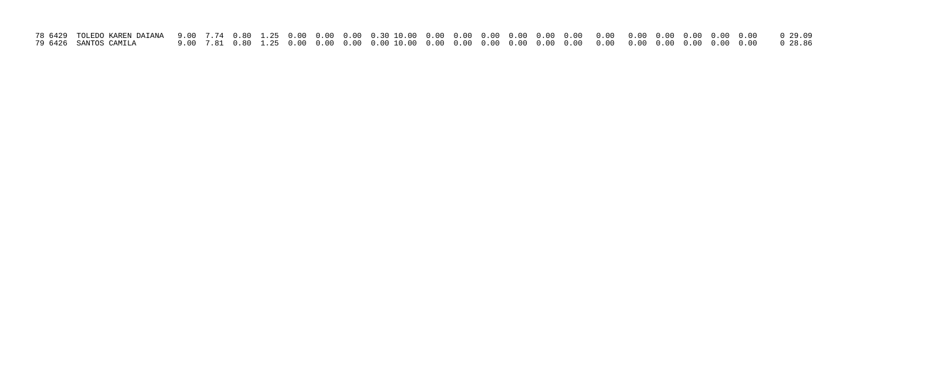| 79 6426 SANTOS CAMILA |  |  |  |  |  |  |  |  |  |  |  |
|-----------------------|--|--|--|--|--|--|--|--|--|--|--|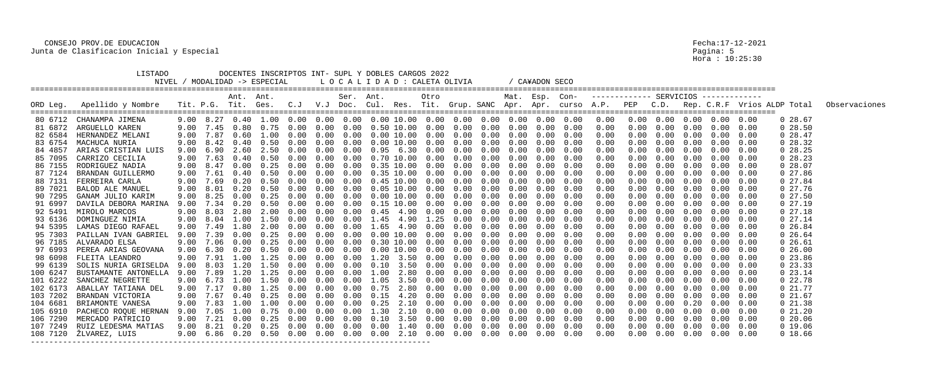|                                          | LISTADO                                                                                                                                           |                      |                                                   |                              | DOCENTES INSCRIPTOS INT- SUPL Y DOBLES CARGOS 2022<br>NIVEL / MODALIDAD -> ESPECIAL                                                                                                                                                |                               |                        | L O C A L I D A D : CALETA OLIVIA |                      |                        |                                                                       |                                |                                                                        |                                | ' CA¥ADON SECO         |                                                                                               |                                      |                                    |                                    |                              |                                                                                                                                                                                  |                              |                                                                                                                      |               |
|------------------------------------------|---------------------------------------------------------------------------------------------------------------------------------------------------|----------------------|---------------------------------------------------|------------------------------|------------------------------------------------------------------------------------------------------------------------------------------------------------------------------------------------------------------------------------|-------------------------------|------------------------|-----------------------------------|----------------------|------------------------|-----------------------------------------------------------------------|--------------------------------|------------------------------------------------------------------------|--------------------------------|------------------------|-----------------------------------------------------------------------------------------------|--------------------------------------|------------------------------------|------------------------------------|------------------------------|----------------------------------------------------------------------------------------------------------------------------------------------------------------------------------|------------------------------|----------------------------------------------------------------------------------------------------------------------|---------------|
| ORD Leg.                                 | Apellido y Nombre                                                                                                                                 |                      |                                                   | Ant. Ant.                    |                                                                                                                                                                                                                                    |                               |                        | Ser. Ant.                         |                      |                        | Otro                                                                  |                                |                                                                        | Mat. Esp. Con-                 |                        |                                                                                               |                                      |                                    |                                    |                              |                                                                                                                                                                                  |                              | Tit. P.G. Tit. Ges. C.J V.J Doc. Cul. Res. Tit. Grup. SANC Apr. Apr. curso A.P. PEP C.D. Rep. C.R.F Vrios ALDP Total | Observaciones |
| 82 6584                                  | 80 6712 CHANAMPA JIMENA<br>81 6872 ARGUELLO KAREN<br>HERNANDEZ MELANI<br>83 6754 MACHUCA NURIA                                                    | 9.00                 | 7.45<br>9.00 7.87<br>$9.00 \quad 8.42 \quad 0.40$ | 0.80<br>0.60                 | 0.75<br>1.00<br>0.50                                                                                                                                                                                                               | 0.00<br>0.00<br>0.00          | 0.00<br>0.00<br>0.00   | 0.00<br>0.00<br>0.00              |                      |                        | $0.50$ $10.00$ $0.00$<br>$0.00$ $10.00$ $0.00$<br>0.00 10.00 0.00     | 0.00<br>0.00<br>0.00           | $0\,.\,00$<br>0.00<br>0.00                                             | 0.00<br>$0\,.\,00$<br>0.00     | 0.00<br>0.00<br>0.00   | 0.00<br>0.00<br>0.00                                                                          | 0.00<br>0.00<br>0.00<br>0.00         | 0.00<br>0.00<br>0.00               | 0.00<br>0.00<br>0.00               | 0.00<br>0.00<br>0.00         | $0.00 \quad 0.00 \quad 0.00 \quad 0.00 \quad 0.00$<br>0.00<br>0.00<br>$0.00\quad 0.00$                                                                                           | 0.00<br>0.00                 | 028.67<br>0 28.50<br>0.28.47<br>0 28.32                                                                              |               |
| 84 4857<br>85 7095<br>87 7124            | ARIAS CRISTIAN LUIS<br>CARRIZO CECILIA<br>86 7155 RODRIGUEZ NADIA<br>BRANDAN GUILLERMO                                                            | 9.00<br>9.00         | 6.90<br>$9.00 \quad 7.63$<br>9.00 8.47<br>7.61    | 2.60<br>0.40<br>0.00         | 2.50<br>0.50<br>0.25<br>0.50                                                                                                                                                                                                       | 0.00<br>0.00<br>0.00          |                        | 0.00<br>0.00<br>0.00<br>(0.00)    | 0.95                 | 6.30<br>$0.35$ $10.00$ | 0.00<br>0.70 10.00 0.00<br>0.35 10.00 0.00<br>0.00                    | 0.00<br>0.00<br>0.00<br>0.00   | 0.00<br>0.00<br>0.00<br>0.00                                           | 0.00<br>0.00<br>0.00<br>0.00   | 0.00<br>0.00           | 0.00<br>0.00<br>0.00<br>0.00                                                                  | 0.00<br>0.00<br>0.00<br>0.00         | 0.00<br>0.00<br>0.00               | 0.00<br>0.00<br>0.00<br>0.00       | 0.00<br>0.00<br>0.00<br>0.00 | 0.00<br>0.00<br>0.00<br>0.00                                                                                                                                                     | 0.00<br>0.00<br>0.00<br>0.00 | $0\,28.25$<br>028.23<br>0 28.07<br>$0\ 27.86$                                                                        |               |
| 88 7131<br>89 7021<br>90 7295<br>91 6997 | FERREIRA CARLA<br>BALOD ALE MANUEL<br>GANAM JULIO KARIM<br>DAVILA DEBORA MARINA                                                                   | 9.00<br>9.00<br>9.00 | 7.69<br>9.00 8.01<br>8.25<br>7.34                 | 0.20<br>0.20<br>0.00<br>0.20 | 0.50<br>0.50<br>0.25<br>0.50                                                                                                                                                                                                       | 0.00<br>0.00<br>0.00          | $(1 \ 0 \ 0)$          | 0.00<br>0.00<br>0.00<br>(0.00)    | 0.00                 |                        | 0.45 10.00 0.00<br>$0.05$ 10.00 0.00<br>10.00 0.00<br>0.15 10.00 0.00 | 0.00<br>0.00<br>0.00<br>0.00   | 0.00<br>0.00<br>0.00<br>0.00                                           | 0.00<br>0.00<br>0.00<br>0.00   | 0.00<br>(1.00)<br>0.00 | 0.00<br>0.00<br>0.00<br>0.00                                                                  | 0.00<br>0.00<br>0.00<br>0.00         | 0.00<br>0.00<br>0.00               | (1.00)<br>0.00                     | 0.00<br>0.00<br>0.00<br>0.00 | 0.00<br>0.00<br>0.00<br>0.00                                                                                                                                                     | 0.00<br>0.00<br>0.00<br>0.00 | 027.84<br>027.76<br>027.50<br>027.19                                                                                 |               |
| 92 5491<br>93 6136<br>95 7303            | MIROLO MARCOS<br>DOMINGUEZ NIMIA<br>94 5395 LAMAS DIEGO RAFAEL<br>PAILLAN IVAN GABRIEL                                                            | 9.00<br>9.00<br>9.00 | $9.00 \quad 8.03$<br>8.04<br>7.49<br>7.39         | 2.80<br>1.00<br>1.80<br>0.00 | 2.00<br>1.50<br>2.00<br>0.25                                                                                                                                                                                                       | 0.00<br>0.00<br>$(1 \cdot 0)$ |                        | 0.00<br>0.00                      | 0.45<br>1.45<br>1.65 | 4.90<br>4.90           | 4.90 0.00<br>1.25<br>0.00<br>0.00 10.00 0.00                          | 0.00<br>0.00<br>(0.00)<br>0.00 | 0.00<br>0.00<br>0.00<br>0.00                                           | 0.00<br>0.00<br>0.00<br>0.00   | 0.00<br>0.00<br>0.00   | 0.00<br>0.00<br>0.00<br>0.00                                                                  | 0.00<br>0.00<br>0.00<br>0.00         | 0.00<br>0.00<br>0.00<br>0.00       | 0.00<br>0.00<br>(1.00)             | 0.00<br>0.00<br>0.00<br>0.00 | $0.00$ $0.00$<br>0.00<br>0.00<br>0.00                                                                                                                                            | 0.00<br>0.00<br>0.00         | 027.18<br>027.14<br>0, 26.84<br>0, 26.64                                                                             |               |
| 96 7185<br>97 6993<br>99 6139            | ALVARADO ELSA<br>PEREA ARIAS GEOVANA<br>98 6098 FLEITA LEANDRO<br>SOLIS NURIA GRISELDA                                                            | 9.00<br>9.00<br>9.00 | 7.06<br>9.00 6.30<br>7.91<br>8.03                 | 0.00<br>0.20<br>1.00<br>.20  | 0.25<br>(1.50)<br>1.25<br>1.50                                                                                                                                                                                                     | 0.00<br>(0.00)<br>0.00        | 0.00<br>$(1 \cdot 11)$ | 0.00<br>(1.00)<br>$(1 \cdot 0)$   | 0.30<br>1.20<br>0.10 | 3.50<br>3.50           | 10.00 0.00<br>0.00 10.00 0.00<br>(1.00)<br>(0.00)                     | 0.00<br>(0.00)<br>(1.00)       | 0.00<br>0.00<br>0.00<br>0.00                                           | 0.00<br>0.00<br>0.00<br>0.00   | 0.00<br>0.00<br>0.00   | 0.00<br>0.00<br>0.00<br>0.00                                                                  | 0.00<br>0.00<br>0.00<br>0.00         | 0.00<br>0.00<br>0.00<br>0.00       | 0.00<br>0.00<br>0.00<br>0.00       | 0.00<br>0.00<br>0.00<br>0.00 | $0\,.\,00$<br>0.00<br>$0\,.\,00$<br>$0\,.\,00$                                                                                                                                   | 0.00<br>0.00<br>0.00<br>0.00 | $0\;26.61$<br>0, 26.00<br>$0\,23.86$<br>$0\,23.33$                                                                   |               |
| 100 6247                                 | BUSTAMANTE ANTONELLA<br>101 6222 SANCHEZ NEGRETTE<br>102 6173 ABALLAY TATIANA DEL<br>103 7202 BRANDAN VICTORIA                                    |                      | 9.00 7.89<br>9.00 6.73 1.00                       | 1.20                         | 1.25<br>1.50<br>$9.00$ 7.17 0.80 1.25 0.00 0.00 0.00 0.75 2.80 0.00 0.00 0.00 0.00 0.00 0.00<br>9.00 7.67 0.40 0.25 0.00                                                                                                           | 0.00<br>0.00                  | 0.00<br>0.00           | 0.00<br>0.00                      | 1.00<br>1.05         | 2.80                   | 0.00<br>3.50 0.00                                                     | 0.00<br>0.00                   | 0.00<br>$0.00$ $0.00$ $0.15$ $4.20$ $0.00$ $0.00$ $0.00$ $0.00$ $0.00$ | $0\,.\,00$<br>$0.00\quad 0.00$ | 0.00                   | 0.00<br>0.00<br>0.00<br>0.00                                                                  | 0.00<br>0.00<br>0.00<br>0.00         | 0.00<br>0.00<br>$0\,.\,00$<br>0.00 | 0.00<br>0.00<br>0.00<br>$0\,.\,00$ | 0.00<br>0.00                 | 0.00<br>$0.00 \quad 0.00$<br>$0.00 \quad 0.00$<br>$0.00\quad 0.00$                                                                                                               | 0.00<br>0.00<br>0.00         | 0 23.14<br>022.78<br>021.77<br>021.67                                                                                |               |
|                                          | 104 6681 BRIAMONTE VANESA<br>105 6910 PACHECO ROQUE HERNAN<br>106 7290 MERCADO PATRICIO<br>107 7249 RUIZ LEDESMA MATIAS<br>108 7120 ŽLVAREZ, LUIS |                      |                                                   |                              | $9.00$ $7.83$ $1.00$ $1.00$ $0.00$ $0.00$ $0.00$ $0.25$ $2.10$ $0.00$ $0.00$ $0.00$ $0.00$ $0.00$<br>$9.00$ $7.05$ $1.00$ $0.75$ $0.00$ $0.00$ $0.00$ $1.30$ $2.10$ $0.00$ $0.00$ $0.00$ $0.00$ $0.00$<br>9.00 7.21 0.00 0.25 0.00 |                               |                        |                                   |                      |                        |                                                                       |                                |                                                                        |                                |                        | 0.00<br>0.00<br>$0.00$ $0.00$ $0.10$ $3.50$ $0.00$ $0.00$ $0.00$ $0.00$ $0.00$ $0.00$<br>0.00 | 0.00<br>0.00<br>0.00<br>0.00<br>0.00 | $0\,.\,00$<br>0.00                 | 0.00                               |                              | $0.00$ $0.00$ $0.20$ $0.00$ $0.00$<br>$0.00 \t 0.00 \t 0.00 \t 0.00$<br>$0.00 \quad 0.00 \quad 0.00$<br>$0.00$ $0.00$ $0.00$ $0.00$ $0.00$<br>$0.00$ $0.00$ $0.00$ $0.00$ $0.00$ |                              | 021.38<br>021.20<br>020.06<br>0 19.06<br>0 18.66                                                                     |               |

Fecha:17-12-2021<br>Pagina: 5<br>Hora : 10:25:30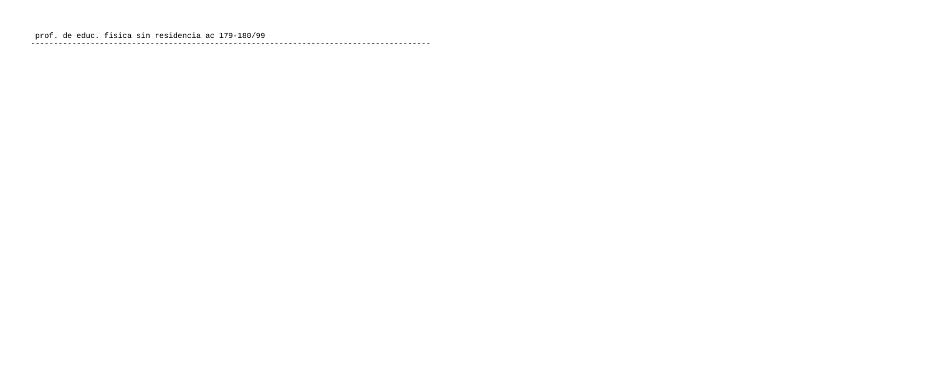prof. de educ. fisica sin residencia ac 179-180/99 ---------------------------------------------------------------------------------------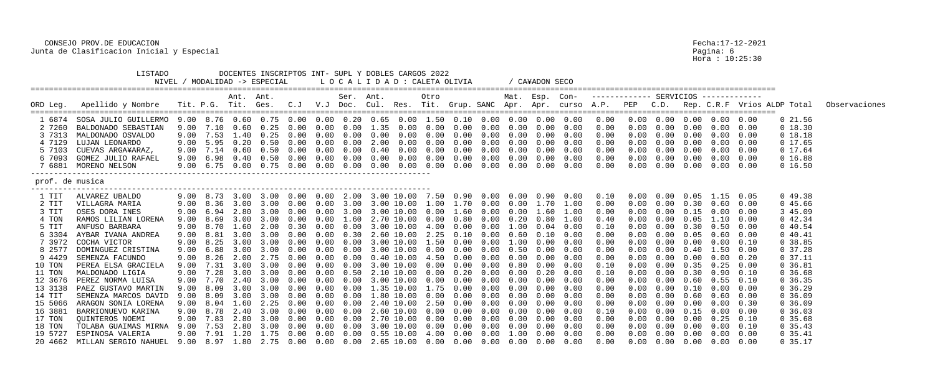|                 | LISTADO                      |      |      |           | DOCENTES INSCRIPTOS INT- SUPL Y DOBLES CARGOS 2022<br>MODALIDAD -> ESPECIAL |                  |        |           |            |            | LOCALIDAD: CALETA OLIVIA |            |                                                                          |      | / CA¥ADON SECO |                                                                               |                                                                                 |            |      |                   |                                        |      |                             |               |
|-----------------|------------------------------|------|------|-----------|-----------------------------------------------------------------------------|------------------|--------|-----------|------------|------------|--------------------------|------------|--------------------------------------------------------------------------|------|----------------|-------------------------------------------------------------------------------|---------------------------------------------------------------------------------|------------|------|-------------------|----------------------------------------|------|-----------------------------|---------------|
|                 |                              |      |      | Ant. Ant. |                                                                             |                  |        | Ser. Ant. |            |            | Otro                     |            |                                                                          |      | Mat. Esp. Con- |                                                                               |                                                                                 |            |      |                   |                                        |      |                             |               |
| ORD Leg.        | Apellido y Nombre            |      |      |           |                                                                             |                  |        |           |            |            |                          |            |                                                                          |      |                |                                                                               | Tit. P.G. Tit. Ges. C.J V.J Doc. Cul. Res. Tit. Grup. SANC Apr. Apr. curso A.P. | PEP        | C.D. |                   |                                        |      | Rep. C.R.F Vrios ALDP Total | Observaciones |
|                 | 1 6874 SOSA JULIO GUILLERMO  |      |      |           |                                                                             |                  |        |           |            |            |                          |            |                                                                          |      |                | 9.00 8.76 0.60 0.75 0.00 0.00 0.20 0.65 0.00 1.50 0.10 0.00 0.00 0.00 0.00    | 0.00                                                                            |            |      |                   | $0.00 \t 0.00 \t 0.00 \t 0.00 \t 0.00$ |      | 021.56                      |               |
| 27260           | BALDONADO SEBASTIAN          | 9.00 |      | (1.60)    | 0.25                                                                        | (0.00)           | 0.00   | (1.00)    | 1.35       | (1.00)     | 0.00                     | 0.00       | 0.00                                                                     | 0.00 | 0.00           | 0.00                                                                          | 0.00                                                                            |            | 0.00 |                   | 0.00                                   |      | 0 18.30                     |               |
| 3 7313          | MALDONADO OSVALDO            | 9.00 |      |           | 7.53 1.40 0.25                                                              | 0.00             | 0.00   |           | 0.00       | 0.00       | 0.00                     | $0\,.\,00$ | 0.00                                                                     | 0.00 | 0.00           | 0.00                                                                          | 0.00                                                                            | 0.00       | 0.00 | 0.00              | 0.00                                   | 0.00 | 0 18.18                     |               |
| 4 7129          | LUJAN LEONARDO               |      |      |           | $9.00$ 5.95 0.20 0.50                                                       | 0.00             | 0.00   | 0.00      |            |            | 2.00 0.00 0.00           |            | $0.00 \t 0.00 \t 0.00$                                                   |      |                | $0.00 \quad 0.00$                                                             | 0.00                                                                            | 0.00       |      | $0.00 \quad 0.00$ | $0.00\quad 0.00$                       |      | 0 17.65                     |               |
| 5 7103          | CUEVAS ARGA¥ARAZ,            | 9.00 | 7.14 | 0.60      | 0.50                                                                        |                  | (0.00) |           | 0.40       | 0.00       | 0.00                     | 0.00       | 0.00                                                                     | 0.00 | 0.00           | 0.00                                                                          | 0.00                                                                            |            | 0.00 | 0.00              | 0.00                                   | 0.00 | 0 17.64                     |               |
| 6 7093          | GOMEZ JULIO RAFAEL           | 9.00 | 6.98 | 0.40      | 0.50                                                                        |                  | (0.00) |           | 0.00       | 0.00       | 0.00                     | 0.00       | 0.00                                                                     | 0.00 | 0.00           | 0.00                                                                          | 0.00                                                                            | 0.00       | 0.00 | 0.00              | 0.00                                   | 0.00 | 0 16.88                     |               |
| 7 6881          | MORENO NELSON                |      |      |           | 9.00 6.75 0.00 0.75                                                         | $0\,.\,00$       | 0.00   | 0.00      |            |            | $0.00 \t 0.00 \t 0.00$   |            | $0.00 \quad 0.00 \quad 0.00$                                             |      |                | $0.00\quad 0.00$                                                              | 0.00                                                                            | 0.00       |      | $0.00 \quad 0.00$ | $0.00$ $0.00$                          |      | 0 16.50                     |               |
| prof. de musica |                              |      |      |           |                                                                             |                  |        |           |            |            |                          |            |                                                                          |      |                |                                                                               |                                                                                 |            |      |                   |                                        |      |                             |               |
| 1 TIT           | ALVAREZ UBALDO               | 9.00 |      | 8.73 3.00 | 3.00                                                                        | $0.00$ $0.00$    |        | 2.00      | 3.00 10.00 |            | 7.50                     |            | 0.90  0.00  0.00  0.90                                                   |      |                | 0.00                                                                          | 0.10                                                                            |            |      | 0.05              | 1.15                                   | 0.05 | 049.38                      |               |
| 2 TIT           | VILLAGRA MARIA               | 9.00 |      |           | 8.36 3.00 3.00                                                              | $0.00 \pm 0.00$  |        | 3.00      | 3.00 10.00 |            | 1.00                     |            | 1.70 0.00                                                                | 0.00 | 1.70           | 1.00                                                                          | 0.00                                                                            | 0.00       | 0.00 | 0.30              | 0.60                                   | 0.00 | 045.66                      |               |
| 3 TIT           | OSES DORA INES               | 9.00 | 6.94 | 2.80 3.00 |                                                                             | 0.00             | 0.00   | 3.00      |            |            | 3.00 10.00 0.00          |            | 1.60 0.00                                                                | 0.00 | 1.60           | 1.00                                                                          | 0.00                                                                            |            | 0.00 | 0.15              | 0.00                                   | 0.00 | 3 45.09                     |               |
| 4 TON           | RAMOS LILIAN LORENA          | 9.00 | 8.69 | 3.00      | 3.00                                                                        | $(1 \cdot 0)$    | (0.00) | 1.60      |            | 2.70 10.00 | 0.00                     | 0.80       | 0.00                                                                     | 0.20 | 0.80           | 1.00                                                                          | 0.40                                                                            |            | 0.00 | 0.05              | 1.10                                   | 0.00 | $0\;42.34$                  |               |
| 5 TIT           | ANFUSO BARBARA               | 9.00 | 8.70 | 1.60      | 2.00                                                                        | 0.30             | 0.00   |           |            | 3.00 10.00 | 4.00                     | 0.00       | 0.00                                                                     | 1.00 | 0.04           | 0.00                                                                          | 0.10                                                                            |            | 0.00 | 0.30              | 0.50                                   | 0.00 | 040.54                      |               |
| 6 3304          | AYBAR IVANA ANDREA           | 9.00 | 8.81 | 3.00      |                                                                             |                  | 0.OO   | 0.30      |            |            | 2.60 10.00 2.25          | 0.10       | 0.00                                                                     | 0.60 | 0.10           | 0.00                                                                          | 0.00                                                                            |            | 0.00 | 0.05              | 0.60                                   | 0.00 | 040.41                      |               |
| 73972           | COCHA VICTOR                 |      |      |           |                                                                             |                  | (0.00) |           |            | 3.00 10.00 | 1.50                     | 0.00       | 0.00                                                                     | 1.00 | 0.00           | 0.00                                                                          | 0.00                                                                            |            | 0.00 | 0.00              | 0.00                                   | 0.10 | 0.38.85                     |               |
| 8 2577          | DOMINGUEZ CRISTINA           | 9.00 | 6.88 | 3.00      | 3.00                                                                        |                  | (0.00) |           |            | 3.00 10.00 | 0.00                     | 0.00       | 0.00                                                                     | 0.50 | 0.00           | 0.00                                                                          | 0.00                                                                            |            | 0.00 | 0.40              | 1.50                                   | 0.00 | 037.28                      |               |
| 9 4429          | SEMENZA FACUNDO              | 9.00 | 8.26 | 2.00      | 2.75                                                                        | 0.00             | 0.00   | 0.00      |            |            | $0.40$ 10.00 4.50        | 0.00       | $0\,.\,00$                                                               | 0.00 | 0.00           | 0.00                                                                          | 0.00                                                                            |            | 0.00 | 0.00              | $0.00$ $0.20$                          |      | $0\,37.11$                  |               |
| 10 TON          | PEREA ELSA GRACIELA          | 9.00 | 7.31 | 3.00      |                                                                             |                  |        |           |            | 3.00 10.00 | 0.00                     | 0.00       | 0.00                                                                     | 0.80 | 0.00           | 0.00                                                                          | 0.10                                                                            |            | 0.00 | 0.35              | 0.25                                   | 0.00 | $0\,36.81$                  |               |
| 11 TON          | MALDONADO LIGIA              | 9.00 | 7.28 | 3.00      | 3.00                                                                        |                  | 0.00   | 0.50      |            | 2.10 10.00 | 0.00                     | $0\,.20$   | 0.00                                                                     | 0.00 | 0.20           | 0.00                                                                          | 0.10                                                                            |            | 0.00 | 0.30              | 0.90                                   | 0.10 | 0, 36.68                    |               |
|                 | 12 3676 PEREZ NORMA LUISA    |      |      |           | 9.00 7.70 2.40 3.00                                                         | $0.00\quad 0.00$ |        | 0.00      |            |            | 3.00 10.00 0.00          |            | $0.00 \quad 0.00$                                                        | 0.00 |                | $0.00 \quad 0.00$                                                             | 0.00                                                                            |            |      | $0.00 \quad 0.60$ | $0.55$ $0.10$                          |      | 0, 36.35                    |               |
| 13 3138         | PAEZ GUSTAVO MARTIN          |      |      |           |                                                                             |                  |        |           |            |            |                          |            | 9.00 8.09 3.00 3.00 0.00 0.00 0.00 1.35 10.00 1.75 0.00 0.00 0.00        |      | $0\,.\,00$     | 0.00                                                                          |                                                                                 |            |      | $0.00$ $0.10$     | 0.00                                   |      | 0, 36.29                    |               |
| 14 TIT          | SEMENZA MARCOS DAVID         |      |      |           | 9.00 8.09 3.00 3.00 0.00 0.00 0.00 1.80 10.00 0.00                          |                  |        |           |            |            |                          |            | $0.00$ $0.00$ $0.00$ $0.00$                                              |      |                | 0.00                                                                          | 0.00                                                                            | 0.00       |      | $0.00 \quad 0.60$ | 0.60                                   | 0.00 | 0, 36.09                    |               |
| 15 5066         | ARAGON SONIA LORENA          |      |      |           |                                                                             |                  |        |           |            |            |                          |            |                                                                          |      |                | $9.00$ 8.04 1.60 2.25 0.00 0.00 0.00 2.40 10.00 2.50 0.00 0.00 0.00 0.00 0.00 | 0.00                                                                            | $0\,.\,00$ |      |                   | $0.00 \t 0.00 \t 0.00 \t 0.30$         |      | 0, 36.09                    |               |
| 16 3881         | BARRIONUEVO KARINA           |      |      |           |                                                                             |                  |        |           |            |            |                          |            | $9.00$ 8.78 2.40 3.00 0.00 0.00 0.00 2.60 10.00 0.00 0.00 0.00 0.00 0.00 |      |                | 0.00                                                                          | 0.10                                                                            | 0.00       |      |                   | $0.00 \t 0.15 \t 0.00 \t 0.00$         |      | 0, 36.03                    |               |
| 17 TON          | QUINTEROS NOEMI              |      |      |           | 9.00 7.83 2.80 3.00 0.00 0.00 0.00 2.70 10.00 0.00                          |                  |        |           |            |            |                          |            | $0.00$ $0.00$ $0.00$                                                     |      |                | $0.00\quad 0.00$                                                              | 0.00                                                                            | 0.00       |      |                   | $0.00 \quad 0.00 \quad 0.25$           | 0.10 | 0, 35.68                    |               |
| 18 TON          | TOLABA GUAIMAS MIRNA         |      |      |           |                                                                             |                  |        |           |            |            |                          |            |                                                                          |      |                |                                                                               | 0.00                                                                            | 0.00       |      |                   | $0.00$ $0.00$ $0.00$ $0.10$            |      | 0, 35.43                    |               |
| 19 5727         | ESPINOSA VALERIA             |      |      |           |                                                                             |                  |        |           |            |            |                          |            |                                                                          |      |                | 9.00 7.91 1.20 1.75 0.00 0.00 0.00 0.55 10.00 4.00 0.00 0.00 1.00 0.00 0.00   | 0.00                                                                            | 0.00       |      |                   | $0.00 \t 0.00 \t 0.00 \t 0.00$         |      | 0, 35.41                    |               |
|                 | 20 4662 MILLAN SERGIO NAHUEL |      |      |           |                                                                             |                  |        |           |            |            |                          |            |                                                                          |      |                | 9.00 8.97 1.80 2.75 0.00 0.00 0.00 2.65 10.00 0.00 0.00 0.00 0.00 0.00 0.00   | 0.00                                                                            |            |      |                   | $0.00$ $0.00$ $0.00$ $0.00$ $0.00$     |      | 0.35.17                     |               |

Pagina: 6<br>Hora : 10:25:30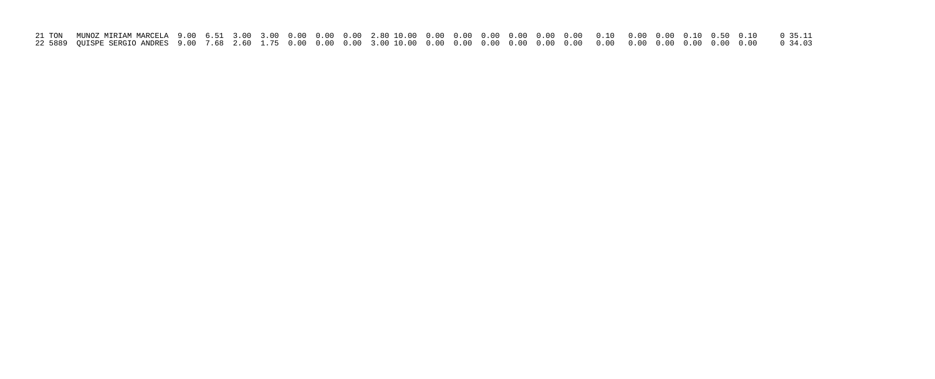| 21 TON MUNOZ MIRIAM MARCELA 9.00 6.51 3.00 3.00 0.00 0.00 0.00 2.80 10.00 0.00 0.00 0.00 0.00 0.00 0.10 0.00 0.10 0.50 0.10 0.50 0.10 0.50 0.11 |  |  |  |  |  |  |  |  |  |  |  |
|-------------------------------------------------------------------------------------------------------------------------------------------------|--|--|--|--|--|--|--|--|--|--|--|
|                                                                                                                                                 |  |  |  |  |  |  |  |  |  |  |  |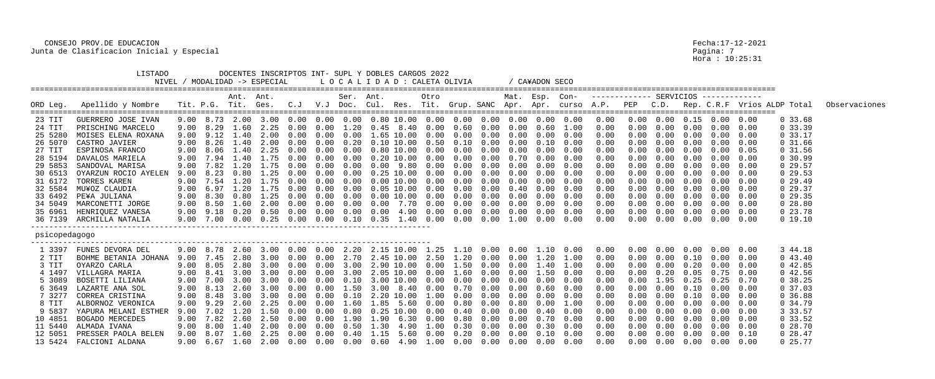|                                                                                                                                                     | LISTADO                                                                                                                                                                                                                                                                       |                                                                                              |                                                                              |                                                                                                       | MODALIDAD -> ESPECIAL                                                                                    |                                                        |                                                                                              |                                        | DOCENTES INSCRIPTOS INT- SUPL Y DOBLES CARGOS 2022<br>L O C A L I D A D : CALETA OLIVIA                                                                                                                                                                                                                                                                                                                                                                                                |                                                                                 |                                                                                                                                           |                                                                                              |                                                                                                                   |                                                                                                      | CA¥ADON SECO                                                                                                                 |                                                                                                      |                                                                                                                    |                                                                                  |                                                                                                                                    |                                                                                                                       |                                                                                                                                                                                                                                   |                                                                                              |                                                                                                                                                                      |               |
|-----------------------------------------------------------------------------------------------------------------------------------------------------|-------------------------------------------------------------------------------------------------------------------------------------------------------------------------------------------------------------------------------------------------------------------------------|----------------------------------------------------------------------------------------------|------------------------------------------------------------------------------|-------------------------------------------------------------------------------------------------------|----------------------------------------------------------------------------------------------------------|--------------------------------------------------------|----------------------------------------------------------------------------------------------|----------------------------------------|----------------------------------------------------------------------------------------------------------------------------------------------------------------------------------------------------------------------------------------------------------------------------------------------------------------------------------------------------------------------------------------------------------------------------------------------------------------------------------------|---------------------------------------------------------------------------------|-------------------------------------------------------------------------------------------------------------------------------------------|----------------------------------------------------------------------------------------------|-------------------------------------------------------------------------------------------------------------------|------------------------------------------------------------------------------------------------------|------------------------------------------------------------------------------------------------------------------------------|------------------------------------------------------------------------------------------------------|--------------------------------------------------------------------------------------------------------------------|----------------------------------------------------------------------------------|------------------------------------------------------------------------------------------------------------------------------------|-----------------------------------------------------------------------------------------------------------------------|-----------------------------------------------------------------------------------------------------------------------------------------------------------------------------------------------------------------------------------|----------------------------------------------------------------------------------------------|----------------------------------------------------------------------------------------------------------------------------------------------------------------------|---------------|
| ORD Leg.                                                                                                                                            | Apellido y Nombre                                                                                                                                                                                                                                                             |                                                                                              | Tit. P.G. Tit. Ges.                                                          | Ant. Ant.                                                                                             |                                                                                                          | C. J                                                   | $V \cdot J$                                                                                  | Ser. Ant.<br>Doc.                      | Cul. Res. Tit. Grup. SANC Apr. Apr. curso A.P.                                                                                                                                                                                                                                                                                                                                                                                                                                         |                                                                                 | Otro                                                                                                                                      |                                                                                              |                                                                                                                   |                                                                                                      | Mat. Esp. Con-                                                                                                               |                                                                                                      | ------------- SERVICIOS -------------                                                                              | PEP                                                                              | C.D.                                                                                                                               |                                                                                                                       |                                                                                                                                                                                                                                   | :==========                                                                                  | Rep. C.R.F Vrios ALDP Total                                                                                                                                          | Observaciones |
| 23 TIT<br>24 TIT<br>25 5280<br>26 5070<br>27 TIT<br>28 5194<br>29 5853<br>30 6513<br>31 6172<br>32 5584<br>33 6492<br>34 5049<br>35 6961<br>36 7139 | GUERRERO JOSE IVAN<br>PRISCHING MARCELO<br>MOISES ELENA ROXANA<br>CASTRO JAVIER<br>ESPINOSA FRANCO<br>DAVALOS MARIELA<br>SANDOVAL MARISA<br>OYARZUN ROCIO AYELEN<br>TORRES KAREN<br>MU¥OZ CLAUDIA<br>PE¥A JULIANA<br>MARCONETTI JORGE<br>HENRIQUEZ VANESA<br>ARCHILLA NATALIA | 9.00<br>9.00<br>9.00<br>9.00<br>9.00<br>9.00<br>9.00<br>9.00<br>9.00<br>9.00<br>9.00<br>9.00 | 8.29<br>9.12<br>$9.00$ $8.26$ $1.40$<br>8.06<br>7.94<br>7.54<br>6.97<br>8.30 | 1.60<br>1.40<br>1.40<br>1.40<br>7.82 1.20<br>0.80<br>. . 20<br>1.20<br>0.80<br>8.50 1.60<br>7.00 0.00 | 2.25<br>2.00<br>2.00<br>2.25<br>1.75<br>. 25<br>1.75<br>1.75<br>. 25<br>2.00<br>9.18  0.20  0.50<br>0.25 | 0.00<br>0.00<br>0.00<br>0.00<br>n nn<br>0.00<br>0.00   | 0.00<br>0.00<br>0.00<br>0.00<br>0.00<br>0.00<br>0.00<br>0.00<br>0.00<br>0.00<br>0.00<br>0.00 | 1.20<br>0.20<br>0.00<br>(0.00)<br>0.10 | 0.45<br>1.65 10.00<br>$0.00 \quad 9.80$<br>0.25<br>$0.00$ $10.00$<br>$0.05$ $10.00$<br>0.00<br>0.35                                                                                                                                                                                                                                                                                                                                                                                    | 8.40<br>$0.80$ 10.00<br>$0.20$ $10.00$<br>10.00<br>$0.00$ 10.00<br>7.70<br>1.40 | 0.00<br>0.00<br>$0.10$ 10.00 0.50<br>0.00<br>0.00<br>0.00<br>0.00<br>0.00<br>0.00<br>0.00<br>0.00<br>$0.00 \quad 4.90 \quad 0.00$<br>0.00 | 0.60<br>0.00<br>0.10<br>0.00<br>0.00<br>0.00<br>0.00<br>0.00<br>0.00<br>0.00<br>0.00<br>0.00 | 0.00<br>0.00<br>0.00<br>0.00<br>0.00<br>0.00<br>0.00<br>0.00<br>0.00<br>0.00<br>0.00<br>$0.00 \quad 0.00$<br>0.00 | 0.00<br>0.00<br>0.00<br>0.00<br>0.70<br>0.00<br>0.00<br>0.00<br>0.40<br>0.00<br>0.00<br>0.00<br>1.00 | 0.60<br>0.00<br>0.10<br>0.00<br>0.00<br>0.00<br>0.00<br>0.00<br>0.00<br>0.00<br>0.00<br>0.00<br>0.00                         | 1.00<br>0.00<br>0.00<br>0.00<br>0.00<br>0.00<br>0.00<br>0.00<br>0.00<br>0.00<br>0.00<br>0.00<br>0.00 | $0\,.\,00$<br>0.00<br>0.00<br>0.00<br>0.00<br>0.00<br>0.00<br>0.00<br>0.00<br>0.00<br>0.00<br>0.00<br>0.00<br>0.00 | 0.00<br>0.00<br>0.00<br>0.00                                                     | $0.00$ $0.00$ $0.15$ $0.00$ $0.00$<br>0.00<br>0.00<br>0.00<br>0.00<br>0.00<br>0.00<br>0.00<br>0.00<br>0.00<br>0.00<br>0.00<br>0.00 | 0.00<br>0.00<br>0.00<br>0.00<br>0.00<br>(0.00)<br>0.00<br>0.00<br>(0.00)<br>0.00<br>0.00<br>$0.00 \quad 0.00$<br>0.00 | 0.00<br>0.00<br>$0.00$ $0.00$<br>0.00<br>0.00<br>0.00<br>0.00<br>0.00<br>0.00<br>0.00<br>0.00<br>0.00<br>0.00                                                                                                                     | 0.00<br>0.00<br>0.05<br>0.00<br>0.00<br>0.00<br>0.00<br>0.00<br>0.00<br>0.00<br>0.00<br>0.00 | 0, 33.68<br>0, 33.39<br>0.33.17<br>0, 31.66<br>$0\,31.56$<br>0, 30.99<br>0, 29.57<br>0, 29.53<br>0, 29.49<br>029.37<br>0, 29.35<br>0, 28.80<br>$0\,23.78$<br>0 19.10 |               |
| psicopedagogo                                                                                                                                       |                                                                                                                                                                                                                                                                               |                                                                                              |                                                                              |                                                                                                       |                                                                                                          |                                                        |                                                                                              |                                        |                                                                                                                                                                                                                                                                                                                                                                                                                                                                                        |                                                                                 |                                                                                                                                           |                                                                                              |                                                                                                                   |                                                                                                      |                                                                                                                              |                                                                                                      |                                                                                                                    |                                                                                  |                                                                                                                                    |                                                                                                                       |                                                                                                                                                                                                                                   |                                                                                              |                                                                                                                                                                      |               |
| 1 3397<br>2 TIT<br>3 TIT<br>4 1497<br>5 3089<br>6 3649<br>73277<br>8 TIT<br>9 5837<br>10 4851<br>11 5440<br>12 5051                                 | FUNES DEVORA DEL<br>BOHME BETANIA JOHANA<br>OYARZO CARLA<br>VILLAGRA MARIA<br>BOSETTI LILIANA<br>LAZARTE ANA SOL<br>CORREA CRISTINA<br>ALBORNOZ VERONICA<br>YAPURA MELANI ESTHER<br>BOGADO MERCEDES<br>ALMADA IVANA<br>PRESSER PAOLA BELEN                                    | 9.00<br>9.00<br>9.00<br>9.00<br>9.00                                                         | 8.78<br>7.45<br>8.05<br>8.41                                                 | 2.60<br>2.80<br>3.00                                                                                  | 3.00<br>2.80 3.00<br>3.00<br>3.00<br>7.00 3.00 3.00                                                      | $0.00\quad 0.00$<br>0.00<br>0.00<br>0.00<br>$0\,.\,00$ | 0.00<br>0.00<br>0.00<br>$0\,.\,00$                                                           | 2.20<br>2.70<br>3.00<br>3.00<br>0.10   | 2.90 10.00<br>2.05 10.00<br>9.00 8.13 2.60 3.00 0.00 0.00 1.50 3.00 8.40 0.00<br>9.00 9.29 2.60 2.25 0.00 0.00 1.60 1.85 5.60 0.00 0.80 0.00 0.80 0.00 1.00<br>9.00 7.02 1.20 1.50 0.00 0.00 0.80 0.25 10.00 0.00 0.40 0.00 0.00 0.40 0.00<br>$9.00$ 7.82 2.60 2.50 0.00 0.00 1.90 1.90 6.30 0.00 0.80 0.00 0.00 0.70 0.00<br>9.00 8.00 1.40 2.00 0.00 0.00 0.50 1.30 4.90 1.00 0.30 0.00 0.00 0.30 0.00<br>9.00 8.07 1.60 2.25 0.00 0.00 0.40 1.15 5.60 0.00 0.20 0.00 0.00 0.10 0.00 |                                                                                 | 2.15 10.00 1.25<br>2.45 10.00 2.50<br>0.00<br>0.00<br>3.00 10.00 0.00                                                                     | $1\ldotp20$<br>1.50<br>1.60                                                                  | 0.00<br>0.00<br>$0.00 \quad 0.00$                                                                                 | 0.00<br>0.00<br>0.00                                                                                 | $1.10$ 0.00 0.00 1.10 0.00<br>$0.00\quad 0.00\quad 1.20$<br>1.40<br>1.50<br>$0\,.\,00$<br>$0.70$ $0.00$ $0.00$ $0.60$ $0.00$ | 1.00<br>$1\ldotp00$<br>0.00<br>0.00                                                                  | 0.00<br>0.00<br>0.00<br>0.00<br>0.00<br>0.00<br>0.00<br>0.00<br>0.00<br>0.00<br>0.00<br>0.00                       | 0.00<br>0.00<br>0.00<br>$0\,.\,00$<br>0.00<br>$0\,.\,00$<br>0.00<br>0.00<br>0.00 | 0.00<br>0.00<br>0.00<br>0.20<br>1.95                                                                                               | 0.00<br>0.10<br>0.20<br>0.05<br>0.25<br>$0.00 \quad 0.10$                                                             | 0.00<br>0.00<br>0.00<br>0.75<br>0.25<br>0.00<br>$0.00$ $0.10$ $0.00$<br>$0.00 \t 0.00 \t 0.00 \t 0.00$<br>$0.00$ $0.00$ $0.00$<br>$0.00 \t 0.00 \t 0.00 \t 0.00$<br>$0.00 \t 0.00 \t 0.00 \t 0.00$<br>$0.00$ $0.00$ $0.00$ $0.10$ | 0.00<br>0.00<br>0.00<br>0.00<br>0.70<br>0.00<br>0.00                                         | 3 44.18<br>043.40<br>042.85<br>042.56<br>0.38.25<br>0, 37.03<br>0, 36.88<br>0.34.79<br>3 33.57<br>0, 33.52<br>028.70<br>$0\ 28.47$                                   |               |
|                                                                                                                                                     | 13 5424 FALCIONI ALDANA                                                                                                                                                                                                                                                       |                                                                                              |                                                                              |                                                                                                       |                                                                                                          |                                                        |                                                                                              |                                        | $9.00$ 6.67 $1.60$ 2.00 0.00 0.00 0.00 0.60 4.90 1.00 0.00 0.00 0.00 0.00 0.00                                                                                                                                                                                                                                                                                                                                                                                                         |                                                                                 |                                                                                                                                           |                                                                                              |                                                                                                                   |                                                                                                      |                                                                                                                              |                                                                                                      | 0.00                                                                                                               |                                                                                  | $0.00$ $0.00$ $0.00$ $0.00$ $0.00$                                                                                                 |                                                                                                                       |                                                                                                                                                                                                                                   |                                                                                              | $0\ 25.77$                                                                                                                                                           |               |

Pagina: 7<br>Hora : 10:25:31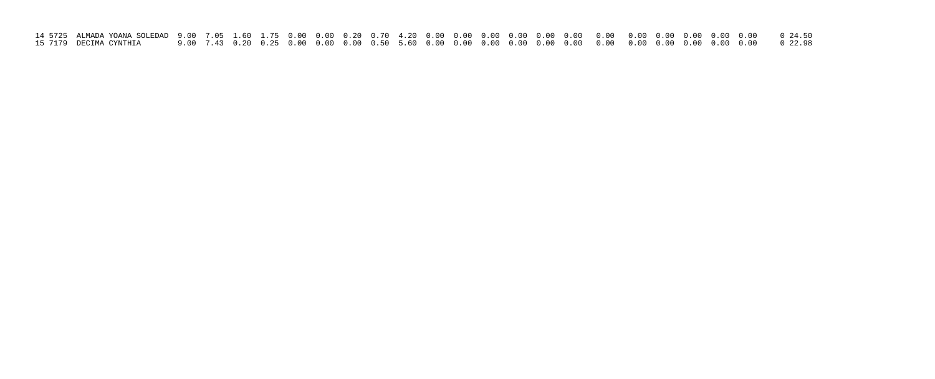| 15 7179   DECIMA CYNTHIA |  |  |  |  |  |  |  |  |  |  |  |  |
|--------------------------|--|--|--|--|--|--|--|--|--|--|--|--|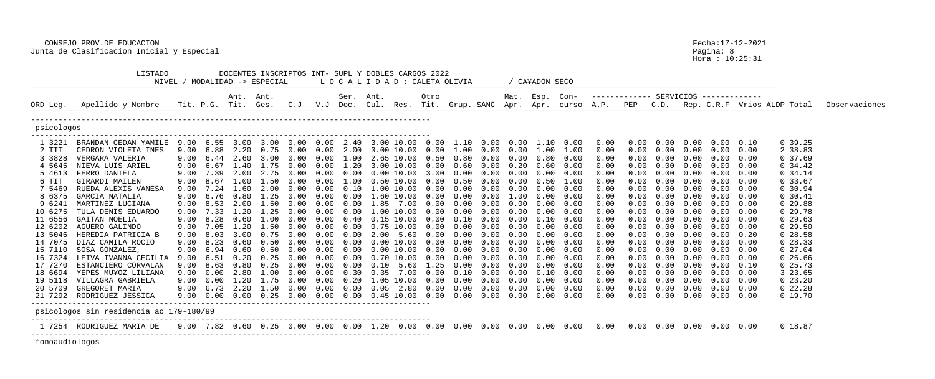|                    | LISTADO<br>NIVEL                                                              |              |                   |                   | MODALIDAD -> ESPECIAL |                   |                 | DOCENTES INSCRIPTOS INT- SUPL Y DOBLES CARGOS 2022<br>L O C A L I D A D : CALETA OLIVIA |                        |                    |                 |                 |              |                        | CA¥ADON SECO |                                                                            |              |                                              |              |              |                                        |              |                             |               |
|--------------------|-------------------------------------------------------------------------------|--------------|-------------------|-------------------|-----------------------|-------------------|-----------------|-----------------------------------------------------------------------------------------|------------------------|--------------------|-----------------|-----------------|--------------|------------------------|--------------|----------------------------------------------------------------------------|--------------|----------------------------------------------|--------------|--------------|----------------------------------------|--------------|-----------------------------|---------------|
| ORD Leg.           | Apellido y Nombre                                                             |              | Tit. P.G.         | Ant. Ant.<br>Tit. | Ges.                  | C. J              | $V\centerdot J$ | Ser. Ant.<br>Doc.                                                                       | Cul. Res.              |                    | Otro            | Tit. Grup. SANC |              | Mat. Esp. Con-<br>Apr. | Apr.         | curso A.P.                                                                 |              | ------------- SERVICIOS -------------<br>PEP | C.D.         |              |                                        |              | Rep. C.R.F Vrios ALDP Total | Observaciones |
|                    |                                                                               |              |                   |                   |                       |                   |                 |                                                                                         |                        |                    |                 |                 |              |                        |              |                                                                            |              |                                              |              |              |                                        |              |                             |               |
| psicologos         |                                                                               |              |                   |                   |                       |                   |                 |                                                                                         |                        |                    |                 |                 |              |                        |              |                                                                            |              |                                              |              |              |                                        |              |                             |               |
| 1 3221             | BRANDAN CEDAN YAMILE<br>CEDRON VIOLETA INES                                   | 9.00         | 9.00 6.55<br>6.88 | 3.00<br>2.20      | 0.75                  | 3.00 0.00<br>0.00 | 0.00            | $0.00$ $2.40$ $3.00$ $10.00$ $0.00$<br>2.00                                             | 3.00                   | 10.00              | (1.00)          | 1.00            |              | 1.10  0.00  0.00  1.10 | 1.00         | 0.00                                                                       | 0.00         | $0\,.\,00$                                   | 0.00         |              | $0.00$ $0.00$ $0.10$                   |              | 0, 39.25                    |               |
| 2 TIT<br>3 3828    | VERGARA VALERIA                                                               | 9.00         | 6.44              | 2.60              | 3.00                  | 0.00              | 0.00            | 1.90                                                                                    |                        |                    | 2.65 10.00 0.50 | 0.80            | 0.00<br>0.00 | 0.00<br>0.00           | 0.80         | 1.00<br>0.00                                                               | 0.00<br>0.00 | 0.00<br>0.00                                 | 0.00         | 0.00         | 0.00<br>0.00                           | 0.00<br>0.00 | 2 38.83<br>0, 37.69         |               |
| 4 5645             | NIEVA LUIS ARIEL                                                              | 9.00         | 6.67              |                   | 1.40 1.75             | 0.00              | 0.00            | 1.20                                                                                    |                        |                    | 3.00 10.00 0.00 | 0.60            | 0.00         | 0.20                   | 0.60         | 0.00                                                                       | 0.00         | 0.00                                         | 0.00         | 0.00         | 0.00                                   | 0.00         | 0, 34.42                    |               |
| 5 4613             | FERRO DANIELA                                                                 | 9.00         | 7.39              | 2.00              | 2.75                  | 0.00              | (0.00)          | 0.00                                                                                    | 0.00                   | 10.00              | 3.00            | (0.00)          | 0.00         | 0.00                   |              | 0.00                                                                       | 0.00         | 0.00                                         | 0.00         | .00.         | 0.00                                   | 0.00         | 0, 34.14                    |               |
| 6 TIT              | GIRARDI MAILEN                                                                | 9.00         | 8.67              | 1.00              | 1.50                  |                   |                 |                                                                                         | (0.50)                 | 10.00              | 0.00            | 0.50            | 0.00         | 0.00                   | 0.50         | 1.00                                                                       | 0.00         | 0.00                                         | 0.00         | 0.00         | 0.00                                   | 0.00         | 0, 33.67                    |               |
| 75469              | RUEDA ALEXIS VANESA                                                           | 9.00         | 7.24              | 1.60              | 2.00                  | n nn              |                 | 0.10                                                                                    | $\Omega$ . On $\Omega$ |                    | 10.00 0.00      |                 | 0.00         | 0.00                   |              | 0.00                                                                       | 0.00         | 0.00                                         | 0.00         | 0.00         | $0\,.\,00$                             | 0.00         | 0, 30.94                    |               |
| 8 6375             | GARCIA NATALIA                                                                | 9.00         | 6.76              | 0.80              | 1.25                  | 0.00              | (0.00)          | (1.00)                                                                                  | .60                    | 10.00              | (0.00)          | (0.00)          | 0.00         | .00                    |              | 0.00                                                                       | 0.00         | 0.00                                         | 0.00         | .00          | 0.00                                   | 0.00         | 0, 30.41                    |               |
| 9 6241             | MARTINEZ LUCIANA                                                              | 9.00         | 8.53              | 2.00              | 1.50                  | 0.00              |                 |                                                                                         | .85                    | 7.00               | 0.00            | (0.00)          | 0.00         | 0.00                   | 0.00         | 0.00                                                                       | 0.00         | 0.00                                         | 0.00         | 0.00         | 0.00                                   | 0.00         | 0, 29.88                    |               |
| 10 6275            | TULA DENIS EDUARDO                                                            | 9.00         | 7.33              | 1.20              | 1.25                  |                   |                 | 0.00                                                                                    | .00                    |                    | 10.00 0.00      |                 | 0.00         | 0.00                   |              | 0.00                                                                       | 0.00         |                                              |              | 0.00         | 0.00                                   | 0.00         | 029.78                      |               |
| 11 6556            | GAITAN NOELIA                                                                 | 9.00         | 8.28              | 0.60              | .00                   | 0.00              | 0.00            | 0.40                                                                                    | 0.15                   | 10.00              | (1.00)          | 0.10            | 0.00         | 0.00                   | 0.10         | 0.00                                                                       | 0.00         |                                              | 0.00         | .00.         | 0.00                                   | 0.00         | 0, 29.63                    |               |
| 12 6202            | AGUERO GALINDO                                                                | 9.00         | 7.05<br>8.03      | 1.20<br>3.00      | 1.50<br>በ 75          | 0.00<br>n nn      |                 | (0.00)<br>0.00                                                                          | 2.00                   | 0.75 10.00<br>5.60 | 0.00<br>0.00    | 0.00<br>n nn    | 0.00<br>0.00 | 0.00<br>0.00           | 0.00         | 0.00<br>0.00                                                               | 0.00         | 0.00<br>0.00                                 | 0.00<br>0.00 | 0.00         | 0.00                                   | 0.00         | 0, 29.50                    |               |
| 13 5046<br>14 7075 | HEREDIA PATRICIA B<br>DIAZ CAMILA ROCIO                                       | 9.00<br>9.00 | 8.23              | 0.60              | .50 <sub>1</sub>      | 0.00              |                 |                                                                                         | $(1)$ $(1)$            | 10.00              | (0.00)          | (1.00)          | 0.00         | 0.00                   |              | 0.00                                                                       | 0.00<br>0.00 |                                              |              | 0.00<br>.00. | $0\,.\,00$<br>0.00                     | 0.20<br>0.00 | 0 28.58<br>028.33           |               |
| 15 7110            | SOSA GONZALEZ,                                                                | 9.00         | 6.94              | 0.60              | 0.50                  | 0.00              |                 |                                                                                         |                        | 10.00              | 0.00            | 0.00            | 0.00         | 0.00                   |              | 0.00                                                                       | 0.00         | 0.00                                         | 0.00         | 0.00         | 0.00                                   | 0.00         | 027.04                      |               |
| 16 7324            | LEIVA IVANNA CECILIA                                                          | 9.00         | 6.51              | 0.20              | 0.25                  |                   |                 | 0.00                                                                                    | 0.70                   | 10.00              | 0.00            |                 | 0.00         | 0.00                   | 0.00         | 0.00                                                                       | 0.00         | 0.00                                         | 0.00         | 0.00         | 0.00                                   | 0.00         | 0, 26.66                    |               |
| 17 7270            | ESTANCIERO CORVALAN                                                           | 9.00         | 8.63              | 0.80              | . 25                  | 0.00              |                 |                                                                                         | 0.10                   |                    | . 25            |                 | 0.00         | 0.00                   |              | 0.00                                                                       | 0.00         | 0.00                                         |              | .00.         | 0.00                                   | 0.10         | $0\;25.73$                  |               |
| 18 6694            | YEPES MU¥OZ LILIANA                                                           | 9.00         | 0.00              | 2.80              | 1.00                  |                   |                 | 0.30                                                                                    | 0.35                   | 7.00               | 0.00            | 0.10            | 0.00         | 0.00                   | 0.10         | 0.00                                                                       | 0.00         | 0.00                                         | 0.00         | 0.00         | 0.00                                   | 0.00         | 3 23.65                     |               |
| 19 5118            | VILLAGRA GABRIELA                                                             | 9.00         | 0.00              | 1.20              | 1.75                  | 0.00              | 0.00            | 0.20                                                                                    |                        |                    | 1.05 10.00 0.00 | 0.00            | 0.00         | 0.00                   | 0.00         | 0.00                                                                       | 0.00         | 0.00                                         | 0.00         | 0.00         | $0\,.\,00$                             | 0.00         | $0\,23.20$                  |               |
|                    | 20 5709 GREGORET MARIA                                                        |              |                   |                   |                       |                   |                 |                                                                                         |                        |                    |                 |                 |              |                        |              | 9.00 6.73 2.20 1.50 0.00 0.00 0.00 0.05 2.80 0.00 0.00 0.00 0.00 0.00 0.00 |              |                                              |              |              |                                        |              | 022.28                      |               |
|                    | 21 7292 RODRIGUEZ JESSICA                                                     |              |                   |                   |                       |                   |                 | $9.00$ 0.00 0.00 0.25 0.00 0.00 0.00 0.45 10.00 0.00 0.00 0.00 0.00 0.00 0.00           |                        |                    |                 |                 |              |                        |              | 0.00                                                                       | $0\,.\,00$   |                                              |              |              | $0.00 \t 0.00 \t 0.00 \t 0.00 \t 0.00$ |              | 0 19.70                     |               |
|                    | ----------------------------------<br>psicologos sin residencia ac 179-180/99 |              |                   |                   |                       |                   |                 |                                                                                         |                        |                    |                 |                 |              |                        |              |                                                                            |              |                                              |              |              |                                        |              |                             |               |
|                    |                                                                               |              |                   |                   |                       |                   |                 |                                                                                         |                        |                    |                 |                 |              |                        |              |                                                                            |              |                                              |              |              |                                        |              | 0 18.87                     |               |
|                    |                                                                               |              |                   |                   |                       |                   |                 |                                                                                         |                        |                    |                 |                 |              |                        |              |                                                                            |              |                                              |              |              |                                        |              |                             |               |

fonoaudiologos

Pagina: 8<br>Hora : 10:25:31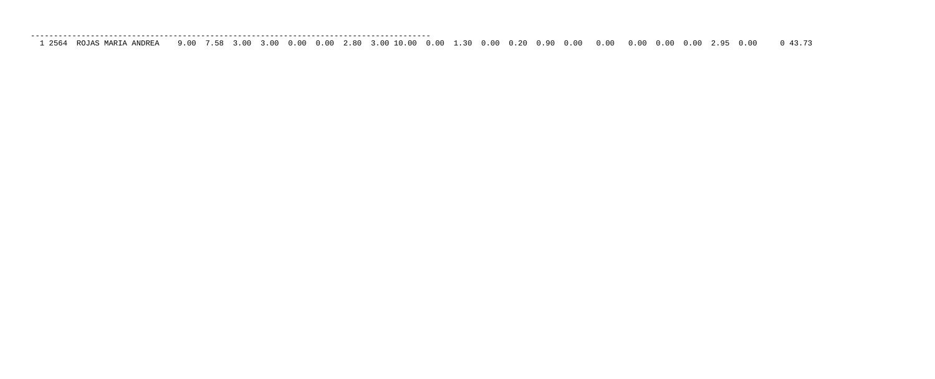| ROJAS MARIA ANDREA |  |  |
|--------------------|--|--|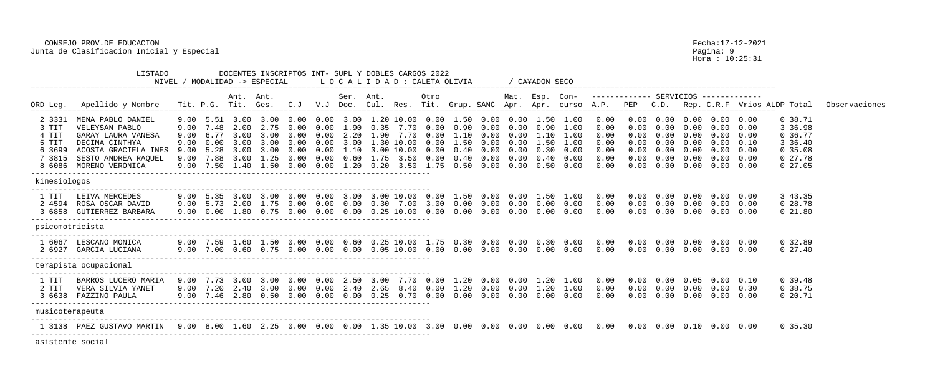Hora : 10:25:31

| ORD Leg.                                              | Apellido y Nombre                                                                                                                                    |                              | Tit. P.G. Tit.                                                          |                                      | Ant. Ant.<br>Ges.                                         | C. J                                         | V.J                           | Ser. Ant.<br>Doc.                                    |                              |                                                                        | Otro                                                          |                                              |                                                      | Mat. Esp. Con-                                       |                                              |                                                      |                                                      |                                                      |                                      |                                                            |                                                                                  |                                                             | Cul. Res. Tit. Grup. SANC Apr. Apr. curso A.P. PEP C.D. Rep. C.R.F Vrios ALDP Total | Observaciones |
|-------------------------------------------------------|------------------------------------------------------------------------------------------------------------------------------------------------------|------------------------------|-------------------------------------------------------------------------|--------------------------------------|-----------------------------------------------------------|----------------------------------------------|-------------------------------|------------------------------------------------------|------------------------------|------------------------------------------------------------------------|---------------------------------------------------------------|----------------------------------------------|------------------------------------------------------|------------------------------------------------------|----------------------------------------------|------------------------------------------------------|------------------------------------------------------|------------------------------------------------------|--------------------------------------|------------------------------------------------------------|----------------------------------------------------------------------------------|-------------------------------------------------------------|-------------------------------------------------------------------------------------|---------------|
| 2 3331<br>3 TIT<br>4 TIT<br>5 TIT<br>6 3699<br>7 3815 | MENA PABLO DANIEL<br>VELEYSAN PABLO<br>GARAY LAURA VANESA<br>DECIMA CINTHYA<br>ACOSTA GRACIELA INES<br>SESTO ANDREA RAQUEL<br>8 6086 MORENO VERONICA | 9.00<br>9.00<br>9.00<br>9.00 | 9.00 5.51<br>9.00 7.48<br>6.77<br>0.00<br>5.28<br>$9.00$ $7.88$<br>7.50 | 3.00<br>3.00<br>3.00<br>3.00<br>1.40 | 3.00<br>2.00 2.75<br>3.00<br>3.00<br>3.00<br>1.25<br>1.50 | 0.00<br>0.00<br>0.00<br>0.00<br>0.00<br>0.00 | 0.00<br>0.00<br>$\cup$ $\cup$ | $0.00$ 3.00<br>1.90<br>2.20<br>. . 10<br>0.60<br>.20 | 0.35<br>1.90<br>1.75<br>0.20 | 1.20 10.00<br>7.70<br>7.70<br>1 30 10 00<br>3.00 10.00<br>3.50<br>3.50 | 0.00<br>0.00<br>0.00<br>0.00<br>$(1 \cdot 0)$<br>0.00<br>1.75 | 1.50<br>0.90<br>1.50<br>0.40<br>0.40<br>0.50 | 0.00<br>0.00<br>0.00<br>0.00<br>0.00<br>0.00<br>0.00 | 0.00<br>0.00<br>0.00<br>0.00<br>0.00<br>0.00<br>0.00 | 1.50<br>0.90<br>1.50<br>0.30<br>0.40<br>0.50 | 1.00<br>1.00<br>1.00<br>1.00<br>0.00<br>0.00<br>0.00 | 0.00<br>0.00<br>0.00<br>0.00<br>0.00<br>0.00<br>0.00 | 0.00<br>0.00<br>0.00<br>0.00<br>0.00<br>0.00<br>0.00 | 0.00<br>0.00<br>0.00<br>0.00<br>0.00 | 0.00<br>0.00<br>0.00<br>0.00<br>0.00<br>$0\,.\,00$<br>0.00 | $0.00 \quad 0.00$<br>$0.00 \quad 0.00$<br>$0.00 \quad 0.00$<br>$0.00 \quad 0.10$ | $0.00 \quad 0.00$<br>$0.00 \quad 0.00$<br>$0.00 \quad 0.00$ | 0.38.71<br>3 36.98<br>0 36.77<br>3 36.40<br>0, 35.08<br>027.78<br>$0\ 27.05$        |               |
| kinesiologos                                          |                                                                                                                                                      |                              |                                                                         |                                      |                                                           |                                              |                               |                                                      |                              |                                                                        |                                                               |                                              |                                                      |                                                      |                                              |                                                      |                                                      |                                                      |                                      |                                                            |                                                                                  |                                                             |                                                                                     |               |
| 1 TIT<br>2 4594                                       | LEIVA MERCEDES<br>ROSA OSCAR DAVID<br>3 6858 GUTIERREZ BARBARA                                                                                       | 9.00<br>9.00                 | 0.00                                                                    |                                      | 9.00 5.35 3.00 3.00<br>5.73 2.00 1.75<br>1.80 0.75        | 0.00 0.00 3.00<br>0.00<br>0.00               | 0.00<br>0.00                  | 0.00<br>0.00                                         |                              | 3.00 10.00<br>$0.30$ $7.00$<br>$0.25$ $10.00$                          | 0.00<br>3.00<br>$0\,.\,00$                                    | $0\,.\,00$<br>0.00                           | 0.00<br>0.00                                         | 1.50  0.00  0.00  1.50<br>$0\,.\,00$<br>0.00         | 0.00<br>0.00                                 | 1.00<br>0.00<br>0.00                                 | 0.00<br>0.00<br>0.00                                 | $0\,.\,00$<br>0.00<br>0.00                           | 0.00<br>0.00<br>$0\,.\,00$           | 0.00<br>0.00<br>0.00                                       | $0.00\quad 0.00$<br>$0.00 \quad 0.00$<br>$0.00 \quad 0.00$                       |                                                             | 3 43.35<br>$0\ 28.78$<br>0 21.80                                                    |               |
| psicomotricista                                       |                                                                                                                                                      |                              |                                                                         |                                      |                                                           |                                              |                               |                                                      |                              |                                                                        |                                                               |                                              |                                                      |                                                      |                                              |                                                      |                                                      |                                                      |                                      |                                                            |                                                                                  |                                                             |                                                                                     |               |
| 1 6067                                                | LESCANO MONICA<br>2 6927 GARCIA LUCIANA                                                                                                              |                              | 9.00 7.59 1.60<br>$9.00$ $7.00$                                         | 0.60                                 | 1.50<br>0.75                                              | 0.00<br>0.00                                 | 0.00<br>0.00                  | 0.60<br>0.00                                         |                              | $0.05$ $10.00$                                                         | 0.00                                                          | 0.00                                         | 0.00                                                 | $0.25$ 10.00 1.75 0.30 0.00 0.00 0.30<br>0.00        | 0.00                                         | $0\,.\,00$<br>0.00                                   | 0.00<br>0.00                                         | $0\,.\,00$<br>0.00                                   | 0.00                                 | 0.00                                                       | $0.00 \t 0.00 \t 0.00 \t 0.00$<br>$0.00$ $0.00$                                  |                                                             | 0, 32.89<br>$0\;27.40$                                                              |               |
|                                                       | terapista ocupacional                                                                                                                                |                              |                                                                         |                                      |                                                           |                                              |                               |                                                      |                              |                                                                        |                                                               |                                              |                                                      |                                                      |                                              |                                                      |                                                      |                                                      |                                      |                                                            |                                                                                  |                                                             |                                                                                     |               |
| 1 TIT<br>2 TIT<br>3 6638                              | BARROS LUCERO MARIA<br>VERA SILVIA YANET<br>FAZZINO PAULA                                                                                            | 9.00<br>9.00                 | 9.00 7.73<br>7.20<br>7.46                                               | 2.40<br>2.80                         | 3.00 3.00<br>3.00<br>0.50                                 | 0.00<br>0.00<br>$0\,.\,00$                   | $0\,.\,00$<br>(0.00)<br>0.00  | 2.50<br>2.40<br>0.00                                 | 3.00<br>2.65<br>0.25         | 7.70<br>8.40<br>0.70                                                   | 0.00<br>0.00<br>0.00                                          | $\ldots 20$<br>.20<br>0.00                   | 0.00<br>0.00<br>0.00                                 | 0.00<br>0.00<br>0.00                                 | 1.20<br>.20<br>0.00                          | 1.00<br>1.00<br>0.00                                 | 0.00<br>0.00<br>0.00                                 | 0.00<br>0.00<br>0.00                                 | 0.00                                 | 0.05<br>0.00<br>0.00                                       | $0.00 \quad 0.10$<br>$0.00 \quad 0.00$                                           | $0.00 \quad 0.30$                                           | 0, 39.48<br>0.38.75<br>020.71                                                       |               |
| musicoterapeuta                                       |                                                                                                                                                      |                              |                                                                         |                                      |                                                           |                                              |                               |                                                      |                              |                                                                        |                                                               |                                              |                                                      |                                                      |                                              |                                                      |                                                      |                                                      |                                      |                                                            |                                                                                  |                                                             |                                                                                     |               |
|                                                       |                                                                                                                                                      |                              |                                                                         |                                      |                                                           |                                              |                               |                                                      |                              |                                                                        |                                                               |                                              |                                                      |                                                      |                                              |                                                      |                                                      |                                                      |                                      |                                                            |                                                                                  |                                                             | 0, 35, 30                                                                           |               |

 LISTADO DOCENTES INSCRIPTOS INT- SUPL Y DOBLES CARGOS 2022 NIVEL / MODALIDAD -> ESPECIAL L O C A L I D A D : CALETA OLIVIA / CA¥ADON SECO ================================================================================================================================================================== Ant. Ant. Ser. Ant. Otro Mat. Esp. Con- ------------- SERVICIOS ------------- ================================================================================================================================================================== 2 3331 MENA PABLO DANIEL 9.00 5.51 3.00 3.00 0.00 0.00 3.00 1.20 10.00 0.00 1.50 0.00 0.00 1.50 1.00 0.00 0.00 0.00 0.00 0.00 0.00 0 38.71 3 TIT VELEYSAN PABLO 9.00 7.48 2.00 2.75 0.00 0.00 1.90 0.35 7.70 0.00 0.90 0.00 0.00 0.90 1.00 0.00 0.00 0.00 0.00 0.00 0.00 3 36.98 4 TIT GARAY LAURA VANESA 9.00 6.77 3.00 3.00 0.00 0.00 2.20 1.90 7.70 0.00 1.10 0.00 0.00 1.10 1.00 0.00 0.00 0.00 0.00 0.00 0.00 0 36.77 5 TIT DECIMA CINTHYA 9.00 0.00 3.00 3.00 0.00 0.00 3.00 1.30 10.00 0.00 1.50 0.00 0.00 1.50 1.00 0.00 0.00 0.00 0.00 0.00 0.10 3 36.40 6 3699 ACOSTA GRACIELA INES 9.00 5.28 3.00 3.00 0.00 0.00 1.10 3.00 10.00 0.00 0.40 0.00 0.00 0.30 0.00 0.00 0.00 0.00 0.00 0.00 0.00 0 35.08 7 3815 SESTO ANDREA RAQUEL 9.00 7.88 3.00 1.25 0.00 0.00 0.60 1.75 3.50 0.00 0.40 0.00 0.00 0.40 0.00 0.00 0.00 0.00 0.00 0.00 0.00 0 27.78 8 6086 MORENO VERONICA 9.00 7.50 1.40 1.50 0.00 0.00 1.20 0.20 -------------------------------------------------------------------------------------- kinesiologos --------------------------------------------------------------------------------------- 1 TIT LEIVA MERCEDES 9.00 5.35 3.00 3.00 0.00 0.00 3.00 3.00 10.00 0.00 2 4594 ROSA OSCAR DAVID 9.00 5.73 2.00 1.75 0.00 0.00 0.00 0.30 7.00 3.00 0.00 0.00 0.00 0.00 0.00 0.00 0.00 0.00 0.00 0.00 0.00 0 28.78 3 6858 GUTIERREZ BARBARA 9.00 0.00 1.80 0.75 0.00 0.00 0.00 0.25 10.00 0.00 0.00 0.00 0.00 0.00 0.00 0.00 0.00 0.00 0.00 0.00 0.00 0 21.80 -------------------------------------------------------------------------------------- psicomotricista --------------------------------------------------------------------------------------- 1 6067 LESCANO MONICA 9.00 7.59 1.60 1.50 0.00 0.00 0.60 0.25 10.00 1.75 0.30 0.00 0.00 0.30 0.00 0.00 0.00 0.00 0.00 0.00 0.00 0 32.89 2 6927 GARCIA LUCIANA 9.00 7.00 0.60 0.75 0.00 0.00 0.00 0.05 10.00 0.00 0.00 0.00 0.00 0.00 0.00 0.00 0.00 0.00 0.00 0.00 0.00 0 27.40 -------------------------------------------------------------------------------------- terapista ocupacional --------------------------------------------------------------------------------------- 1 TIT BARROS LUCERO MARIA 9.00 7.73 3.00 3.00 0.00 0.00 2.50 3.00 7.70 0.00 1.20 0.00 0.00 1.20 1.00 0.00 0.00 0.00 0.05 0.00 0.10 0 39.48 2 TIT VERA SILVIA YANET 9.00 7.20 2.40 3.00 0.00 0.00 2.40 2.65 8.40 0 3 6638 FAZZINO PAULA 9.00 7.46 2.80 0.50 0.00 0.00 0.00 0.25 0.70 0.00 0.00 0.00 0.00 0.00 0.00 0.00 0.00 0.00 0.00 0.00 0.00 0 20.71 -------------------------------------------------------------------------------------- musicoterapeuta --------------------------------------------------------------------------------------- 1 3138 PAEZ GUSTAVO MARTIN 9.00 8.00 1.60 2.25 0.00 0.00 0.00 1.35 10.00 3.00 0.00 0.00 0.00 0.00 0.00 0.00 0.00 0.00 0.10 0.00 0.00 0 35.30 -------------------------------------------------------------------------------------- asistente social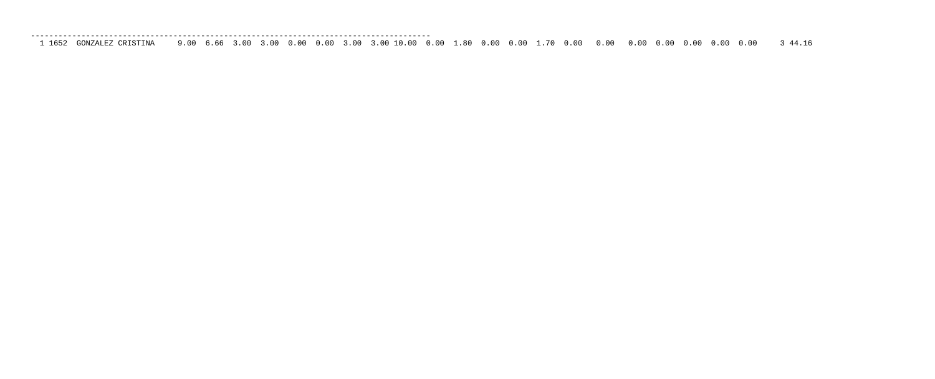| GONZALEZ CRISTINA | 3 44.16 |
|-------------------|---------|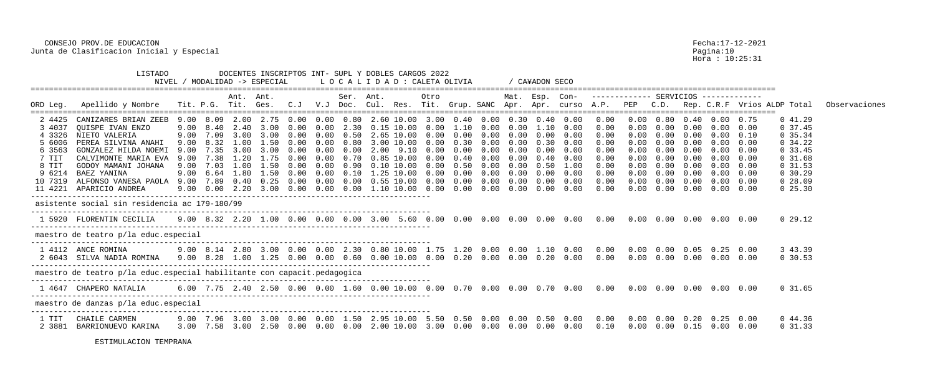Hora : 10:25:31

|          |                                                                                                                          |      |           | Ant. | Ant.                                                                          |      |      | Ser. Ant.         |                | Otro                                                |            |      | Mat. Esp. Con- |      |                              |            | ------------ SERVICIOS ------------ |                                                    |            |                   |      |                                                                                                                            |               |
|----------|--------------------------------------------------------------------------------------------------------------------------|------|-----------|------|-------------------------------------------------------------------------------|------|------|-------------------|----------------|-----------------------------------------------------|------------|------|----------------|------|------------------------------|------------|-------------------------------------|----------------------------------------------------|------------|-------------------|------|----------------------------------------------------------------------------------------------------------------------------|---------------|
| ORD Leg. | Apellido y Nombre                                                                                                        |      |           |      |                                                                               |      |      |                   |                |                                                     |            |      |                |      |                              |            |                                     |                                                    |            |                   |      | Tit. P.G. Tit. Ges.  C.J  V.J Doc. Cul. Res. Tit. Grup. SANC Apr. Apr. curso A.P.  PEP  C.D.  Rep. C.R.F  Vrios ALDP Total | Observaciones |
| 2 4425   | CANIZARES BRIAN ZEEB                                                                                                     |      | 9.00 8.09 | 2.00 | 2.75                                                                          | 0.00 |      | $0.00 \quad 0.80$ | 2.60 10.00     | 3.00                                                | $0\,.40$   | 0.00 | 0.30           | 0.40 | 0.00                         | 0.00       |                                     | 0.80                                               | 0.40       |                   | 0.75 | 041.29                                                                                                                     |               |
| 3 4037   | <b>OUISPE IVAN ENZO</b>                                                                                                  | 9.00 | 8.40      |      | 2.40 3.00                                                                     | 0.00 | 0.00 | 2.30              | $0.15$ $10.00$ | 0.00                                                | 1.10       | 0.00 | 0.00           |      | $1.10 \quad 0.00$            | 0.00       | 0.00                                | 0.00                                               | $0\,.\,00$ | $0.00 \quad 0.00$ |      | 0, 37.45                                                                                                                   |               |
| 4 3326   | NIETO VALERIA                                                                                                            | 9.00 | 7.09      | 3.00 | 3.00                                                                          | 0.00 | 0.00 | 0.50              | 2.65 10.00     | 0.00                                                | 0.00       | 0.00 | 0.00           | 0.00 | 0.00                         | 0.00       |                                     | 0.00                                               | 0.00       | 0.00              | 0.10 | 0, 35.34                                                                                                                   |               |
| 5 6006   | PEREA SILVINA ANAHI                                                                                                      | 9.00 | 8.32      | 1.00 | 1.50                                                                          | 0.00 | 0.00 | 0.80              | 3.00 10.00     | 0.00                                                | 0.30       | 0.00 | 0.00           | 0.30 | 0.00                         | 0.00       |                                     | 0.00                                               | 0.00       | 0.00              | 0.00 | 0.34.22                                                                                                                    |               |
| 6 3563   | GONZALEZ HILDA NOEMI                                                                                                     | 9.00 | 7.35      | 3.00 | 3.00                                                                          | 0.00 | 0.00 | 0.00              | 2.00 9.10      | 0.00                                                | 0.00       | 0.00 | 0.00           | 0.00 | 0.00                         | 0.00       | 0.00                                | 0.00                                               | 0.00       | 0.00              | 0.00 | 0, 33.45                                                                                                                   |               |
| 7 TIT    | CALVIMONTE MARIA EVA                                                                                                     | 9.00 |           |      |                                                                               | 0.00 | 0.00 | 0.70              | $0.85$ 10.00   |                                                     | 0.40       | 0.00 |                | 0.40 | 0.00                         | 0.00       |                                     | 0.00                                               |            | 0.00              | 0.00 | 0, 31.68                                                                                                                   |               |
| 8 TIT    | GODOY MAMANI JOHANA                                                                                                      | 9.00 | 7.03      | 1.00 | 1.50                                                                          | 0.00 | 0.00 | 0.90              | $0.10$ $10.00$ |                                                     | 0.50       | 0.00 |                | 0.50 | 1.00                         | 0.00       |                                     | 0.00                                               | 0.00       | 0.00              | 0.00 | 0, 31.53                                                                                                                   |               |
| 9 6214   | BAEZ YANINA                                                                                                              | 9.00 | 6.64      |      | 1.80 1.50                                                                     | 0.00 | 0.00 | $0\,.10$          | 1.25 10.00     | 0.00                                                | 0.00       | 0.00 | 0.00           | 0.00 | 0.00                         | 0.00       | 0.00                                | 0.00                                               |            | $0.00 \quad 0.00$ |      | 0, 30.29                                                                                                                   |               |
| 10 7319  | ALFONSO VANESA PAOLA 9.00                                                                                                |      | 7.89      |      | $0.40 \quad 0.25$                                                             | 0.00 | 0.00 | 0.00              | $0.55$ $10.00$ |                                                     | 0.00       | 0.00 |                | 0.00 | 0.00                         | 0.00       | 0.00                                | 0.00                                               |            | $0.00 \quad 0.00$ |      | 0.28.09                                                                                                                    |               |
|          | 11 4221 APARICIO ANDREA                                                                                                  |      |           |      | $9.00 \quad 0.00 \quad 2.20 \quad 3.00 \quad 0.00$                            |      |      |                   |                | $0.00 \quad 0.00 \quad 1.10 \quad 10.00 \quad 0.00$ | $0\,.\,00$ | 0.00 | 0.00           |      | $0.00 \quad 0.00$            | 0.00       | 0.00                                | 0.00                                               | 0.00       | $0.00 \quad 0.00$ |      | $0\,25.30$                                                                                                                 |               |
|          | asistente social sin residencia ac 179-180/99                                                                            |      |           |      |                                                                               |      |      |                   |                |                                                     |            |      |                |      |                              |            |                                     |                                                    |            |                   |      |                                                                                                                            |               |
|          | 1 5920 FLORENTIN CECILIA                                                                                                 |      |           |      |                                                                               |      |      |                   |                |                                                     |            |      |                |      |                              |            |                                     |                                                    |            |                   |      | 0 29.12                                                                                                                    |               |
|          | maestro de teatro p/la educ.especial                                                                                     |      |           |      |                                                                               |      |      |                   |                |                                                     |            |      |                |      |                              |            |                                     |                                                    |            |                   |      |                                                                                                                            |               |
|          | 1 4112 ANCE ROMINA                                                                                                       |      |           |      | $9.00$ 8.14 2.80 3.00 0.00 0.00 2.30 0.80 10.00 1.75 1.20 0.00 0.00 1.10 0.00 |      |      |                   |                |                                                     |            |      |                |      |                              | 0.00       |                                     | $0.00$ $0.00$ $0.05$ $0.25$ $0.00$                 |            |                   |      | 3 43.39                                                                                                                    |               |
|          | 2 6043  SILVA NADIA ROMINA    9.00  8.28  1.00  1.25  0.00  0.00  0.60  0.00 10.00  0.00  0.20  0.00  0.20  0.00    0.00 |      |           |      |                                                                               |      |      |                   |                |                                                     |            |      |                |      |                              | 0.00       |                                     | $0.00 \t 0.00 \t 0.00 \t 0.00 \t 0.00$             |            |                   |      | 0, 30.53                                                                                                                   |               |
|          | maestro de teatro p/la educ.especial habilitante con capacit.pedagogica                                                  |      |           |      |                                                                               |      |      |                   |                |                                                     |            |      |                |      |                              |            |                                     |                                                    |            |                   |      |                                                                                                                            |               |
|          | 1 4647  CHAPERO NATALIA                                                                                                  |      |           |      |                                                                               |      |      |                   |                |                                                     |            |      |                |      |                              |            |                                     |                                                    |            |                   |      | 0 31.65                                                                                                                    |               |
|          | maestro de danzas p/la educ.especial                                                                                     |      |           |      |                                                                               |      |      |                   |                |                                                     |            |      |                |      |                              |            |                                     |                                                    |            |                   |      |                                                                                                                            |               |
| 1 TIT    | CHAILE CARMEN                                                                                                            |      |           |      | 9.00 7.96 3.00 3.00 0.00                                                      |      |      |                   |                | 0.00 1.50 2.95 10.00 5.50                           |            |      |                |      | 0.50  0.00  0.00  0.50  0.00 | $0\,.\,00$ |                                     | $0.00 \quad 0.00 \quad 0.20 \quad 0.25 \quad 0.00$ |            |                   |      | 0 44.36                                                                                                                    |               |
| 2 3881   | BARRIONUEVO KARINA                                                                                                       |      |           |      | 3.00 7.58 3.00 2.50 0.00 0.00 0.00 2.00 10.00 3.00 0.00 0.00                  |      |      |                   |                |                                                     |            |      |                |      | $0.00$ $0.00$ $0.00$         | 0.10       |                                     | $0.00$ $0.00$ $0.15$ $0.00$ $0.00$                 |            |                   |      | 0 31.33                                                                                                                    |               |
|          |                                                                                                                          |      |           |      |                                                                               |      |      |                   |                |                                                     |            |      |                |      |                              |            |                                     |                                                    |            |                   |      |                                                                                                                            |               |

 LISTADO DOCENTES INSCRIPTOS INT- SUPL Y DOBLES CARGOS 2022 NIVEL / MODALIDAD -> ESPECIAL L O C A L I D A D : CALETA OLIVIA / CA¥ADON SECO ================================================================================================================================================================== Ant. Ant. Ser. Ant. Otro Mat. Esp. Con- ------------- SERVICIOS ------------- ================================================================================================================================================================== 2 4425 CANIZARES BRIAN ZEEB 9.00 8.09 2.00 2.75 0.00 0.00 0.80 2.60 10.00 3.00 0.40 0.00 0.30 0.40 0.00 0.00 0.00 0.80 0.40 0.00 0.75 0 41.29 3 4037 QUISPE IVAN ENZO 9.00 8.40 2.40 3.00 0.00 0.00 2.30 0.15 10.00 0.00 1.10 0.00 0.00 1.10 0.00 0.00 0.00 0.00 0.00 0.00 0.00 0 37.45 4 3326 NIETO VALERIA 9.00 7.09 3.00 3.00 0.00 0.00 0.50 2.65 10.00 0.00 0.00 0.00 0.00 0.00 0.00 0.00 0.00 0.00 0.00 0.00 0.10 0 35.34 5 6006 PEREA SILVINA ANAHI 9.00 8.32 1.00 1.50 0.00 0.00 0.80 3.00 10.00 0.00 0.30 0.00 0.00 0.30 0.00 0.00 0.00 0.00 0.00 0.00 0.00 0 34.22 6 3563 GONZALEZ HILDA NOEMI 9.00 7.35 3.00 3.00 0.00 0.00 0.00 2.00 9.10 0.00 0.00 0.00 0.00 0.00 0.00 0.00 0.00 0.00 0.00 0.00 0.00 0 33.45 7 TIT CALVIMONTE MARIA EVA 9.00 7.38 1.20 1.75 0.00 0.00 0.70 0.85 10.00 0.00 0.40 0.00 0.00 0.40 0.00 0.00 0.00 0.00 0.00 0.00 0.00 0 31.68 8 TIT GODOY MAMANI JOHANA 9.00 7.03 1.00 1.50 0.00 0.00 0.90 0.10 10.00 0.00 0.50 0.00 0.00 0.50 1.00 0.00 0.00 0.00 0.00 0.00 0.00 0 31.53 9 6214 BAEZ YANINA 9.00 6.64 1.80 1.50 0.00 0.00 0.10 1.25 10.00 0.00 0.00 0.00 0.00 0.00 0.00 0.00 0.00 0.00 0.00 0.00 0.00 0 30.29 10 7319 ALFONSO VANESA PAOLA 9.00 7.89 0.40 0.25 0.00 0.00 0.00 0.55 10.00 0.00 0.00 0.00 0.00 0.00 0.00 0.00 0.00 0.00 0.00 0.00 0.00 0 28.09 11 4221 APARICIO ANDREA 9.00 0.00 2.20 3.00 0.00 0.00 0.00 1.10 10.00 0.00 0.00 0.00 0.00 0.00 0.00 0.00 0.00 0.00 0.00 0.00 0.00 0 25.30 -------------------------------------------------------------------------------------- asistente social sin residencia ac 179-180/99 --------------------------------------------------------------------------------------- 1 5920 FLORENTIN CECILIA 9.00 8.32 2.20 1.00 0.00 0.00 0.00 3.00 5.60 0.00 0.00 0.00 0.00 0.00 0.00 0.00 0.00 0.00 0.00 0.00 0.00 0 29.12 -------------------------------------------------------------------------------------- maestro de teatro p/la educ.especial --------------------------------------------------------------------------------------- 1 4112 ANCE ROMINA 9.00 8.14 2.80 3.00 0.00 0.00 2.30 0.80 10.00 1 2 6043 SILVA NADIA ROMINA 9.00 8.28 1.00 1.25 0.00 0.00 0.60 0.00 10.00 0.00 0.20 0.00 0.00 0.20 0.00 0.00 0.00 0.00 0.00 0.00 0.00 0 30.53 -------------------------------------------------------------------------------------- maestro de teatro p/la educ.especial habilitante con capacit.pedagogica --------------------------------------------------------------------------------------- 1 4647 CHAPERO NATALIA 6.00 7.75 2.40 2.50 0.00 0.00 1.60 0.00 10.00 0.00 0.70 0.00 0.00 0.70 0.00 0.00 0.00 0.00 0.00 0.00 0.00 0 31.65 -------------------------------------------------------------------------------------- maestro de danzas p/la educ.especial --------------------------------------------------------------------------------------- 1 TIT CHAILE CARMEN 9.00 7.96 3.00 3.00 0.00 0.00 1.50 2.95 10.00 5 2 3881 BARRIONUEVO KARINA 3.00 7.58 3.00 2.50 0.00 0.00 0.00 2.00 10.00 3.00 0.00 0.00 0.00 0.00 0.00 0.10 0.00 0.00 0.15 0.00 0.00 0 31.33

ESTIMULACION TEMPRANA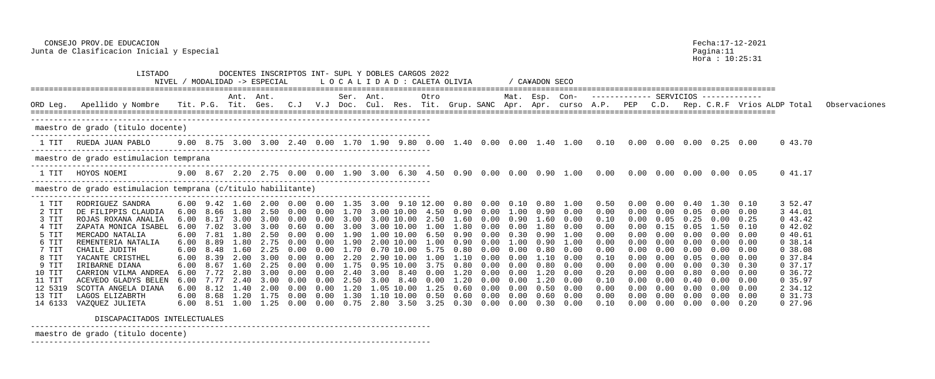Hora : 10:25:31

|                | LISTADO                                                                                                                                   |      |      | DOCENTES INSCRIPTOS INT- SUPL Y DOBLES CARGOS 2022<br>NIVEL / MODALIDAD -> ESPECIAL |      |      |      |                   |      |                                                     |      | LOCALIDAD : CALETA OLIVIA                                     |              |              | / CA¥ADON SECO |                                                    |              |      |              |              |                                        |                   |               |
|----------------|-------------------------------------------------------------------------------------------------------------------------------------------|------|------|-------------------------------------------------------------------------------------|------|------|------|-------------------|------|-----------------------------------------------------|------|---------------------------------------------------------------|--------------|--------------|----------------|----------------------------------------------------|--------------|------|--------------|--------------|----------------------------------------|-------------------|---------------|
|                |                                                                                                                                           |      |      | Ant. Ant.                                                                           |      |      |      | Ser. Ant.         |      |                                                     | Otro |                                                               |              |              |                | Mat. Esp. Con- ------------ SERVICIOS ------------ |              |      |              |              |                                        |                   |               |
| ORD Leg.       | Apellido y Nombre - Tit. P.G. Tit. Ges. C.J V.J Doc. Cul. Res. Tit. Grup. SANC Apr. Apr. curso A.P. PEP -C.D. Rep. C.R.F Vrios ALDP Total |      |      |                                                                                     |      |      |      |                   |      |                                                     |      |                                                               |              |              |                |                                                    |              |      |              |              |                                        |                   | Observaciones |
|                | maestro de grado (titulo docente)                                                                                                         |      |      |                                                                                     |      |      |      |                   |      |                                                     |      |                                                               |              |              |                |                                                    |              |      |              |              |                                        |                   |               |
| 1 TIT          | RUEDA JUAN PABLO                                                                                                                          |      |      |                                                                                     |      |      |      |                   |      |                                                     |      |                                                               |              |              |                |                                                    |              |      |              |              |                                        | 043.70            |               |
|                | maestro de grado estimulacion temprana                                                                                                    |      |      |                                                                                     |      |      |      |                   |      |                                                     |      |                                                               |              |              |                |                                                    |              |      |              |              |                                        |                   |               |
| 1 TIT          | HOYOS NOEMI                                                                                                                               |      |      |                                                                                     |      |      |      |                   |      |                                                     |      |                                                               |              |              |                |                                                    |              |      |              |              |                                        | 041.17            |               |
|                | maestro de grado estimulacion temprana (c/titulo habilitante)                                                                             |      |      |                                                                                     |      |      |      |                   |      |                                                     |      |                                                               |              |              |                |                                                    |              |      |              |              |                                        |                   |               |
| 1 TIT          | RODRIGUEZ SANDRA                                                                                                                          |      |      | 6.00 9.42 1.60 2.00 0.00 0.00 1.35 3.00 9.10 12.00                                  |      |      |      |                   |      |                                                     |      | 0.80                                                          |              |              |                | $0.00$ $0.10$ $0.80$ $1.00$                        | 0.50         | 0.00 |              | 0.40         | $1.30$ $0.10$                          | 3 52.47           |               |
| 2 TIT<br>3 TIT | DE FILIPPIS CLAUDIA<br>ROJAS ROXANA ANALIA                                                                                                |      |      | $6.00$ $8.66$ $1.80$ $2.50$ $0.00$<br>3.00                                          | 3.00 |      |      | 0.00 1.70<br>3.00 |      | 3.00 10.00 4.50<br>3.00 10.00 2.50                  |      | 0.90<br>1.60                                                  | 0.00<br>0.00 | 1.00<br>0.90 | 0.90<br>1.60   | 0.00<br>0.00                                       | 0.00<br>0.10 | 0.00 | 0.00<br>0.05 | 0.05<br>0.25 | $0.00 \quad 0.00$<br>$0.00 \quad 0.25$ | 3 44.01<br>043.42 |               |
| 4 TIT          | ZAPATA MONICA ISABEL                                                                                                                      | 6.00 | 7.02 | 3.00                                                                                | 3.00 | 0.60 | 0.00 | 3.00              |      | 3.00 10.00 1.00                                     |      | 1.80                                                          | 0.00         | 0.00         |                | 0.00                                               | 0.00         |      | 0.15         | 0.05         | $1.50 \t 0.10$                         | 042.02            |               |
| 5 TIT          | MERCADO NATALIA                                                                                                                           |      | 7.81 | 1.80                                                                                | 2.50 |      |      | 1.90              |      | $10.00 \quad 6.50$                                  |      |                                                               |              |              |                | 1.00                                               | 0.00         |      |              |              | $0.00 \quad 0.00$                      | 040.61            |               |
| 6 TIT          | REMENTERIA NATALIA                                                                                                                        | 6.00 | 8.89 | 1.80                                                                                | 2.75 |      |      | 1.90              | 2.00 | 10.00                                               | .00  | 0.90                                                          |              |              |                | 1.00                                               | 0.00         |      |              | 0.00         | $0.00 \quad 0.00$                      | 0.38.14           |               |
| 7 TIT          | CHAILE JUDITH                                                                                                                             |      |      | 1.60                                                                                |      | n nn |      | 1.70              |      | 0.70 10.00 5.75                                     |      | 0.80                                                          | 0.00         | 0.00         |                | 0.00                                               | 0.00         |      |              | 0.00         | $0.00 \quad 0.00$                      | 0.38.08           |               |
| 8 TIT          | YACANTE CRISTHEL                                                                                                                          | 6.00 | 8.39 | 2.00                                                                                | 3.00 | 0.00 |      | $0.00$ 2.20       |      | 2.90 10.00 1.00                                     |      | 1.10                                                          | 0.00         | 0.00         | 1.10           | 0.00                                               | 0.10         |      |              | 0.05         | $0.00 \quad 0.00$                      | 0, 37.84          |               |
| 9 TIT          | IRIBARNE DIANA                                                                                                                            | 6.00 | 8.67 | 1.60                                                                                | 2.25 | 0.00 | 0.00 | 1.75              |      | 0.95 10.00 3.75                                     |      | 0.80                                                          | 0.00         | 0.00         | 0.80           | 0.00                                               | 0.00         |      | 0.00         | 0.00         | $0.30 \quad 0.30$                      | 0.37.17           |               |
| 10 TIT         | CARRION VILMA ANDREA                                                                                                                      | 6.00 |      |                                                                                     | 3.00 | 0.00 |      | 2.40              | 3.00 | 8.40                                                | 0.00 |                                                               |              | 0.00         | 1.20           | 0.00                                               | 0.20         |      |              | 0.80         | $0.00 \quad 0.00$                      | 0, 36.72          |               |
| 11 TIT         | ACEVEDO GLADYS BELEN                                                                                                                      | 6.00 | 7.77 | 2.40                                                                                | 3.00 | 0.00 | 0.00 | 2.50              | 3.00 | 8.40                                                | 0.00 | 1.20                                                          | 0.00         | 0.00         | 1.20           | 0.00                                               | 0.10         | 0.00 | 0.00         | 0.40         | $0.00 \quad 0.00$                      | 0, 35.97          |               |
| 12 5319        | SCOTTA ANGELA DIANA                                                                                                                       | 6.00 |      |                                                                                     | 2.00 |      |      | 1.20              |      | 1.05 10.00                                          | 1.25 | 0.60                                                          |              | 0.00         | 0.50           | 0.00                                               | 0.00         |      |              | 0.00         | $0.00 \quad 0.00$                      | 2 34.12           |               |
| 13 TIT         | LAGOS ELIZABRTH                                                                                                                           | 6.00 |      | 8.68 1.20 1.75                                                                      |      | 0.00 |      |                   |      | $0.00 \quad 1.30 \quad 1.10 \quad 10.00 \quad 0.50$ |      | 0.60                                                          | 0.00         | 0.00         | 0.60           | 0.00                                               | 0.00         | 0.00 | 0.00         | 0.00         | $0.00 \quad 0.00$                      | 0, 31.73          |               |
| 14 6133        | VAZOUEZ JULIETA                                                                                                                           |      |      | 6.00 8.51 1.00 1.25 0.00                                                            |      |      |      |                   |      |                                                     |      | $0.00 \quad 0.75 \quad 2.80 \quad 3.50 \quad 3.25 \quad 0.30$ | $0\,.\,00$   | 0.00         | 0.30           | 0.00                                               | 0.10         | 0.00 | 0.00         |              | $0.00 \t 0.00 \t 0.20$                 | 0, 27.96          |               |

 CONSEJO PROV.DE EDUCACION Fecha:17-12-2021 Junta de Clasificacion Inicial y Especial

DISCAPACITADOS INTELECTUALES

-------------------------------------------------------------------------------------- maestro de grado (titulo docente) ---------------------------------------------------------------------------------------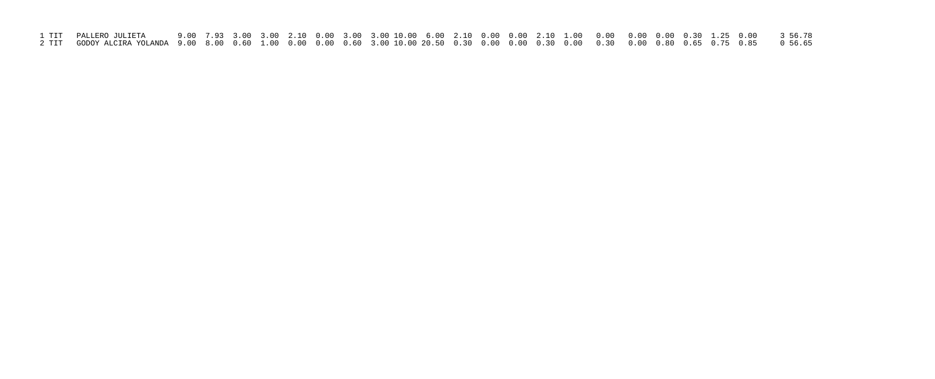| 1 TIT – PALLERO JULIETA                                                                                                                  |  |  |  |  |  |  |  |  |  |  |  |
|------------------------------------------------------------------------------------------------------------------------------------------|--|--|--|--|--|--|--|--|--|--|--|
| 2 TIT GODOY ALCIRA YOLANDA 9.00 8.00 0.60 1.00 0.00 0.00 0.60 3.00 10.00 20.50 0.30 0.00 0.30 0.00 0.30 0.00 0.80 0.65 0.75 0.85 0 56.65 |  |  |  |  |  |  |  |  |  |  |  |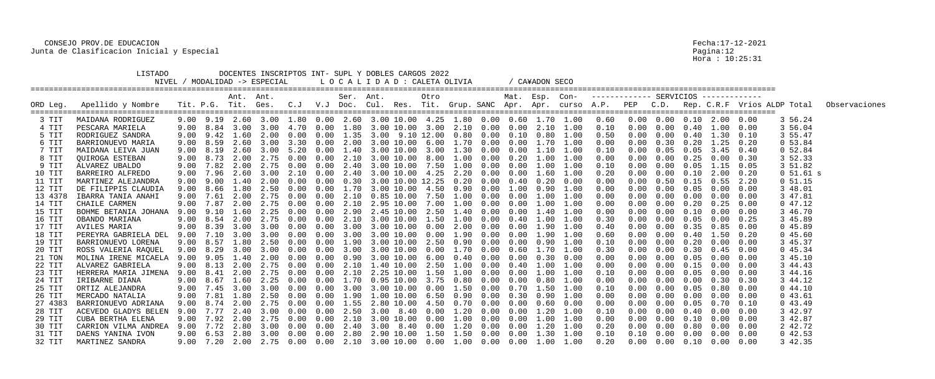|          | LISTADO              |      |                      |           | NIVEL / MODALIDAD -> ESPECIAL                                 |      |        |           | DOCENTES INSCRIPTOS INT- SUPL Y DOBLES CARGOS 2022<br>LOCALIDAD: CALETA OLIVIA |                 |      |                           |      | / CA¥ADON SECO       |                   |                                                    |            |      |                   |                                         |      |              |                                                                                                                                    |
|----------|----------------------|------|----------------------|-----------|---------------------------------------------------------------|------|--------|-----------|--------------------------------------------------------------------------------|-----------------|------|---------------------------|------|----------------------|-------------------|----------------------------------------------------|------------|------|-------------------|-----------------------------------------|------|--------------|------------------------------------------------------------------------------------------------------------------------------------|
| ORD Leg. | Apellido y Nombre    |      |                      | Ant. Ant. |                                                               |      |        | Ser. Ant. |                                                                                | Otro            |      |                           |      |                      |                   | Mat. Esp. Con- ------------ SERVICIOS ------------ |            |      |                   |                                         |      |              | Tit. P.G. Tit. Ges. C.J V.J Doc. Cul. Res. Tit. Grup. SANC Apr. Apr. curso A.P. PEP C.D. Rep. C.R.F Vrios ALDP Total Observaciones |
|          |                      |      |                      |           |                                                               |      |        |           |                                                                                |                 |      |                           |      |                      |                   |                                                    |            |      |                   |                                         |      |              |                                                                                                                                    |
| 3 TIT    | MAIDANA RODRIGUEZ    |      |                      |           |                                                               |      |        |           | 9.00 9.19 2.60 3.00 1.80 0.00 2.60 3.00 10.00 4.25 1.80 0.00 0.60 1.70 1.00    |                 |      |                           |      |                      |                   | 0.60                                               |            |      |                   |                                         |      | 3 56.24      |                                                                                                                                    |
| 4 TIT    | PESCARA MARIELA      |      | $9.00\quad 8.84$     |           | 3.00 3.00 4.70                                                |      | 0.00   |           | $1.80$ 3.00 10.00 3.00 2.10 0.00                                               |                 |      |                           | 0.00 | 2.10                 | 1.00              | 0.10                                               | $0\,.\,00$ |      |                   | $0.00 \t 0.40 \t 1.00 \t 0.00$          |      | 3 56.04      |                                                                                                                                    |
| 5 TIT    | RODRIGUEZ SANDRA     |      |                      |           | 9.00 9.42 1.60 2.00                                           | 0.00 | 0.00   |           | $1.35$ $3.00$ $9.10$ $12.00$                                                   |                 |      | $0.80$ $0.00$             |      | $0.10$ $0.80$ $1.00$ |                   | 0.50                                               | 0.00       | 0.00 |                   | $0.40$ 1.30 0.10                        |      | 3 55.47      |                                                                                                                                    |
| 6 TIT    | BARRIONUEVO MARIA    |      | 9.00 8.59            | 2.60      | 3.00                                                          | 3.30 | 0.00   |           | 2.00 3.00 10.00 6.00 1.70 0.00 0.00 1.70 1.00                                  |                 |      |                           |      |                      |                   | 0.00                                               | 0.00       |      |                   | $0.30 \quad 0.20 \quad 1.25 \quad 0.20$ |      | 053.84       |                                                                                                                                    |
| 7 TIT    | MAIDANA LEIVA JUAN   | 9.00 | 8.19                 | 2.60      | 3.00                                                          | 5.20 | 0.00   | 1.40      |                                                                                | 3.00 10.00 3.00 |      | 1.30 0.00                 | 0.00 | 1.10                 | 1.00              | 0.10                                               |            | 0.05 | 0.05              | 3.45                                    | 0.40 | 0 52.84      |                                                                                                                                    |
| 8 TIT    | QUIROGA ESTEBAN      |      | $9.00$ $8.73$ $2.00$ |           | 2.75                                                          | 0.00 | 0.00   | 2.10      |                                                                                |                 |      | 3.00 10.00 8.00 1.00 0.00 | 0.20 |                      | 1.00 1.00         | 0.00                                               | 0.00       | 0.00 | 0.25              | 0.00                                    | 0.30 | 3 52.33      |                                                                                                                                    |
| 9 TIT    | ALVAREZ UBALDO       |      |                      |           | 9.00 7.82 2.00 2.75 0.00                                      |      | 0.00   |           | 2.40 3.00 10.00 7.50 1.00 0.00 0.00 1.00 1.00                                  |                 |      |                           |      |                      |                   | 0.10                                               | 0.00       |      | $0.00 \quad 0.05$ | $1.15$ 0.05                             |      | 3 51.82      |                                                                                                                                    |
| 10 TIT   | BARREIRO ALFREDO     | 9.00 | 7.96                 | 2.60      | 3.00                                                          | 2.10 | 0.00   | 2.40      |                                                                                | 3.00 10.00 4.25 |      | 2.20 0.00                 | 0.00 | 1.60                 | 1.00              | 0.20                                               |            | 0.00 | 0.10              | 2.00                                    | 0.20 | $0\,51.61$ s |                                                                                                                                    |
| 11 TIT   | MARTINEZ ALEJANDRA   | 9.00 |                      | 9.00 1.40 | 2.00                                                          | 0.00 | 0.00   | 0.30      | 3.00 10.00 12.25                                                               |                 |      | $0.20\quad 0.00$          | 0.40 |                      | $0.20 \quad 0.00$ | 0.00                                               | 0.00       |      |                   | $0.50 \quad 0.15 \quad 0.55$            | 2.20 | $0\;\;51.15$ |                                                                                                                                    |
| 12 TIT   | DE FILIPPIS CLAUDIA  |      | 9.00 8.66 1.80       |           | 2.50                                                          | 0.00 | 0.00   |           | $1.70$ 3.00 10.00 4.50 0.90 0.00                                               |                 |      |                           | 1.00 |                      | $0.90$ $1.00$     | 0.00                                               | 0.00       | 0.00 | 0.05              | $0.00 \quad 0.00$                       |      | 3 48.01      |                                                                                                                                    |
| 13 4378  | IBARRA TANIA ANAHI   | 9.00 | 7.61                 | 2.00      | 2.75                                                          | 0.00 | 0.00   | 2.10      | 0.85 10.00                                                                     | 7.50            | 1.00 | 0.00                      | 0.00 |                      | 1.00 1.00         | 0.00                                               |            | 0.00 | 0.00              | 0.00                                    | 0.00 | 3 47.81      |                                                                                                                                    |
| 14 TIT   | CHAILE CARMEN        | 9.00 | 7.87                 | 2.00      | 2.75                                                          | 0.00 | 0.00   | 2.10      |                                                                                | 2.95 10.00 7.00 |      | 1.00 0.00                 | 0.00 |                      | 1.00 1.00         | 0.00                                               | 0.00       | 0.00 | 0.20              | 0.25                                    | 0.00 | 047.12       |                                                                                                                                    |
| 15 TIT   | BOHME BETANIA JOHANA |      |                      |           | $9.00$ $9.10$ $1.60$ $2.25$ $0.00$                            |      | 0.00   |           | 2.90 2.45 10.00 2.50 1.40 0.00                                                 |                 |      |                           |      | 0.00 1.40 1.00       |                   | 0.00                                               | 0.00       |      |                   | $0.00 \t 0.10 \t 0.00 \t 0.00$          |      | 3 46.70      |                                                                                                                                    |
| 16 TIT   | OBANDO MARIANA       | 9.00 | 8.54                 | 2.00      | 2.75                                                          | 0.00 | 0.00   | 2.10      |                                                                                | 3.00 10.00 1.50 |      | 1.00 0.00                 | 0.40 |                      | 1.00 1.00         | 0.30                                               |            | 0.00 | 0.05              | 0.00                                    | 0.25 | 3 45.89      |                                                                                                                                    |
| 17 TIT   | AVILES MARIA         | 9.00 | 8.39                 | 3.00      | 3.00                                                          | 0.00 | 0.00   | 3.00      | 3.00 10.00 0.00                                                                |                 |      | 2.00 0.00                 | 0.00 |                      | 1.90 1.00         | 0.40                                               |            | 0.00 | 0.35              | 0.85                                    | 0.00 | 045.89       |                                                                                                                                    |
| 18 TIT   | PEREYRA GABRIELA DEL | 9.00 | 7.10                 | 3.00      | 3.00                                                          | 0.00 | 0.00   |           | 3.00 3.00 10.00 0.00 1.90 0.00                                                 |                 |      |                           |      | 0.00 1.90 1.00       |                   | 0.60                                               | 0.00       | 0.00 |                   | $0.40$ 1.50 0.20                        |      | 045.60       |                                                                                                                                    |
| 19 TIT   | BARRIONUEVO LORENA   | 9.00 | 8.57                 | 1.80      | 2.50                                                          | 0.00 | 0.00   | 1.90      | 3.00 10.00                                                                     | 2.50            | 0.90 | 0.00                      | 0.00 | 0.90                 | 1.00              | 0.10                                               |            | 0.00 | $0\,.\,20$        | 0.00                                    | 0.00 | 3 45.37      |                                                                                                                                    |
| 20 TIT   | ROSS VALERIA RAQUEL  | 9.00 | 8.29                 | 3.00      | 3.00                                                          | 0.00 | 0.00   | 3.00      |                                                                                | 3.00 10.00 0.00 |      | 1.70 0.00                 | 0.60 | 1.70                 | 1.00              | 0.30                                               | 0.00       | 0.00 | 0.30              | 0.45                                    | 0.00 | 045.34       |                                                                                                                                    |
| 21 TON   | MOLINA IRENE MICAELA | 9.00 | 9.05                 | 1.40      |                                                               | 0.00 | (1.00) |           | 0.90 3.00 10.00 6.00                                                           |                 |      | 0.40 0.00                 | 0.00 |                      | $0.30 \quad 0.00$ | 0.00                                               |            | 0.00 | 0.05              | $0.00 \quad 0.00$                       |      | 3 45.10      |                                                                                                                                    |
| 22 TIT   | ALVAREZ GABRIELA     |      |                      | 2.00      | 2.75                                                          | 0.00 | 0.00   | 2.10      | 1.40 10.00                                                                     | 2.50            | 1.00 | 0.00                      | 0.40 | 1.00                 | 1.00              | 0.00                                               |            | 0.00 | 0.15              | 0.00                                    | 0.00 | 3 44.43      |                                                                                                                                    |
| 23 TIT   | HERRERA MARIA JIMENA |      |                      |           | 9.00 8.41 2.00 2.75                                           | 0.00 | 0.00   | $2\,.10$  |                                                                                | 2.25 10.00 1.50 |      | 1.00 0.00                 |      | $0.00$ 1.00 1.00     |                   | 0.10                                               | 0.00       |      | $0.00 \quad 0.05$ | 0.00                                    | 0.00 | 3 44.16      |                                                                                                                                    |
| 24 TIT   | IRIBARNE DIANA       |      |                      |           | $9.00 \quad 8.67 \quad 1.60 \quad 2.25 \quad 0.00 \quad 0.00$ |      |        |           | 1.70  0.95  10.00  3.75  0.80  0.00  0.00                                      |                 |      |                           |      |                      | $0.80$ $1.00$     | 0.00                                               | $0\,.\,00$ |      | $0.00 \quad 0.00$ | $0.30 \quad 0.30$                       |      | 3 44.12      |                                                                                                                                    |
| 25 TIT   | ORTIZ ALEJANDRA      |      |                      |           |                                                               |      |        |           |                                                                                |                 |      |                           |      |                      |                   | 0.10                                               |            |      | $0.00 \quad 0.05$ | 0.80                                    | 0.00 | 0.44.10      |                                                                                                                                    |
| 26 TIT   | MERCADO NATALIA      |      |                      |           |                                                               |      |        |           | 9.00 7.81 1.80 2.50 0.00 0.00 1.90 1.00 10.00 6.50 0.90 0.00 0.30 0.90 1.00    |                 |      |                           |      |                      |                   | 0.00                                               | 0.00       |      |                   | $0.00 \t 0.00 \t 0.00 \t 0.00$          |      | 0 43.61      |                                                                                                                                    |
| 27 4383  | BARRIONUEVO ADRIANA  |      |                      |           |                                                               |      |        |           | 9.00 8.74 2.00 2.75 0.00 0.00 1.55 2.80 10.00 4.50 0.70 0.00 0.00 0.60 0.00    |                 |      |                           |      |                      |                   | 0.00                                               | $0\,.\,00$ |      |                   | $0.00 \t 0.05 \t 0.70 \t 0.10$          |      | 043.49       |                                                                                                                                    |
| 28 TIT   | ACEVEDO GLADYS BELEN |      |                      |           |                                                               |      |        |           | 9.00 7.77 2.40 3.00 0.00 0.00 2.50 3.00 8.40 0.00 1.20 0.00 0.00 1.20 1.00     |                 |      |                           |      |                      |                   | 0.10                                               | 0.00       |      |                   | $0.00 \t 0.40 \t 0.00 \t 0.00$          |      | 3 42.97      |                                                                                                                                    |
| 29 TIT   | CUBA BERTHA ELENA    |      |                      |           |                                                               |      |        |           |                                                                                |                 |      |                           |      |                      |                   | 0.00                                               | 0.00       |      |                   | $0.00 \t 0.10 \t 0.00 \t 0.00$          |      | 3 42.87      |                                                                                                                                    |
| 30 TIT   | CARRION VILMA ANDREA |      |                      |           |                                                               |      |        |           | 9.00 7.72 2.80 3.00 0.00 0.00 2.40 3.00 8.40 0.00 1.20 0.00 0.00 1.20 1.00     |                 |      |                           |      |                      |                   | 0.20                                               | 0.00       |      |                   | $0.00 \t 0.80 \t 0.00 \t 0.00$          |      | 2 42.72      |                                                                                                                                    |
| 31 TIT   | DAENS YANINA IVON    |      |                      |           |                                                               |      |        |           | 9.00 6.53 2.80 3.00 0.00 0.00 2.80 2.90 10.00 1.50 1.50 0.00 0.00 1.30 1.00    |                 |      |                           |      |                      |                   | 0.10                                               | 0.10       |      |                   | $0.00 \t 0.00 \t 0.00 \t 0.00$          |      | 042.53       |                                                                                                                                    |
| 32 TIT   | MARTINEZ SANDRA      |      |                      |           |                                                               |      |        |           |                                                                                |                 |      |                           |      |                      |                   | 0.20                                               |            |      |                   | $0.00$ $0.00$ $0.10$ $0.00$ $0.00$      |      | 3 42.35      |                                                                                                                                    |

Pagina:12<br>Pagina:12<br>Hora : 10:25:31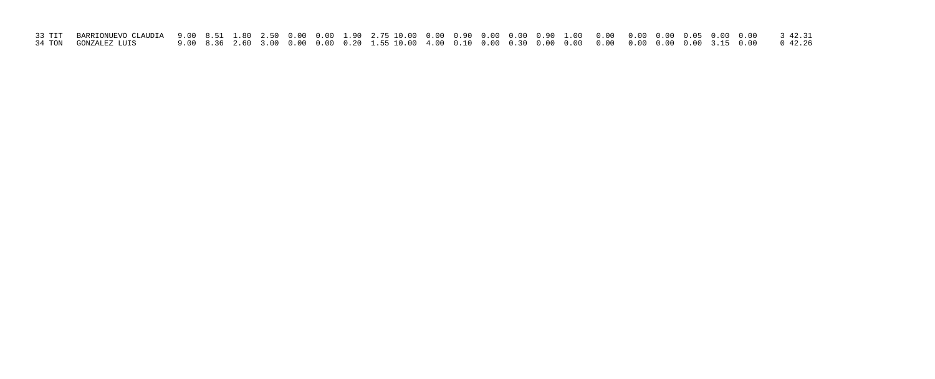| 34 TON GONZALEZ LUIS |  |  |  |  |  |  |  |  |  |  |  |
|----------------------|--|--|--|--|--|--|--|--|--|--|--|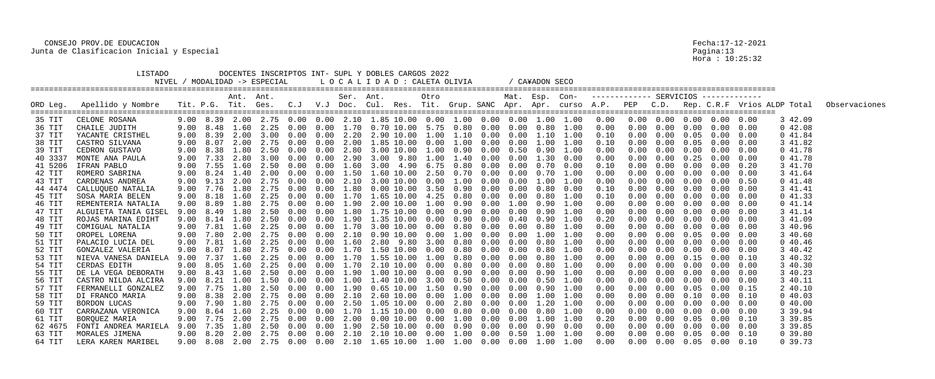|          | LISTADO<br>NIVEL /   |      |                     |           | MODALIDAD -> ESPECIAL |      |      |           | DOCENTES INSCRIPTOS INT- SUPL Y DOBLES CARGOS 2022<br>LOCALIDAD: CALETA OLIVIA |      |      |                      |      | / CA¥ADON SECO |               |      |            |      |                   |                                                    |      |                                                                                                                      |               |
|----------|----------------------|------|---------------------|-----------|-----------------------|------|------|-----------|--------------------------------------------------------------------------------|------|------|----------------------|------|----------------|---------------|------|------------|------|-------------------|----------------------------------------------------|------|----------------------------------------------------------------------------------------------------------------------|---------------|
| ORD Leg. | Apellido y Nombre    |      |                     | Ant. Ant. |                       |      |      | Ser. Ant. |                                                                                | Otro |      |                      |      | Mat. Esp. Con- |               |      |            |      |                   |                                                    |      | Tit. P.G. Tit. Ges. C.J V.J Doc. Cul. Res. Tit. Grup. SANC Apr. Apr. curso A.P. PEP C.D. Rep. C.R.F Vrios ALDP Total | Observaciones |
| 35 TIT   | CELONE ROSANA        |      |                     |           |                       |      |      |           | $9.00$ 8.39 2.00 2.75 0.00 0.00 2.10 1.85 10.00 0.00 1.00 0.00 0.00 1.00 1.00  |      |      |                      |      |                |               | 0.00 |            |      |                   | $0.00 \quad 0.00 \quad 0.00 \quad 0.00 \quad 0.00$ |      | 3 42.09                                                                                                              |               |
| 36 TIT   | CHAILE JUDITH        |      | 9.00 8.48           |           | 1.60 2.25             | 0.00 | 0.00 | 1.70      | $0.70$ 10.00 5.75                                                              |      |      | $0.80\quad 0.00$     | 0.00 |                | $0.80$ $1.00$ | 0.00 | 0.00       | 0.00 | $0\,.\,00$        | 0.00                                               | 0.00 | 042.08                                                                                                               |               |
| 37 TIT   | YACANTE CRISTHEL     | 9.00 | 8.39                |           | 2.00 3.00             | 0.00 | 0.00 | 2.20      | 2.90 10.00 1.00                                                                |      |      | 1.10 0.00            | 0.00 |                | 1.10 1.00     | 0.10 | 0.00       | 0.00 | 0.05              | 0.00                                               | 0.00 | 041.84                                                                                                               |               |
| 38 TIT   | CASTRO SILVANA       | 9.00 | 8.07                |           | 2.00 2.75             | 0.00 | 0.00 | 2.00      | $1.85$ 10.00 0.00 1.00 0.00 0.00                                               |      |      |                      |      |                | 1.00 1.00     | 0.10 | 0.00       |      | $0.00 \quad 0.05$ | $0.00$ $0.00$                                      |      | 3 41.82                                                                                                              |               |
| 39 TIT   | CEDRON GUSTAVO       | 9.00 | 8.38                | 1.80      | 2.50                  | 0.00 | 0.00 | 2.80      | 3.00 10.00                                                                     | 1.00 | 0.90 | 0.00                 | 0.50 | 0.90           | 1.00          | 0.00 |            | 0.00 | 0.00              | 0.00                                               | 0.00 | 041.78                                                                                                               |               |
| 40 3337  | MONTE ANA PAULA      |      | 9.00 7.33 2.80 3.00 |           |                       | 0.00 | 0.00 | 2.90      | 3.00 9.80 1.00                                                                 |      | 1.40 | 0.00                 | 0.00 | 1.30           | 0.00          | 0.00 |            | 0.00 | 0.25              | 0.00                                               | 0.00 | 041.78                                                                                                               |               |
| 41 5206  | IFRAN PABLO          | 9.00 |                     |           | 7.55 1.60 2.50        | 0.00 | 0.00 | 1.60      | 3.00 4.90 6.75                                                                 |      |      | $0.80\quad 0.00$     | 0.00 | 0.70           | 0.00          | 0.10 |            | 0.00 | 0.00              | 0.00                                               | 0.20 | 3 41.70                                                                                                              |               |
| 42 TIT   | ROMERO SABRINA       | 9.00 | 8.24                | 1.40      | 2.00                  | 0.00 | 0.00 | 1.50      | $1.60$ $10.00$                                                                 | 2.50 | 0.70 | 0.00                 | 0.00 | 0.70           | 1.00          | 0.00 |            | 0.00 | 0.00              | 0.00                                               | 0.00 | 3 41.64                                                                                                              |               |
| 43 TIT   | CARDENAS ANDREA      |      |                     |           | 9.00 9.13 2.00 2.75   | 0.00 | 0.00 | 2.10      | 3.00 10.00 0.00                                                                |      | 1.00 | 0.00                 | 0.00 | 1.00           | 1.00          | 0.00 |            | 0.00 | 0.00              | 0.00                                               | 0.50 | 041.48                                                                                                               |               |
| 44 4474  | CALLUQUEO NATALIA    | 9.00 |                     |           | 7.76 1.80 2.75        | 0.00 | 0.00 | 1.80      | $0.00$ $10.00$ $3.50$                                                          |      |      | $0.90 \quad 0.00$    | 0.00 | 0.80           | 0.00          | 0.10 |            | 0.00 | 0.00              | 0.00                                               | 0.00 | 3 41.41                                                                                                              |               |
| 45 TIT   | SOSA MARIA BELEN     | 9.00 | 8.18                | 1.60      | 2.25                  | 0.00 | 0.00 | 1.70      | 1.65 10.00 4.25                                                                |      | 0.80 | 0.00                 | 0.00 | 0.80           | 1.00          | 0.10 |            | 0.00 | 0.00              | 0.00                                               | 0.00 | 041.33                                                                                                               |               |
| 46 TIT   | REMENTERIA NATALIA   | 9.00 | 8.89                | 1.80      | 2.75                  | 0.00 | 0.00 | 1.90      | 2.00 10.00 1.00                                                                |      | 0.90 | 0.00                 | 1.00 | 0.90           | 1.00          | 0.00 |            | 0.00 | 0.00              | 0.00                                               | 0.00 | 041.14                                                                                                               |               |
| 47 TIT   | ALGUIETA TANIA GISEL | 9.00 | 8.49                | 1.80      | 2.50                  | 0.00 | 0.00 |           | $1.80$ $1.75$ $10.00$ $0.00$                                                   |      |      | $0.90 \quad 0.00$    | 0.00 | 0.90           | 1.00          | 0.00 | 0.00       | 0.00 | 0.00              | $0.00 \quad 0.00$                                  |      | 3 41.14                                                                                                              |               |
| 48 TIT   | ROJAS MARINA EDIHT   | 9.00 | 8.14                | 1.80      | 2.50                  | 0.00 | 0.00 | 1.90      | $1.35$ 10.00 0.00                                                              |      | 0.90 | 0.00                 | 0.40 | 0.90           | 1.00          | 0.20 |            | 0.00 | 0.00              | 0.00                                               | 0.00 | 3 41.09                                                                                                              |               |
| 49 TIT   | COMIGUAL NATALIA     | 9.00 | 7.81                | 1.60      | 2.25                  | 0.00 | 0.00 | 1.70      | 3.00 10.00 0.00                                                                |      | 0.80 | 0.00                 | 0.00 | 0.80           | 1.00          | 0.00 |            | 0.00 | 0.00              | 0.00                                               | 0.00 | 3 40.96                                                                                                              |               |
| 50 TIT   | OROPEL LORENA        | 9.00 |                     |           | 7.80 2.00 2.75        | 0.00 | 0.00 | 2.10      | 0.90 10.00 0.00                                                                |      |      | 1.00 0.00            | 0.00 | 1.00           | 1.00          | 0.00 |            | 0.00 | 0.05              | 0.00                                               | 0.00 | 3 40.60                                                                                                              |               |
| 51 TIT   | PALACIO LUCIA DEL    | 9.00 | 7.81                | 1.60      | 2.25                  | 0.00 | 0.00 | 1.60      | 2.80 9.80                                                                      | 3.00 | 0.80 | 0.00                 | 0.00 | 0.80           | 1.00          | 0.00 |            | 0.00 | 0.00              | 0.00                                               | 0.00 | $0\;40.46$                                                                                                           |               |
| 52 TIT   | GONZALEZ VALERIA     | 9.00 | 8.07                | 1.80      | 2.75                  | 0.00 | 0.00 | 1.70      | 1.50 10.00 0.00                                                                |      | 0.80 | 0.00                 | 0.00 | 0.80           | 1.00          | 0.00 |            | 0.00 | 0.00              | 0.00                                               | 0.00 | 3 40.42                                                                                                              |               |
| 53 TIT   | NIEVA VANESA DANIELA | 9.00 | 7.37                | 1.60      | 2.25                  |      | 0.00 | 1.70      | 1.55 10.00 1.00                                                                |      | 0.80 | 0.00                 | 0.00 | 0.80           | 1.00          | 0.00 |            |      | $0.00 \quad 0.15$ | 0.00                                               | 0.10 | 3 40.32                                                                                                              |               |
| 54 TIT   | CERDAS EDITH         | 9.00 | 8.05                | 1.60      | 2.25                  | 0.00 | 0.00 | 1.70      | 2.10 10.00                                                                     | 0.00 | 0.80 | 0.00                 | 0.00 | 0.80           | 1.00          | 0.00 |            | 0.00 | 0.00              | 0.00                                               | 0.00 | 3 40.30                                                                                                              |               |
| 55 TIT   | DE LA VEGA DEBORATH  | 9.00 |                     |           | 8.43 1.60 2.50        | 0.00 | 0.00 |           | $1.90$ $1.00$ $10.00$ $0.00$                                                   |      |      | $0.90\quad 0.00$     | 0.00 | 0.90           | 1.00          | 0.00 | 0.00       |      | $0.00 \quad 0.00$ | 0.00                                               | 0.00 | 3 40.23                                                                                                              |               |
| 56 TIT   | CASTRO NILDA ALCIRA  |      | $9.00 \quad 8.21$   | 1.00      | 1.50                  |      |      |           | $0.00$ $0.00$ $1.00$ $1.40$ $10.00$ $3.00$                                     |      |      | $0.50$ $0.00$ $0.00$ |      | 0.50           | 1.00          | 0.00 | 0.00       |      | $0.00 \quad 0.00$ | $0.00 \quad 0.00$                                  |      | 3 40.11                                                                                                              |               |
| 57 TIT   | FERMANELLI GONZALEZ  |      |                     |           |                       |      |      |           | 9.00 7.75 1.80 2.50 0.00 0.00 1.90 0.65 10.00 1.50 0.90 0.00 0.00 0.90 1.00    |      |      |                      |      |                |               | 0.00 |            |      | $0.00 \quad 0.05$ | 0.00                                               |      | 2 40.10                                                                                                              |               |
| 58 TIT   | DI FRANCO MARIA      |      |                     |           |                       |      |      |           | 9.00 8.38 2.00 2.75 0.00 0.00 2.10 2.60 10.00 0.00 1.00 0.00 0.00 1.00 1.00    |      |      |                      |      |                |               | 0.00 | 0.00       |      |                   | $0.00 \t 0.10 \t 0.00 \t 0.10$                     |      | 040.03                                                                                                               |               |
| 59 TIT   | BORDON LUCAS         |      |                     |           |                       |      |      |           | 9.00 7.90 1.80 2.75 0.00 0.00 2.50 1.05 10.00 0.00 2.80 0.00 0.00 1.20 1.00    |      |      |                      |      |                |               | 0.00 | 0.00       |      |                   | $0.00 \t 0.00 \t 0.00 \t 0.00$                     |      | 040.00                                                                                                               |               |
| 60 TIT   | CARRAZANA VERONICA   |      |                     |           |                       |      |      |           | $9.00$ 8.64 1.60 2.25 0.00 0.00 1.70 1.15 10.00 0.00 0.80 0.00 0.00 0.80 1.00  |      |      |                      |      |                |               | 0.00 | 0.00       |      |                   | $0.00 \quad 0.00 \quad 0.00$                       | 0.00 | 3 39.94                                                                                                              |               |
| 61 TIT   | BORQUEZ MARIA        |      |                     |           |                       |      |      |           |                                                                                |      |      |                      |      |                |               | 0.20 | $0\,.\,00$ |      |                   | $0.00 \t 0.05 \t 0.00 \t 0.10$                     |      | 3 39.85                                                                                                              |               |
| 62 4675  | FONTI ANDREA MARIELA |      |                     |           |                       |      |      |           | 9.00 7.35 1.80 2.50 0.00 0.00 1.90 2.50 10.00 0.00 0.90 0.00 0.00 0.90 0.00    |      |      |                      |      |                |               | 0.00 | 0.00       |      |                   | $0.00 \t 0.00 \t 0.00 \t 0.00$                     |      | 3 39.85                                                                                                              |               |
| 63 TIT   | MORALES JIMENA       |      |                     |           |                       |      |      |           |                                                                                |      |      |                      |      |                |               | 0.00 | 0.00       |      |                   | $0.00 \t 0.05 \t 0.00 \t 0.10$                     |      | 0, 39.80                                                                                                             |               |
| 64 TIT   | LERA KAREN MARIBEL   |      |                     |           |                       |      |      |           | 9.00 8.08 2.00 2.75 0.00 0.00 2.10 1.65 10.00 1.00 1.00 0.00 0.00 1.00 1.00    |      |      |                      |      |                |               | 0.00 |            |      |                   | $0.00$ $0.00$ $0.05$ $0.00$ $0.10$                 |      | 0.39.73                                                                                                              |               |

Pagina:13<br>Hora : 10:25:32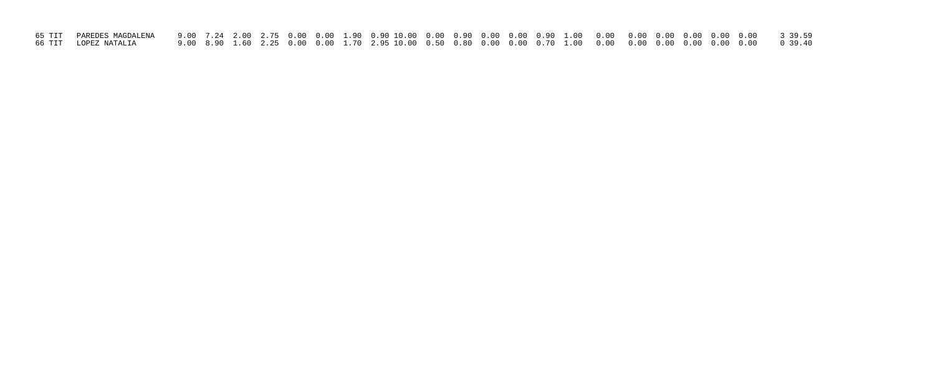| 66 TIT LOPEZ NATALIA |  |  |  |  |  |  |  |  |  |  |  |
|----------------------|--|--|--|--|--|--|--|--|--|--|--|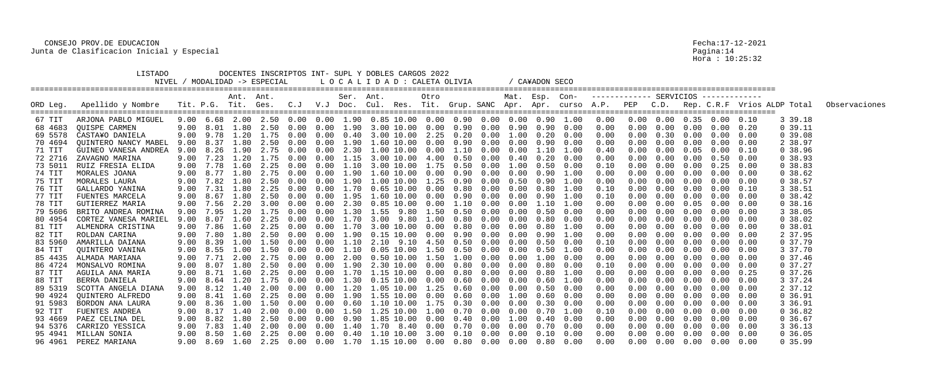|          | LISTADO               |      |               |           | DOCENTES INSCRIPTOS INT- SUPL Y DOBLES CARGOS 2022<br>NIVEL / MODALIDAD -> ESPECIAL |      |      |           |                |            | LOCALIDAD: CALETA OLIVIA     |      |                            |            | / CA¥ADON SECO |                   |                                                    |            |            |                   |                                    |      |            |                                                                                                                                    |
|----------|-----------------------|------|---------------|-----------|-------------------------------------------------------------------------------------|------|------|-----------|----------------|------------|------------------------------|------|----------------------------|------------|----------------|-------------------|----------------------------------------------------|------------|------------|-------------------|------------------------------------|------|------------|------------------------------------------------------------------------------------------------------------------------------------|
| ORD Leg. | Apellido y Nombre     |      |               | Ant. Ant. |                                                                                     |      |      | Ser. Ant. |                |            | Otro                         |      |                            |            |                |                   | Mat. Esp. Con- ------------ SERVICIOS ------------ |            |            |                   |                                    |      |            | Tit. P.G. Tit. Ges. C.J V.J Doc. Cul. Res. Tit. Grup. SANC Apr. Apr. curso A.P. PEP C.D. Rep. C.R.F Vrios ALDP Total Observaciones |
| 67 TIT   | ARJONA PABLO MIGUEL   |      |               |           | $9.00$ 6.68 2.00 2.50 0.00 0.00 1.90 0.85 10.00 0.00 0.90 0.00 0.00 0.90 1.00       |      |      |           |                |            |                              |      |                            |            |                |                   | $0\,.\,00$                                         |            |            |                   | $0.00$ $0.00$ $0.35$ $0.00$ $0.10$ |      | 3 39.18    |                                                                                                                                    |
| 68 4683  | QUISPE CARMEN         |      | $9.00$ $8.01$ |           | 1.80 2.50                                                                           | 0.00 | 0.00 |           |                |            | $1.90$ 3.00 10.00 0.00       |      | $0.90\quad 0.00$           | 0.90       |                | $0.90\quad 0.00$  | 0.00                                               | 0.00       | 0.00       | $0\,.\,00$        | 0.00                               | 0.20 | 0.39.11    |                                                                                                                                    |
| 69 5578  | CASTA¥O DANIELA       |      |               |           | 9.00 9.78 1.20 1.75 0.00                                                            |      | 0.00 | 0.40      |                |            | 3.00 10.00 2.25              |      | $0.20\quad 0.00$           | 1.00       | 0.20           | 0.00              | 0.00                                               | 0.00       | 0.30       | 0.00              | 0.00                               | 0.00 | 0.39.08    |                                                                                                                                    |
| 70 4694  | QUINTERO NANCY MABEL  |      | 9.00 8.37     | 1.80      | 2.50                                                                                | 0.00 | 0.00 |           |                |            | $1.90$ $1.60$ $10.00$ $0.00$ |      | $0.90\quad 0.00\quad 0.00$ |            |                | $0.90\quad 0.00$  | 0.00                                               | 0.00       | $0\,.\,00$ | 0.00              | $0.00$ $0.00$                      |      | 2 38.97    |                                                                                                                                    |
| 71 TIT   | GUINEO VANESA ANDREA  | 9.00 | 8.26          | 1.90      | 2.75                                                                                | 0.00 | 0.00 | 2.30      | 1.00 10.00     |            | 0.00                         | 1.10 | 0.00                       | 0.00       | 1.10           | 1.00              | 0.40                                               |            | 0.00       | 0.05              | 0.00                               | 0.10 | 0.38.96    |                                                                                                                                    |
| 72 2716  | ZAVAGNO MARINA        |      | 9.00 7.23     | 1.20      | 1.75                                                                                | 0.00 | 0.00 | 1.15      |                |            | 3.00 10.00 4.00              | 0.50 | 0.00                       | 0.40       | $0\,.20$       | 0.00              | 0.00                                               |            | 0.00       | 0.00              | 0.50                               | 0.00 | 0.38.93    |                                                                                                                                    |
| 73 5011  | RUIZ FRESIA ELIDA     |      | 9.00 7.78     |           | 1,60 2.25                                                                           | 0.00 | 0.00 |           |                |            | 1.10 3.00 10.00 1.75         |      | $0.50$ $0.00$              | 1.00       |                | $0.50 \quad 0.00$ | 0.10                                               |            | 0.00       | 0.00              | $0.25$ 0.00                        |      | 0.38.83    |                                                                                                                                    |
| 74 TIT   | MORALES JOANA         | 9.00 |               | 1.80      |                                                                                     | 0.00 | 0.00 | 1.90      | 1.60 10.00     |            | 0.00                         | 0.90 | 0.00                       | 0.00       | 0.90           | 1.00              | 0.00                                               |            | 0.00       | 0.00              | 0.00                               | 0.00 | 0.38.62    |                                                                                                                                    |
| 75 TIT   | MORALES LAURA         | 9.00 |               | 7.82 1.80 | 2.50                                                                                | 0.00 | 0.00 |           |                |            | $1.90$ $1.00$ $10.00$ $1.25$ |      | $0.90 \quad 0.00$          | 0.50       | 0.90           | 1.00              | 0.00                                               |            | 0.00       | 0.00              | 0.00                               | 0.00 | 0.38.57    |                                                                                                                                    |
| 76 TIT   | GALLARDO YANINA       | 9.00 |               |           | 7.31 1.80 2.25                                                                      | 0.00 | 0.00 |           |                |            |                              |      | $0.80\quad 0.00$           | 0.00       | 0.80           | 1.00              | 0.10                                               | 0.00       | 0.00       | 0.00              | 0.00                               | 0.10 | 3 38.51    |                                                                                                                                    |
| 77 TIT   | FUENTES MARCELA       | 9.00 | 8.67          | 1.80      | 2.50                                                                                | 0.00 | 0.00 | 1.95      | 1.60 10.00     |            | 0.00                         | 0.90 | 0.00                       | 0.00       | 0.90           | 1.00              | 0.10                                               |            | 0.00       | 0.00              | 0.00                               | 0.00 | 0.38.42    |                                                                                                                                    |
| 78 TIT   | GUTIERREZ MARIA       | 9.00 |               |           | 7.56 2.20 3.00                                                                      | 0.00 | 0.00 | 2.30      | $0.85$ $10.00$ |            | 0.00                         | 1.10 | 0.00                       | 0.00       | 1.10           | 1.00              | 0.00                                               |            | 0.00       | 0.05              | 0.00                               | 0.00 | 0.38.16    |                                                                                                                                    |
| 79 5606  | BRITO ANDREA ROMINA   | 9.00 | 7.95          |           | 1.20 1.75                                                                           | 0.00 | 0.00 |           |                |            | 1.30 1.55 9.80 1.50          |      | $0.50 \quad 0.00$          | 0.00       | 0.50           | 0.00              | 0.00                                               | 0.00       | 0.00       | 0.00              | $0.00 \quad 0.00$                  |      | 3 38.05    |                                                                                                                                    |
| 80 4954  | CORTEZ VANESA MARIEL  | 9.00 | 8.07          | 1.60      | 2.25                                                                                | 0.00 | 0.00 | 1.70      | 3.00 9.80      |            | 1.00                         | 0.80 | 0.00                       | 0.00       | 0.80           | 0.00              | 0.00                                               |            | 0.00       | 0.00              | 0.00                               | 0.00 | 0.38.02    |                                                                                                                                    |
| 81 TIT   | ALMENDRA CRISTINA     |      | 9.00 7.86     | 1.60      | 2.25                                                                                | 0.00 | 0.00 | 1.70      | 3.00 10.00     |            | 0.00                         | 0.80 | 0.00                       | 0.00       | 0.80           | 1.00              | 0.00                                               |            | 0.00       | 0.00              | 0.00                               | 0.00 | 0.38.01    |                                                                                                                                    |
| 82 TIT   | ROLDAN CARINA         | 9.00 |               | 7.80 1.80 | 2.50                                                                                | 0.00 | 0.00 |           |                |            | 1.90   0.15   10.00   0.00   |      | $0.90 \quad 0.00$          | 0.00       | 0.90           | 1.00              | 0.00                                               |            | 0.00       | 0.00              | 0.00                               | 0.00 | 2 37.95    |                                                                                                                                    |
| 83 5960  | AMARILLA DAIANA       | 9.00 | 8.39          | 1.00      | 1.50                                                                                | 0.00 | 0.00 | 1.10      |                | 2.10 9.10  | 4.50                         | 0.50 | 0.00                       | 0.00       | 0.50           | 0.00              | 0.10                                               |            | 0.00       | 0.00              | 0.00                               | 0.00 | 0, 37.79   |                                                                                                                                    |
| 84 TIT   | QUINTERO VANINA       |      | 9.00 8.55     | 1.00      | 1.50                                                                                | 0.00 | 0.00 | 1.10      |                |            | $0.05$ 10.00 1.50            | 0.50 | 0.00                       | 0.00       | 0.50           | 1.00              | 0.00                                               |            | 0.00       | 0.00              | 0.00                               | 0.00 | 3 37.70    |                                                                                                                                    |
| 85 4435  | ALMADA MARIANA        | 9.00 | 7.71          | 2.00      | 2.75                                                                                | 0.00 | 0.00 | 2.00      |                |            | 0.50 10.00 1.50              |      | 1.00 0.00                  | 0.00       | 1.00           | 0.00              | 0.00                                               |            | 0.00       | 0.00              | 0.00                               | 0.00 | $0\,37.46$ |                                                                                                                                    |
| 86 4724  | MONSALVO ROMINA       | 9.00 | 8.07          | 1.80      | 2.50                                                                                | 0.00 | 0.00 | 1.90      |                | 2.30 10.00 | 0.00                         | 0.80 | 0.00                       | 0.00       | 0.80           | 0.00              | 0.10                                               |            | 0.00       | 0.00              | 0.00                               | 0.00 | $0\,37.27$ |                                                                                                                                    |
| 87 TIT   | AGUILA ANA MARIA      |      |               |           | 9.00 8.71 1.60 2.25                                                                 | 0.00 | 0.00 | 1.70      |                |            | 1.15 10.00 0.00              |      | $0.80\quad 0.00$           | $0\,.\,00$ | 0.80           | 1.00              | 0.00                                               | 0.00       | 0.00       | 0.00              | 0.00                               | 0.25 | 0 37.26    |                                                                                                                                    |
| 88 TIT   | BERRA DANIELA         |      |               |           | 9.00 8.64 1.20 1.75 0.00 0.00                                                       |      |      |           |                |            | $1.30$ $0.15$ $10.00$ $0.00$ |      | $0.60\quad 0.00$           | 0.00       |                | $0.60$ 1.00       | 0.00                                               |            |            | $0.00 \quad 0.00$ | $0.00 \quad 0.00$                  |      | 3 37.24    |                                                                                                                                    |
| 89 5319  | SCOTTA ANGELA DIANA   |      |               |           | 9.00 8.12 1.40 2.00 0.00 0.00 1.20 1.05 10.00 1.25 0.60 0.00 0.00 0.50 0.00         |      |      |           |                |            |                              |      |                            |            |                |                   | 0.00                                               | 0.00       |            | $0.00 \quad 0.00$ | 0.00                               | 0.00 | 2 37.12    |                                                                                                                                    |
| 90 4924  | QUINTERO ALFREDO      |      |               |           | 9.00 8.41 1.60 2.25 0.00 0.00 1.90 1.55 10.00 0.00 0.60 0.00 1.00 0.60 0.00         |      |      |           |                |            |                              |      |                            |            |                |                   | 0.00                                               | 0.00       |            |                   | $0.00 \t 0.00 \t 0.00 \t 0.00$     |      | $0\,36.91$ |                                                                                                                                    |
| 91 5983  | BORDON ANA LAURA      |      |               |           | $9.00$ 8.36 1.00 1.50 0.00 0.00 0.60 1.10 10.00 1.75 0.30 0.00 0.00 0.30 0.00       |      |      |           |                |            |                              |      |                            |            |                |                   | 0.00                                               | $0\,.\,00$ |            |                   | $0.00 \t 0.00 \t 0.00 \t 0.00$     |      | 3 36.91    |                                                                                                                                    |
| 92 TIT   | FUENTES ANDREA        |      |               |           | 9.00 8.17 1.40 2.00 0.00 0.00 1.50 1.25 10.00 1.00 0.70 0.00 0.00 0.70 1.00         |      |      |           |                |            |                              |      |                            |            |                |                   | 0.10                                               | $0\,.\,00$ |            |                   | $0.00 \quad 0.00 \quad 0.00$       | 0.00 | $0\,36.82$ |                                                                                                                                    |
| 93 4669  | PAEZ CELINA DEL       |      |               |           | 9.00 8.82 1.80 2.50 0.00 0.00 0.90 1.85 10.00 0.00 0.40 0.00 1.00 0.40 0.00         |      |      |           |                |            |                              |      |                            |            |                |                   | 0.00                                               | $0\,.\,00$ |            |                   | $0.00 \t 0.00 \t 0.00 \t 0.00$     |      | 0 36.67    |                                                                                                                                    |
| 94 5376  | CARRIZO YESSICA       |      |               |           | $9.00$ 7.83 1.40 2.00 0.00 0.00 1.40 1.70 8.40 0.00 0.70 0.00 0.00 0.70 0.00        |      |      |           |                |            |                              |      |                            |            |                |                   | 0.00                                               | 0.00       |            |                   | $0.00 \t 0.00 \t 0.00 \t 0.00$     |      | 3 36.13    |                                                                                                                                    |
| 95 4941  | MILLAN SONIA          |      |               |           | 9.00 8.50 1.60 2.25 0.00 0.00 0.40 1.10 10.00 3.00 0.10 0.00 0.00 0.10 0.00         |      |      |           |                |            |                              |      |                            |            |                |                   | 0.00                                               | $0\,.\,00$ |            |                   | $0.00 \t 0.00 \t 0.00 \t 0.00$     |      | 0, 36.05   |                                                                                                                                    |
|          | 96 4961 PEREZ MARIANA |      |               |           | 9.00 8.69 1.60 2.25 0.00 0.00 1.70 1.15 10.00 0.00 0.80 0.00 0.00 0.80 0.00         |      |      |           |                |            |                              |      |                            |            |                |                   | 0.00                                               |            |            |                   | $0.00$ $0.00$ $0.00$ $0.00$ $0.00$ |      | 0, 35.99   |                                                                                                                                    |

Pagina:14<br>Hora : 10:25:32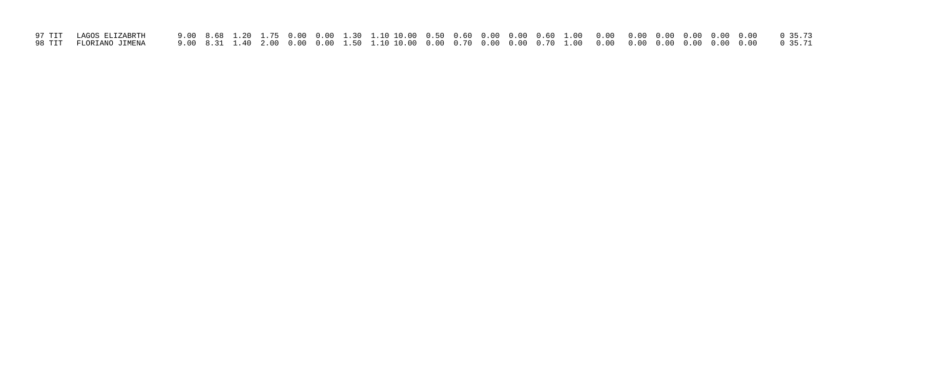| 97 TIT LAGOS ELIZABRTH   |  |  |  |  |  |  |  |  |  |  |  |
|--------------------------|--|--|--|--|--|--|--|--|--|--|--|
| 98 TIT   FLORIANO JIMENA |  |  |  |  |  |  |  |  |  |  |  |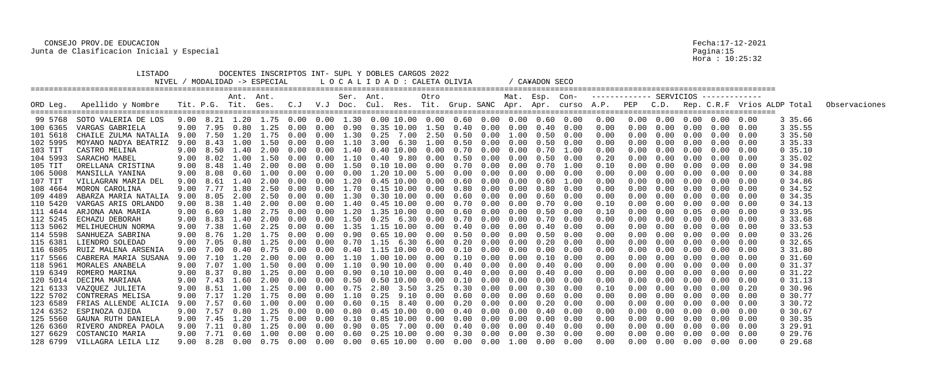| DOCENTES INSCRIPTOS INT- SUPL Y DOBLES CARGOS 2022<br>LISTADO<br>NIVEL / MODALIDAD -> ESPECIAL<br>LOCALIDAD: CALETA OLIVIA<br>/ CA¥ADON SECO |                               |      |                   |           |                                    |        |               |                   |                                                                                          |  |                        |      |            |                              |      |      |                                                    |            |                   |            |                                    |      |            |                                                                                                                                    |
|----------------------------------------------------------------------------------------------------------------------------------------------|-------------------------------|------|-------------------|-----------|------------------------------------|--------|---------------|-------------------|------------------------------------------------------------------------------------------|--|------------------------|------|------------|------------------------------|------|------|----------------------------------------------------|------------|-------------------|------------|------------------------------------|------|------------|------------------------------------------------------------------------------------------------------------------------------------|
|                                                                                                                                              | ORD Leg. Apellido y Nombre    |      |                   | Ant. Ant. |                                    |        |               | Ser. Ant.         |                                                                                          |  | Otro                   |      |            |                              |      |      | Mat. Esp. Con- ------------ SERVICIOS ------------ |            |                   |            |                                    |      |            | Tit. P.G. Tit. Ges. C.J V.J Doc. Cul. Res. Tit. Grup. SANC Apr. Apr. curso A.P. PEP C.D. Rep. C.R.F Vrios ALDP Total Observaciones |
|                                                                                                                                              | 99 5768 SOTO VALERIA DE LOS   |      |                   |           |                                    |        |               |                   |                                                                                          |  |                        |      |            |                              |      |      |                                                    |            |                   |            | $0.00 \t0.00 \t0.00 \t0.00 \t0.00$ |      | 3 35.66    |                                                                                                                                    |
| 100 6365                                                                                                                                     | VARGAS GABRIELA               |      |                   |           | 9.00 7.95 0.80 1.25 0.00           |        |               |                   | $0.00 \quad 0.90 \quad 0.35 \quad 10.00 \quad 1.50 \quad 0.40$                           |  |                        |      |            | $0.00 \quad 0.00 \quad 0.40$ |      | 0.00 | 0.00                                               | 0.00       | 0.00              |            | $0.00 \t 0.00 \t 0.00$             |      | 3 35.55    |                                                                                                                                    |
| 101 5618                                                                                                                                     | CHAILE ZULMA NATALIA          |      |                   |           | 9.00 7.50 1.20 1.75 0.00           |        |               |                   | $0.00 \quad 1.30 \quad 0.25 \quad 7.00 \quad 2.50 \quad 0.50$                            |  |                        |      |            | $0.00$ $1.00$ $0.50$ $0.00$  |      |      | 0.00                                               | 0.00       | 0.00              | $0\,.\,00$ | 0.00                               | 0.00 | 3 35.50    |                                                                                                                                    |
|                                                                                                                                              | 102 5995 MOYANO NADYA BEATRIZ |      |                   |           | 9.00 8.43 1.00 1.50 0.00           |        |               |                   | $0.00$ 1.10 3.00 6.30 1.00 0.50 0.00 0.00 0.50                                           |  |                        |      |            |                              |      | 0.00 | 0.00                                               | 0.00       | 0.00              |            | $0.00 \quad 0.00 \quad 0.00$       |      | 3 35.33    |                                                                                                                                    |
| 103 TIT                                                                                                                                      | CASTRO MELINA                 |      | $9.00 \quad 8.50$ | 1.40      | 2.00                               | 0.00   | 0.00          | 1.40              |                                                                                          |  | 0.40 10.00 0.00        | 0.70 | 0.00       | 0.00                         | 0.70 | 1.00 | 0.00                                               | 0.00       | 0.00              | 0.00       | 0.00                               | 0.00 | 0, 35.10   |                                                                                                                                    |
| 104 5993                                                                                                                                     | SARACHO MABEL                 |      |                   |           | 9.00 8.02 1.00 1.50 0.00           |        |               | $0.00 \quad 1.10$ |                                                                                          |  | 0.40 9.80 0.00         | 0.50 | 0.00       | 0.00                         | 0.50 | 0.00 | 0.20                                               | 0.00       | 0.00              | 0.00       | 0.00                               | 0.00 | 3 35.02    |                                                                                                                                    |
| 105 TIT                                                                                                                                      | ORELLANA CRISTINA             |      |                   |           | 9.00 8.48 1.40 2.00 0.00           |        |               |                   | 0.00 1.50 0.10 10.00 0.00                                                                |  |                        | 0.70 | 0.00       | $0\,.\,00$                   | 0.70 | 1.00 | 0.10                                               | 0.00       | 0.00              |            | $0.00 \quad 0.00 \quad 0.00$       |      | 0.34.98    |                                                                                                                                    |
| 106 5008                                                                                                                                     | MANSILLA YANINA               | 9.00 | 8.08              | 0.60      | 1.00                               | 0.00   | 0.00          | 0.00              |                                                                                          |  | $1.20$ $10.00$ 5.00    | 0.00 | 0.00       | 0.00                         | 0.00 | 0.00 | 0.00                                               | 0.00       | 0.00              | 0.00       | 0.00                               | 0.00 | 0.34.88    |                                                                                                                                    |
| 107 TIT                                                                                                                                      | VILLAGRAN MARIA DEL           |      | 9.00 8.61         |           | 1.40 2.00 0.00                     |        |               |                   | 0.00 1.20 0.45 10.00 0.00                                                                |  |                        | 0.60 | 0.00       | $0\,.\,00$                   | 0.60 | 1.00 | 0.00                                               | 0.00       | 0.00              | 0.00       | 0.00                               | 0.00 | 0, 34.86   |                                                                                                                                    |
| 108 4664                                                                                                                                     | MORON CAROLINA                |      |                   |           | 9.00 7.77 1.80 2.50 0.00           |        |               |                   | $0.00 \quad 1.70 \quad 0.15 \quad 10.00 \quad 0.00 \quad 0.80$                           |  |                        |      | 0.00       | $0\,.\,00$                   | 0.80 | 0.00 | 0.00                                               | 0.00       | 0.00              |            | $0.00 \quad 0.00 \quad 0.00$       |      | $0\,34.52$ |                                                                                                                                    |
| 109 4489                                                                                                                                     | ABARZA MARIA NATALIA          |      | 9.00 8.05         | 2.00      | 2.50                               | 0.00   | 0.00          | 1.30              |                                                                                          |  | $0.30\;10.00\;$ $0.00$ | 0.60 | 0.00       | 0.00                         | 0.60 | 0.00 | 0.00                                               | 0.00       | 0.00              | 0.00       | 0.00                               | 0.00 | 0, 34.35   |                                                                                                                                    |
| 110 5420                                                                                                                                     | VARGAS ARIS ORLANDO           |      | 9.00 8.38         |           | 1.40 2.00 0.00                     |        |               |                   | 0.00 1.40 0.45 10.00 0.00                                                                |  |                        | 0.70 | 0.00       | 0.00                         | 0.70 | 0.00 | 0.10                                               | 0.00       |                   | 0.00       | 0.00                               | 0.00 | 0, 34.13   |                                                                                                                                    |
|                                                                                                                                              | 111 4644 ARJONA ANA MARIA     |      |                   |           | 9.00 6.60 1.80 2.75 0.00           |        |               |                   | $0.00 \quad 1.20 \quad 1.35 \quad 10.00 \quad 0.00 \quad 0.60$                           |  |                        |      | 0.00       | $0.00$ $0.50$                |      | 0.00 | 0.10                                               | 0.00       | 0.00              |            | $0.05$ 0.00 0.00                   |      | 0, 33.95   |                                                                                                                                    |
|                                                                                                                                              | 112 5245 ECHAZU DEBORAH       |      | $9.00$ 8.83       | 1.40      | 2.00 0.00                          |        | 0.00          | 1.50              |                                                                                          |  | $0.25$ 6.30 0.00       | 0.70 | 0.00       | 0.00                         | 0.70 | 0.00 | 0.00                                               | 0.00       | 0.00              | 0.00       | 0.00                               | 0.00 | 3 33.68    |                                                                                                                                    |
|                                                                                                                                              | 113 5062 MELIHUECHUN NORMA    |      | 9.00 7.38         |           | 1.60 2.25 0.00                     |        |               |                   | 0.00 1.35 1.15 10.00 0.00                                                                |  |                        | 0.40 | 0.00       | 0.00                         | 0.40 | 0.00 | 0.00                                               | 0.00       | 0.00              | 0.00       | 0.00                               | 0.00 | 0, 33.53   |                                                                                                                                    |
|                                                                                                                                              | 114 5598 SANHUEZA SABRINA     |      |                   |           | 9.00 8.76 1.20 1.75 0.00           |        |               |                   | 0.00 0.90 0.65 10.00 0.00 0.50                                                           |  |                        |      | 0.00       | 0.00                         | 0.50 | 0.00 | 0.00                                               | 0.00       | 0.00              |            | $0.00 \quad 0.00 \quad 0.00$       |      | $0\,33.26$ |                                                                                                                                    |
| 115 6381                                                                                                                                     | LIENDRO SOLEDAD               |      | 9.00 7.05         | 0.80      | 1.25                               | 0.00   | 0.00          | 0.70              | 1.15                                                                                     |  | 6.30 6.00              | 0.20 | $0\,.\,00$ | 0.00                         | 0.20 | 0.00 | 0.00                                               | 0.00       | 0.00              | 0.00       | 0.00                               | 0.00 | 0, 32.65   |                                                                                                                                    |
|                                                                                                                                              | 116 6805 RUIZ MALENA ARSENIA  |      | 9.00 7.00         |           | 0.40 0.75                          | 0.00   | $(1 \cdot 0)$ | 0.40              |                                                                                          |  | 1.15 10.00 0.00        | 0.10 | 0.00       | 0.00                         | 0.00 | 0.00 | 0.00                                               | 0.00       | 0.00              | 0.00       | 0.00                               | 0.00 | 3 31.80    |                                                                                                                                    |
|                                                                                                                                              | 117 5566 CABRERA MARIA SUSANA |      | 9.00 7.10         | 1.20      | 2.00                               | (0.00) |               |                   | 0.00 1.10 1.00 10.00 0.00                                                                |  |                        | 0.10 | 0.00       | 0.00                         | 0.10 | 0.00 | 0.00                                               | 0.00       | 0.00              |            | $0.00 \quad 0.00 \quad 0.00$       |      | $0\,31.60$ |                                                                                                                                    |
| 118 5961                                                                                                                                     | MORALES ANABELA               |      | 9.00 7.07         | 1.00      | 1.50                               | 0.00   | 0.00          | 1.10              |                                                                                          |  | $0.90$ $10.00$ $0.00$  | 0.40 | 0.00       | 0.00                         | 0.40 | 0.00 | 0.00                                               | 0.00       | 0.00              | 0.00       | $0\,.\,00$                         | 0.00 | $0\,31.37$ |                                                                                                                                    |
|                                                                                                                                              | 119 6349 ROMERO MARINA        |      |                   |           | 9.00 8.37 0.80 1.25 0.00           |        |               |                   |                                                                                          |  |                        |      |            | $0.00 \quad 0.00 \quad 0.40$ |      | 0.00 | 0.00                                               | 0.00       | 0.00              |            | $0.00 \quad 0.00 \quad 0.00$       |      | $0\,31.22$ |                                                                                                                                    |
|                                                                                                                                              | 120 5014 DECIMA MARIANA       |      |                   |           | 9.00 7.43 1.60 2.00 0.00           |        |               |                   |                                                                                          |  |                        |      |            |                              |      | 0.00 | 0.00                                               |            | $0.00 \quad 0.00$ |            | $0.00 \t 0.00 \t 0.00$             |      | $0\,31.13$ |                                                                                                                                    |
|                                                                                                                                              | 121 6133 VAZQUEZ JULIETA      |      |                   |           |                                    |        |               |                   | 9.00 8.51 1.00 1.25 0.00 0.00 0.75 2.80 3.50 3.25 0.30 0.00 0.00 0.30 0.00               |  |                        |      |            |                              |      |      | 0.10                                               | 0.00       | 0.00              |            | $0.00\quad 0.00$                   | 0.20 | 0, 30.96   |                                                                                                                                    |
|                                                                                                                                              | 122 5702 CONTRERAS MELISA     |      |                   |           |                                    |        |               |                   | 9.00 7.17 1.20 1.75 0.00 0.00 1.10 0.25 9.10 0.00 0.60 0.00 0.00 0.60                    |  |                        |      |            |                              |      | 0.00 | 0.00                                               | $0\,.\,00$ | 0.00              |            | $0.00 \quad 0.00 \quad 0.00$       |      | 0 30.77    |                                                                                                                                    |
|                                                                                                                                              | 123 6589 FRIAS ALLENDE ALICIA |      |                   |           |                                    |        |               |                   | 9.00 7.57  0.60  1.00  0.00  0.00  0.60  0.15  8.40  0.00  0.20  0.00  0.00  0.20        |  |                        |      |            |                              |      | 0.00 | 0.00                                               | 0.00       | 0.00              |            | $0.00 \quad 0.00 \quad 0.00$       |      | 3 30.72    |                                                                                                                                    |
|                                                                                                                                              | 124 6352 ESPINOZA OJEDA       |      |                   |           |                                    |        |               |                   | 9.00 7.57 0.80 1.25 0.00 0.00 0.80 0.45 10.00 0.00 0.40 0.00 0.00 0.40                   |  |                        |      |            |                              |      | 0.00 | 0.00                                               | 0.00       | 0.00              |            | $0.00 \quad 0.00 \quad 0.00$       |      | 0, 30.67   |                                                                                                                                    |
|                                                                                                                                              | 125 5560 GAUNA RUTH DANIELA   |      |                   |           |                                    |        |               |                   | $9.00$ 7.45 1.20 1.75 0.00 0.00 0.10 0.85 10.00 0.00 0.00 0.00 0.00 0.00                 |  |                        |      |            |                              |      | 0.00 | 0.00                                               | 0.00       | 0.00              |            | $0.00 \t 0.00 \t 0.00$             |      | 0, 30.35   |                                                                                                                                    |
|                                                                                                                                              | 126 6360 RIVERO ANDREA PAOLA  |      |                   |           | $9.00$ $7.11$ $0.80$ $1.25$ $0.00$ |        |               |                   | $0.00$ 0.90 0.05 7.00 0.00 0.40 0.00 0.00 0.40                                           |  |                        |      |            |                              |      | 0.00 | 0.00                                               | 0.00       | 0.00              |            | $0.00 \t 0.00 \t 0.00$             |      | 3 29.91    |                                                                                                                                    |
|                                                                                                                                              | 127 6629 COSTANCIO MARIA      |      |                   |           |                                    |        |               |                   | 9.00 7.71 0.60 1.00 0.00 0.00 0.60 0.25 10.00 0.00 0.30 0.00 0.00 0.30                   |  |                        |      |            |                              |      | 0.00 | 0.00                                               | 0.00       |                   |            | $0.00 \t 0.00 \t 0.00 \t 0.00$     |      | 029.76     |                                                                                                                                    |
|                                                                                                                                              | 128 6799 VILLAGRA LEILA LIZ   |      |                   |           |                                    |        |               |                   | 9.00 8.28  0.00  0.75  0.00  0.00  0.00  0.65  10.00  0.00  0.00  0.00  0.00  0.00  0.00 |  |                        |      |            |                              |      |      | 0.00                                               |            |                   |            | $0.00$ $0.00$ $0.00$ $0.00$ $0.00$ |      | $0\,29.68$ |                                                                                                                                    |

Pagina:15<br>Hora : 10:25:32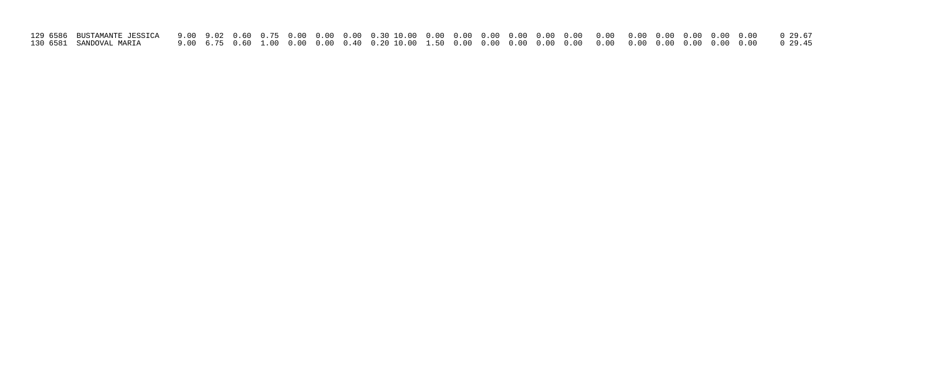| 130 6581 SANDOVAL MARIA |  |  |  |  |  |  |  |  |  |  |  |
|-------------------------|--|--|--|--|--|--|--|--|--|--|--|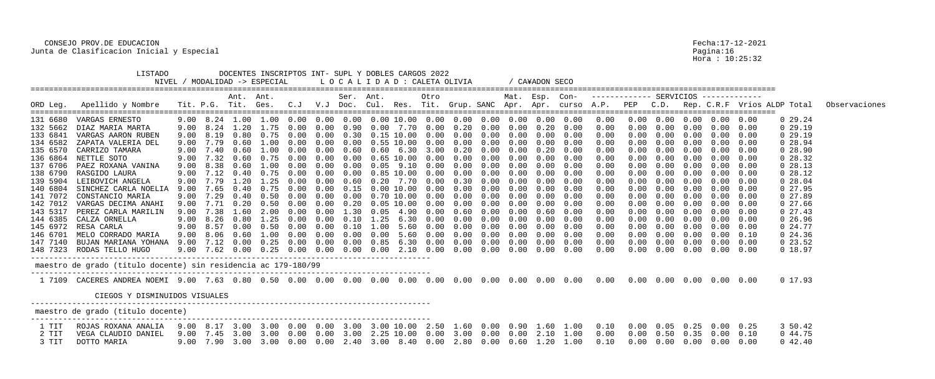|          | LISTADO                                                        |      |                  |           | NIVEL / MODALIDAD -> ESPECIAL |               |      |           | DOCENTES INSCRIPTOS INT- SUPL Y DOBLES CARGOS 2022<br>L O C A L I D A D : CALETA OLIVIA |      |            |      |      |                | CA¥ADON SECO      |                  |                                                                                                           |      |      |            |                                    |      |                             |               |
|----------|----------------------------------------------------------------|------|------------------|-----------|-------------------------------|---------------|------|-----------|-----------------------------------------------------------------------------------------|------|------------|------|------|----------------|-------------------|------------------|-----------------------------------------------------------------------------------------------------------|------|------|------------|------------------------------------|------|-----------------------------|---------------|
| ORD Leg. | Apellido y Nombre                                              |      |                  | Ant. Ant. | Tit. P.G. Tit. Ges. C.J       |               |      | Ser. Ant. | V.J Doc. Cul. Res. Tit. Grup. SANC Apr. Apr. curso A.P.                                 |      | Otro       |      |      | Mat. Esp. Con- |                   |                  |                                                                                                           | PEP  | C.D. |            |                                    |      | Rep. C.R.F Vrios ALDP Total | Observaciones |
|          | 131 6680 VARGAS ERNESTO                                        |      |                  |           |                               |               |      |           | 9.00 8.24 1.00 1.00 0.00 0.00 0.00 0.00 10.00 0.00 0.00 0.00 0.00 0.00 0.00             |      |            |      |      |                |                   |                  | 0.00                                                                                                      |      |      |            | $0.00$ $0.00$ $0.00$ $0.00$ $0.00$ |      | $0\ 29.24$                  |               |
| 132 5662 | DIAZ MARIA MARTA                                               | 9.00 | 8.24             | 1.20      | 1.75                          | (0.00)        | 0.00 | 0.90      | 0.00                                                                                    | 7.70 | 0.00       | 0.20 | 0.00 | 0.00           | 0.20              | 0.00             | 0.00                                                                                                      | 0.00 |      | 0.00       | 0.00                               | 0.00 | 029.19                      |               |
| 133 6841 | VARGAS AARON RUBEN                                             | 9.00 | 8.19             |           | 0.80 0.75                     | 0.00          | 0.00 | 0.30      | 0.15 10.00                                                                              |      | 0.00       | 0.00 | 0.00 | 0.00           | 0.00              | 0.00             | 0.00                                                                                                      | 0.00 | 0.00 | 0.00       | 0.00                               | 0.00 | 0, 29.19                    |               |
| 134 6582 | ZAPATA VALERIA DEL                                             |      | $9.00$ 7.79 0.60 |           | 1.00                          | 0.00          | 0.00 |           | $0.00 \quad 0.55$ 10.00                                                                 |      | 0.00       | 0.00 | 0.00 |                | $0.00 \quad 0.00$ | 0.00             | 0.00                                                                                                      | 0.00 | 0.00 |            | $0.00$ $0.00$ $0.00$               |      | 0 28.94                     |               |
| 135 6570 | CARRIZO TAMARA                                                 | 9.00 | 7.40             | 0.60      | .00                           |               | 0.00 | 0.60      | 0.60                                                                                    | 6.30 | 3.00       | 0.20 | 0.00 | 0.00           | 0.20              | 0.00             | 0.00                                                                                                      |      | 0.00 | 0.00       | $0\,.\,00$                         | 0.00 | 028.90                      |               |
| 136 6864 | NETTLE SOTO                                                    | 9.00 | 7.32             | 0.60      | 0.75                          |               | 0.00 | 0.00      | $0.65$ $10.00$                                                                          |      | 0.00       | 0.00 | 0.00 | 0.00           | 0.00              | 0.00             | 0.00                                                                                                      |      | 0.00 | 0.00       | 0.00                               | 0.00 | 028.32                      |               |
| 137 6706 | PAEZ ROXANA VANINA                                             |      | 9.00 8.38 0.60   |           | 1.00                          | 0.00          | 0.00 | 0.00      | $0.05$ 9.10                                                                             |      | 0.00       | 0.00 | 0.00 | 0.00           | 0.00              | 0.00             | 0.00                                                                                                      |      | 0.00 |            | $0.00 \t 0.00 \t 0.00$             |      | 028.13                      |               |
| 138 6790 | RASGIDO LAURA                                                  | 9.00 | 7.12             | 0.40      | 0.75                          |               | 0.00 | 0.00      | 0.85 10.00                                                                              |      | 0.00       | 0.00 | 0.00 | 0.00           | 0.00              | 0.00             | 0.00                                                                                                      |      | 0.00 | 0.00       | $0\,.\,00$                         | 0.00 | 0 28.12                     |               |
| 139 5904 | LEIBOVICH ANGELA                                               | 9.00 | 7.79             | 1.20      | 1.25                          |               | 0.00 | 0.60      | 0.20                                                                                    | 7.70 | 0.00       | 0.30 | 0.00 | 0.00           | 0.00              | 0.00             | 0.00                                                                                                      |      | 0.00 | 0.00       | 0.00                               | 0.00 | 0 28.04                     |               |
| 140 6804 | SINCHEZ CARLA NOELIA                                           | 9.00 | 7.65             | 0.40      | 0.75                          |               | 0.00 | 0.15      | 0.00 10.00                                                                              |      | 0.00       | 0.00 | 0.00 | 0.00           | 0.00              | 0.00             | 0.00                                                                                                      |      | 0.00 |            | $0.00 \t 0.00 \t 0.00$             |      | 027.95                      |               |
| 141 7072 | CONSTANCIO MARIA                                               | 9.00 | 7.29             | 0.40      | 0.50                          | $(1 \cdot 0)$ | 0.00 | 0.00      | 0.70 10.00                                                                              |      | 0.00       | 0.00 | 0.00 | 0.00           | 0.00              | 0.00             | 0.00                                                                                                      |      | 0.00 | 0.00       | 0.00                               | 0.00 | 027.89                      |               |
| 142 7012 | VARGAS DECIMA ANAHI                                            | 9.00 | 7.71             | 0.20      | 0.50                          |               | 0.00 | 0.20      | 0.05 10.00                                                                              |      | 0.00       | 0.00 | 0.00 | 0.00           | 0.00              | 0.00             | 0.00                                                                                                      |      | 0.00 | 0.00       | 0.00                               | 0.00 | 027.66                      |               |
| 143 5317 | PEREZ CARLA MARILIN                                            | 9.00 | 7.38             | 1.60      | 2.00                          |               | 0.00 |           | 0.05                                                                                    | 4.90 | 0.00       | 0.60 | 0.00 | 0.00           | (1.60)            | 0.00             | 0.00                                                                                                      |      | 0.00 |            | $0.00 \t 0.00 \t 0.00$             |      | $0\ 27.43$                  |               |
| 144 6385 | CALZA ORNELLA                                                  | 9.00 | 8.26             | 0.80      | 1.25                          | (1.00)        | 0.00 | 0.10      | 1.25                                                                                    | 6.30 | 0.00       | 0.00 | 0.00 | 0.00           | 0.00              | 0.00             | 0.00                                                                                                      |      | 0.00 | 0.00       | 0.00                               | 0.00 | 0, 26.96                    |               |
| 145 6972 | RESA CARLA                                                     | 9.00 | 8.57             | 0.00      | 0.50                          | (1.00)        | 0.00 | 0.10      | 1.00                                                                                    | 5.60 | 0.00       | 0.00 | 0.00 | 0.00           | 0.00              | 0.00             | 0.00                                                                                                      |      | 0.00 | 0.00       | 0.00                               | 0.00 | $0\,24.77$                  |               |
| 146 6701 | MELO CORRADO MARIA                                             | 9.00 | 8.06             | 0.60      | 1.00                          | $(1 \t1)$     | 0.00 | 0.00      | 0.00                                                                                    | 5.60 | 0.00       | 0.00 | 0.00 | 0.00           | 0.00              | 0.00             | 0.00                                                                                                      |      | 0.00 |            | $0.00$ $0.00$ $0.10$               |      | $0\,24.36$                  |               |
| 147 7140 | BUJAN MARIANA YOHANA                                           | 9.00 | 7.12             | 0.00      | 0.25                          | (1.00)        | 0.00 | 0.00      | 0.85                                                                                    | 6.30 | 0.00       | 0.00 | 0.00 | 0.00           | 0.00              | 0.00             | 0.00                                                                                                      | 0.00 | 0.00 | 0.00       | 0.00                               | 0.00 | $0\,23.52$                  |               |
|          | 148 7323 RODAS TELLO HUGO                                      | 9.00 |                  |           |                               |               | 0.00 | 0.00      | 0.00                                                                                    | 2.10 | $0\,.\,00$ | 0.00 | 0.00 |                | $0.00 \quad 0.00$ | 0.00             | 0.00                                                                                                      | 0.00 | 0.00 | $0\,.\,00$ | 0.00                               | 0.00 | 0 18.97                     |               |
|          | maestro de grado (titulo docente) sin residencia ac 179-180/99 |      |                  |           |                               |               |      |           |                                                                                         |      |            |      |      |                |                   |                  |                                                                                                           |      |      |            |                                    |      |                             |               |
|          |                                                                |      |                  |           |                               |               |      |           |                                                                                         |      |            |      |      |                |                   |                  |                                                                                                           |      |      |            |                                    |      | 0 17.93                     |               |
|          | CIEGOS Y DISMINUIDOS VISUALES                                  |      |                  |           |                               |               |      |           |                                                                                         |      |            |      |      |                |                   |                  |                                                                                                           |      |      |            |                                    |      |                             |               |
|          | maestro de grado (titulo docente)                              |      |                  |           |                               |               |      |           |                                                                                         |      |            |      |      |                |                   |                  |                                                                                                           |      |      |            |                                    |      |                             |               |
| 1 TIT    | ROJAS ROXANA ANALIA                                            |      |                  |           |                               |               |      |           |                                                                                         |      |            |      |      |                |                   |                  | 9.00 8.17 3.00 3.00 0.00 0.00 3.00 3.00 10.00 2.50 1.60 0.00 0.90 1.60 1.00 0.10 0.00 0.05 0.25 0.00 0.25 |      |      |            |                                    |      | 3 50.42                     |               |
| 2 TIT    | VEGA CLAUDIO DANIEL                                            | 9.00 |                  |           | 7.45 3.00 3.00 0.00 0.00      |               |      |           | $3.00$ 2.25 10.00 0.00 3.00 0.00 0.00 2.10 1.00                                         |      |            |      |      |                |                   |                  | 0.00                                                                                                      |      |      |            | $0.00$ $0.50$ $0.35$ $0.00$        | 0.10 | 0 44.75                     |               |
| 3 TIT    | DOTTO MARIA                                                    | 9.00 |                  |           |                               |               |      |           | 7.90 3.00 3.00 0.00 0.00 2.40 3.00 8.40 0.00 2.80 0.00                                  |      |            |      |      |                |                   | $0.60$ 1.20 1.00 | 0.10                                                                                                      | 0.00 |      |            | $0.00 \quad 0.00 \quad 0.00$       | 0.00 | $0\;42.40$                  |               |

Pagina:16<br>Hora : 10:25:32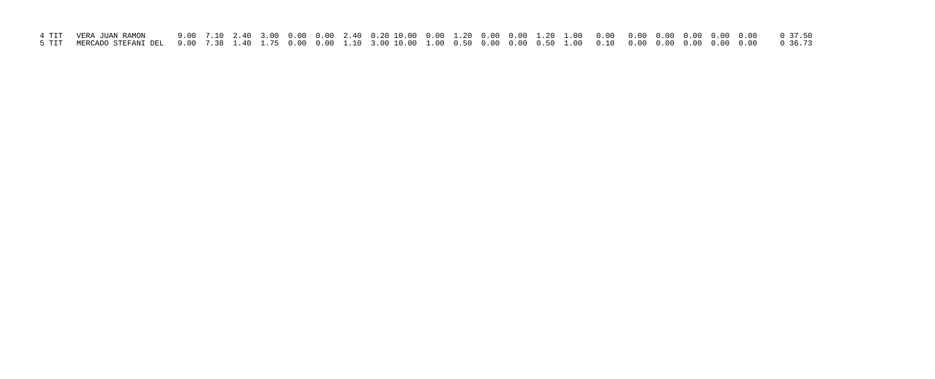| 4 TIT   VERA JUAN RAMON                                                                                                                                      |  |  |  |  |  |  |  |  |  |  |  |
|--------------------------------------------------------------------------------------------------------------------------------------------------------------|--|--|--|--|--|--|--|--|--|--|--|
| 5 TIT  MERCADO STEFANI DEL  9.00  7.38  1.40  1.75  0.00  0.00  1.10  3.00 10.00  1.00  0.00  0.50  1.00  0.10  0.10  0.00  0.00  0.00  0.00  0.00   0.36.73 |  |  |  |  |  |  |  |  |  |  |  |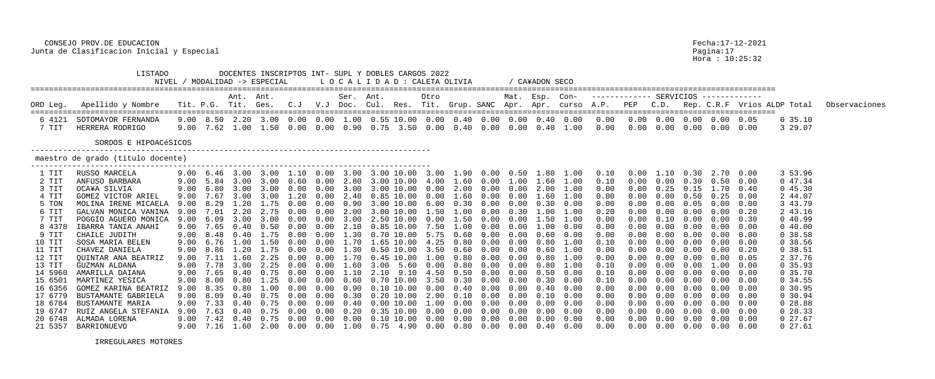Hora : 10:25:32

## CONSEJO PROV.DE EDUCACION Fecha:17-12-2021 Junta de Clasificacion Inicial y Especial especial pagina:17

 LISTADO DOCENTES INSCRIPTOS INT- SUPL Y DOBLES CARGOS 2022 NIVEL / MODALIDAD -> ESPECIAL L O C A L I D A D : CALETA OLIVIA / CA¥ADON SECO ================================================================================================================================================================== Ant. Ant. Ser. Ant. Otro Mat. Esp. Con- ------------- SERVICIOS ------------- ORD Leg. Apellido y Nombre Tit. P.G. Tit. Ges. C.J V.J Doc. Cul. Res. Tit. Grup. SANC Apr. Apr. curso A.P. PEP C.D. Rep. C.R.F Vrios ALDP Total Observaciones ================================================================================================================================================================== 6 4121 SOTOMAYOR FERNANDA 9.00 8.50 2.20 3.00 0.00 0.00 1.00 0.55 10.00 0.00 0.40 0.00 0.00 0.40 0.00 0.00 0.00 0.00 0.00 0.00 0.05 0 35.10 7 TIT HERRERA RODRIGO 9.00 7.62 1.00 1.50 0.00 0.00 0.90 0.75 3.50 0.00 0.40 0.00 0.00 0.40 1.00 0.00 0.00 0.00 0.00 0.00 0.00 3 29.07 SORDOS E HIPOACéSICOS -------------------------------------------------------------------------------------- maestro de grado (titulo docente) --------------------------------------------------------------------------------------- 1 TIT RUSSO MARCELA 9.00 6.46 3.00 3.00 1.10 0.00 3.00 3.00 10.00 3.00 1.90 0.00 0.50 1.80 1.00 0.10 0.00 1.10 0.30 2.70 0.00 3 53.96 2 TIT ANFUSO BARBARA 9.00 5.84 3.00 3.00 0.60 0.00 2.80 3.00 10.00 4.00 1.60 0.00 1.00 1.60 1.00 0.10 0.00 0.00 0.30 0.50 0.00 0 47.34 3 TIT OCA¥A SILVIA 9.00 6.80 3.00 3.00 0.00 0.00 3.00 3.00 10.00 0.00 2.00 0.00 0.00 2.00 1.00 0.00 0.00 0.25 0.15 1.70 0.40 0 45.30 4 TIT GOMEZ VICTOR ARIEL 9.00 7.67 3.00 3.00 1.20 0.00 2.40 0.85 10.00 0.00 1.60 0.00 0.00 1.60 1.00 0.00 0.00 0.00 0.50 0.25 0.00 2 44.07 5 TON MOLINA IRENE MICAELA 9.00 8.29 1.20 1.75 0.00 0.00 0.90 3.00 10.00 6.00 0.30 0.00 0.00 0.30 0.00 0.00 0.00 0.00 0.05 0.00 0.00 3 43.79 6 TREVAN MONICA VANINA 9.00 7.01 2.20 2.75 0.00 0.00 2.00 3.00 10.00 1.50 1.00 0.30 1.00 1.00 0.20 0.00 0.00 0.00 0.00 0.20 2 43.16<br>POGGIO AGUERO MONICA 9.00 6.09 3.00 3.00 0.00 0.00 3.00 2.50 10.00 0.00 1.50 0.00 1.50 0.0 7 TIT POGGIO AGUERO MONICA 9.00 6.09 3.00 3.00 0.00 0.00 3.00 2.50 10.00 0.00 1.50 0.00 0.00 1.50 1.00 0.00 0.00 0.10 0.00 0.00 0.30 0 40.99 8 4378 IBARRA TANIA ANAHI 9.00 7.65 0.40 0.50 0.00 0.00 2.10 0.85 10.00 7.50 1.00 0.00 0.00 1.00 0.00 0.00 0.00 0.00 0.00 0.00 0.00 0 40.00 9 TIT CHAILE JUDITH 9.00 8.48 0.40 1.75 0.00 0.00 1.30 0.70 10.00 5.75 0.60 0.00 0.00 0.60 0.00 0.00 0.00 0.00 0.00 0.00 0.00 0 38.58 10 TIT SOSA MARIA BELEN 9.00 6.76 1.00 1.50 0.00 0.00 1.70 1.65 10.00 4.25 0.80 0.00 0.00 0.80 1.00 0.10 0.00 0.00 0.00 0.00 0.00 0 38.56 11 TIT CHAVEZ DANIELA 9.00 8.86 1.20 1.75 0.00 0.00 1.30 0.50 10.00 3.50 0.60 0.00 0.00 0.60 1.00 0.00 0.00 0.00 0.00 0.00 0.20 0 38.51 12 TIT QUINTAR ANA BEATRIZ 9.00 7.11 1.60 2.25 0.00 0.00 1.70 0.45 10.00 1.00 0.80 0.00 0.00 0.80 1.00 0.00 0.00 0.00 0.00 0.00 0.05 2 37.76 13 TIT GUZMAN ALDANA 9.00 7.78 3.00 2.25 0.00 0.00 1.60 3.00 5.60 0.00 0.80 0.00 0.00 0.80 1.00 0.10 0.00 0.00 0.00 1.00 0.00 0 35.93 14 5960 AMARILLA DAIANA 9.00 7.65 0.40 0.75 0.00 0.00 1.10 2.10 9.10 4.50 0.50 0.00 0.00 0.50 0.00 0.10 0.00 0.00 0.00 0.00 0.00 0 35.70 15 6501 MARTINEZ YESICA 9.00 8.00 0.80 1.25 0.00 0.00 0.60 0.70 10.00 3.50 0.30 0.00 0.00 0.30 0.00 0.10 0.00 0.00 0.00 0.00 0.00 0 34.55 16 6356 GOMEZ KARINA BEATRIZ 9.00 8.35 0.80 1.00 0.00 0.00 0.90 0.10 10.00 0.00 0.40 0.00 0.00 0.40 0.00 0.00 0.00 0.00 0.00 0.00 0.00 0 30.95 17 6779 BUSTAMANTE GABRIELA 9.00 8.09 0.40 0.75 0.00 0.00 0.30 0.20 10.00 2.00 0.10 0.00 0.00 0.10 0.00 0.00 0.00 0.00 0.00 0.00 0.00 0 30.94 18 6784 BUSTAMANTE MARIA 9.00 7.33 0.40 0.75 0.00 0.00 0.40 0.00 10.00 1.00 0.00 0.00 0.00 0.00 0.00 0.00 0.00 0.00 0.00 0.00 0.00 0 28.88 19 6747 RUIZ ANGELA STEFANIA 9.00 7.63 0.40 0.75 0.00 0.00 0.20 0.35 10.00 0.00 0.00 0.00 0.00 0.00 0.00 0.00 0.00 0.00 0.00 0.00 0.00 0 28.33 20 6748 ALMADA LORENA 9.00 7.42 0.40 0.75 0.00 0.00 0.00 0.10 10.00 0.00 0.00 0.00 0.00 0.00 0.00 0.00 0.00 0.00 0.00 0.00 0.00 0 27.67 21 5357 BARRIONUEVO 9.00 7.16 1.60 2.00 0.00 0.00 1.00 0.75 4.90 0.00 0.80 0.00 0.00 0.40 0.00 0.00 0.00 0.00 0.00 0.00 0.00 0 27.61

IRREGULARES MOTORES